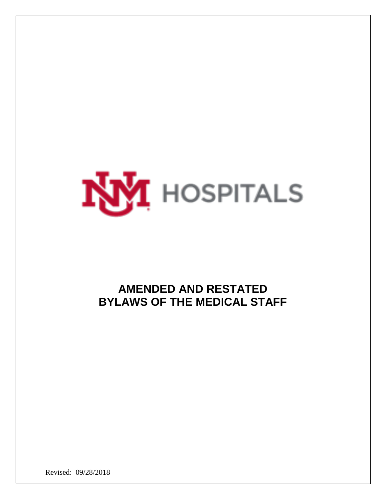

# **AMENDED AND RESTATED BYLAWS OF THE MEDICAL STAFF**

Revised: 09/28/2018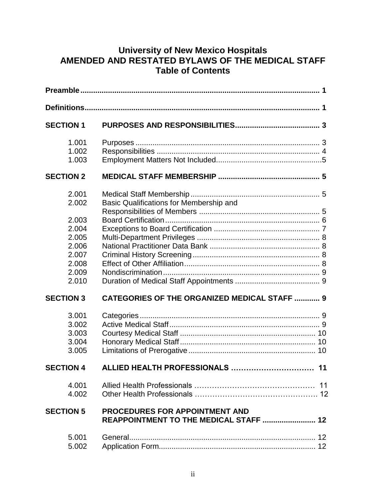# **University of New Mexico Hospitals AMENDED AND RESTATED BYLAWS OF THE MEDICAL STAFF Table of Contents**

| <b>SECTION 1</b> |                                                                          |
|------------------|--------------------------------------------------------------------------|
| 1.001            |                                                                          |
| 1.002<br>1.003   |                                                                          |
| <b>SECTION 2</b> |                                                                          |
| 2.001<br>2.002   | Basic Qualifications for Membership and                                  |
| 2.003            |                                                                          |
| 2.004            |                                                                          |
| 2.005<br>2.006   |                                                                          |
| 2.007            |                                                                          |
| 2.008            |                                                                          |
| 2.009            |                                                                          |
| 2.010            |                                                                          |
| <b>SECTION 3</b> | <b>CATEGORIES OF THE ORGANIZED MEDICAL STAFF  9</b>                      |
| 3.001            |                                                                          |
| 3.002            |                                                                          |
| 3.003            |                                                                          |
| 3.004            |                                                                          |
| 3.005            |                                                                          |
| <b>SECTION 4</b> | ALLIED HEALTH PROFESSIONALS<br>11                                        |
| 4.001<br>4.002   |                                                                          |
| <b>SECTION 5</b> | PROCEDURES FOR APPOINTMENT AND<br>REAPPOINTMENT TO THE MEDICAL STAFF  12 |
| 5.001<br>5.002   |                                                                          |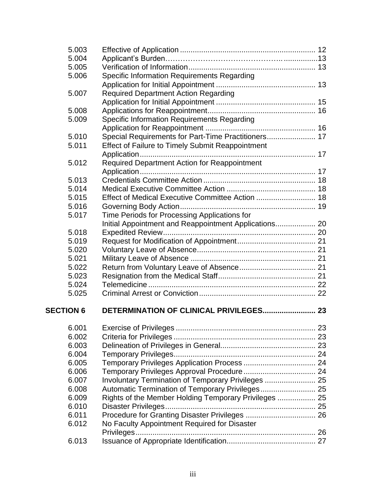| 5.003            |                                                         |  |
|------------------|---------------------------------------------------------|--|
| 5.004            |                                                         |  |
| 5.005            |                                                         |  |
| 5.006            | Specific Information Requirements Regarding             |  |
|                  |                                                         |  |
| 5.007            | <b>Required Department Action Regarding</b>             |  |
|                  |                                                         |  |
| 5.008            |                                                         |  |
| 5.009            | <b>Specific Information Requirements Regarding</b>      |  |
|                  |                                                         |  |
| 5.010            | Special Requirements for Part-Time Practitioners 17     |  |
| 5.011            | <b>Effect of Failure to Timely Submit Reappointment</b> |  |
|                  |                                                         |  |
| 5.012            | Required Department Action for Reappointment            |  |
|                  |                                                         |  |
| 5.013            |                                                         |  |
| 5.014            |                                                         |  |
| 5.015            |                                                         |  |
| 5.016            |                                                         |  |
| 5.017            | Time Periods for Processing Applications for            |  |
|                  | Initial Appointment and Reappointment Applications 20   |  |
| 5.018            |                                                         |  |
| 5.019            |                                                         |  |
| 5.020            |                                                         |  |
| 5.021            |                                                         |  |
| 5.022            |                                                         |  |
| 5.023            |                                                         |  |
| 5.024            |                                                         |  |
| 5.025            |                                                         |  |
| <b>SECTION 6</b> |                                                         |  |
|                  |                                                         |  |
| 6.001            |                                                         |  |
| 6.002            |                                                         |  |
| 6.003            |                                                         |  |
| 6.004            |                                                         |  |
| 6.005            |                                                         |  |
| 6.006            |                                                         |  |
| 6.007            | Involuntary Termination of Temporary Privileges  25     |  |
| 6.008            |                                                         |  |
| 6.009            | Rights of the Member Holding Temporary Privileges  25   |  |
| 6.010            |                                                         |  |
| 6.011            |                                                         |  |
| 6.012            | No Faculty Appointment Required for Disaster            |  |
|                  |                                                         |  |
| 6.013            |                                                         |  |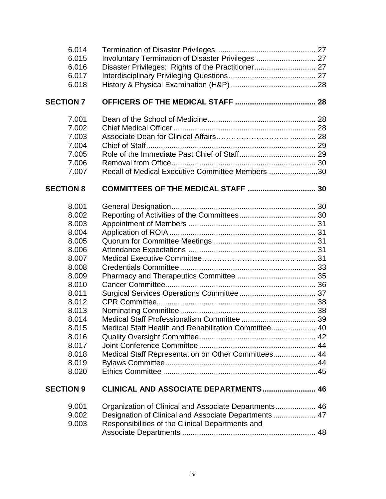| 6.014<br>6.015<br>6.016<br>6.017<br>6.018                                                                                                                                        | Involuntary Termination of Disaster Privileges  27<br>Disaster Privileges: Rights of the Practitioner 27    |  |
|----------------------------------------------------------------------------------------------------------------------------------------------------------------------------------|-------------------------------------------------------------------------------------------------------------|--|
| <b>SECTION 7</b>                                                                                                                                                                 |                                                                                                             |  |
| 7.001<br>7.002<br>7.003<br>7.004<br>7.005<br>7.006<br>7.007                                                                                                                      | Recall of Medical Executive Committee Members 30                                                            |  |
| <b>SECTION 8</b>                                                                                                                                                                 |                                                                                                             |  |
| 8.001<br>8.002<br>8.003<br>8.004<br>8.005<br>8.006<br>8.007<br>8.008<br>8.009<br>8.010<br>8.011<br>8.012<br>8.013<br>8.014<br>8.015<br>8.016<br>8.017<br>8.018<br>8.019<br>8.020 | Medical Staff Health and Rehabilitation Committee 40<br>Medical Staff Representation on Other Committees 44 |  |
| <b>SECTION 9</b>                                                                                                                                                                 | CLINICAL AND ASSOCIATE DEPARTMENTS 46                                                                       |  |
| 9.001<br>9.002<br>9.003                                                                                                                                                          | Designation of Clinical and Associate Departments 47<br>Responsibilities of the Clinical Departments and    |  |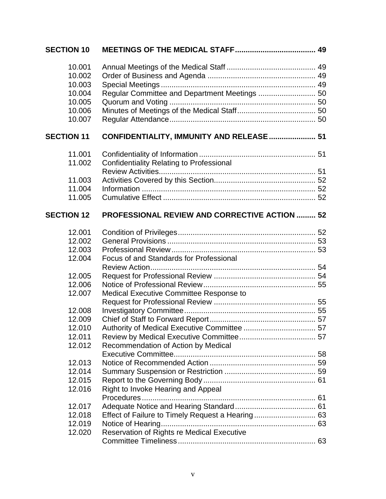| <b>SECTION 10</b> |                                                      |  |
|-------------------|------------------------------------------------------|--|
| 10.001            |                                                      |  |
| 10.002            |                                                      |  |
| 10.003            |                                                      |  |
| 10.004            | Regular Committee and Department Meetings  50        |  |
| 10.005            |                                                      |  |
| 10.006            |                                                      |  |
| 10.007            |                                                      |  |
| <b>SECTION 11</b> | CONFIDENTIALITY, IMMUNITY AND RELEASE  51            |  |
| 11.001            |                                                      |  |
| 11.002            | Confidentiality Relating to Professional             |  |
|                   |                                                      |  |
| 11.003            |                                                      |  |
| 11.004            |                                                      |  |
| 11.005            |                                                      |  |
| <b>SECTION 12</b> | <b>PROFESSIONAL REVIEW AND CORRECTIVE ACTION  52</b> |  |
| 12.001            |                                                      |  |
| 12.002            |                                                      |  |
| 12.003            |                                                      |  |
| 12.004            | Focus of and Standards for Professional              |  |
|                   |                                                      |  |
| 12.005            |                                                      |  |
| 12.006            |                                                      |  |
| 12.007            | Medical Executive Committee Response to              |  |
|                   |                                                      |  |
| 12.008            |                                                      |  |
| 12.009            |                                                      |  |
| 12.010            |                                                      |  |
| 12.011            |                                                      |  |
| 12.012            | Recommendation of Action by Medical                  |  |
|                   |                                                      |  |
| 12.013            |                                                      |  |
| 12.014            |                                                      |  |
| 12.015            |                                                      |  |
| 12.016            | Right to Invoke Hearing and Appeal                   |  |
|                   | Procedures                                           |  |
| 12.017            |                                                      |  |
| 12.018            |                                                      |  |
| 12.019            |                                                      |  |
| 12.020            | Reservation of Rights re Medical Executive           |  |
|                   |                                                      |  |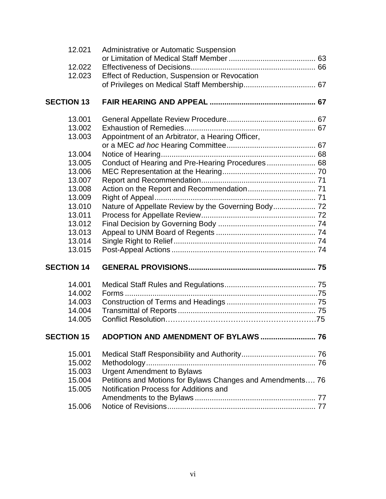| 12.021            | Administrative or Automatic Suspension                     |  |
|-------------------|------------------------------------------------------------|--|
|                   |                                                            |  |
| 12.022            |                                                            |  |
| 12.023            | Effect of Reduction, Suspension or Revocation              |  |
|                   |                                                            |  |
| <b>SECTION 13</b> |                                                            |  |
| 13.001            |                                                            |  |
| 13.002            |                                                            |  |
| 13.003            | Appointment of an Arbitrator, a Hearing Officer,           |  |
|                   |                                                            |  |
| 13.004            |                                                            |  |
| 13.005<br>13.006  | Conduct of Hearing and Pre-Hearing Procedures 68           |  |
| 13.007            |                                                            |  |
| 13.008            |                                                            |  |
| 13.009            |                                                            |  |
| 13.010            | Nature of Appellate Review by the Governing Body 72        |  |
| 13.011            |                                                            |  |
| 13.012            |                                                            |  |
| 13.013            |                                                            |  |
| 13.014            |                                                            |  |
| 13.015            |                                                            |  |
| <b>SECTION 14</b> |                                                            |  |
| 14.001            |                                                            |  |
| 14.002            |                                                            |  |
| 14.003            |                                                            |  |
| 14.004            |                                                            |  |
| 14.005            |                                                            |  |
| <b>SECTION 15</b> |                                                            |  |
| 15.001            |                                                            |  |
| 15.002            |                                                            |  |
| 15.003            | <b>Urgent Amendment to Bylaws</b>                          |  |
| 15.004            | Petitions and Motions for Bylaws Changes and Amendments 76 |  |
| 15.005            | Notification Process for Additions and                     |  |
|                   |                                                            |  |
| 15.006            |                                                            |  |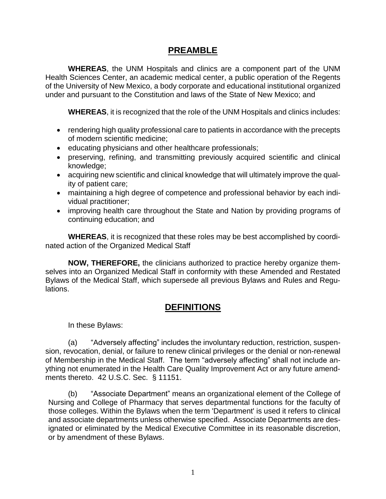### **PREAMBLE**

**WHEREAS**, the UNM Hospitals and clinics are a component part of the UNM Health Sciences Center, an academic medical center, a public operation of the Regents of the University of New Mexico, a body corporate and educational institutional organized under and pursuant to the Constitution and laws of the State of New Mexico; and

**WHEREAS**, it is recognized that the role of the UNM Hospitals and clinics includes:

- rendering high quality professional care to patients in accordance with the precepts of modern scientific medicine;
- educating physicians and other healthcare professionals;
- preserving, refining, and transmitting previously acquired scientific and clinical knowledge;
- acquiring new scientific and clinical knowledge that will ultimately improve the quality of patient care;
- maintaining a high degree of competence and professional behavior by each individual practitioner;
- improving health care throughout the State and Nation by providing programs of continuing education; and

**WHEREAS**, it is recognized that these roles may be best accomplished by coordinated action of the Organized Medical Staff

**NOW, THEREFORE,** the clinicians authorized to practice hereby organize themselves into an Organized Medical Staff in conformity with these Amended and Restated Bylaws of the Medical Staff, which supersede all previous Bylaws and Rules and Regulations.

# **DEFINITIONS**

In these Bylaws:

(a) "Adversely affecting" includes the involuntary reduction, restriction, suspension, revocation, denial, or failure to renew clinical privileges or the denial or non-renewal of Membership in the Medical Staff. The term "adversely affecting" shall not include anything not enumerated in the Health Care Quality Improvement Act or any future amendments thereto. 42 U.S.C. Sec. § 11151.

(b) "Associate Department" means an organizational element of the College of Nursing and College of Pharmacy that serves departmental functions for the faculty of those colleges. Within the Bylaws when the term 'Department' is used it refers to clinical and associate departments unless otherwise specified. Associate Departments are designated or eliminated by the Medical Executive Committee in its reasonable discretion, or by amendment of these Bylaws.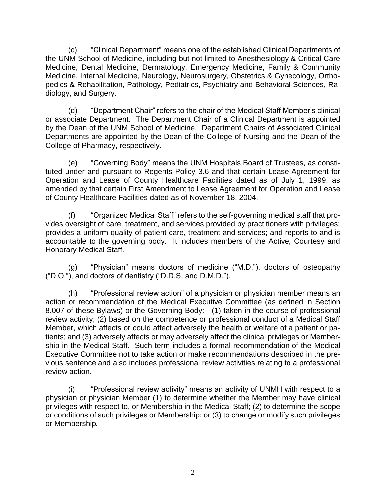(c) "Clinical Department" means one of the established Clinical Departments of the UNM School of Medicine, including but not limited to Anesthesiology & Critical Care Medicine, Dental Medicine, Dermatology, Emergency Medicine, Family & Community Medicine, Internal Medicine, Neurology, Neurosurgery, Obstetrics & Gynecology, Orthopedics & Rehabilitation, Pathology, Pediatrics, Psychiatry and Behavioral Sciences, Radiology, and Surgery.

(d) "Department Chair" refers to the chair of the Medical Staff Member's clinical or associate Department. The Department Chair of a Clinical Department is appointed by the Dean of the UNM School of Medicine.Department Chairs of Associated Clinical Departments are appointed by the Dean of the College of Nursing and the Dean of the College of Pharmacy, respectively.

(e) "Governing Body" means the UNM Hospitals Board of Trustees, as constituted under and pursuant to Regents Policy 3.6 and that certain Lease Agreement for Operation and Lease of County Healthcare Facilities dated as of July 1, 1999, as amended by that certain First Amendment to Lease Agreement for Operation and Lease of County Healthcare Facilities dated as of November 18, 2004.

(f) "Organized Medical Staff" refers to the self-governing medical staff that provides oversight of care, treatment, and services provided by practitioners with privileges; provides a uniform quality of patient care, treatment and services; and reports to and is accountable to the governing body. It includes members of the Active, Courtesy and Honorary Medical Staff.

(g) "Physician" means doctors of medicine ("M.D."), doctors of osteopathy ("D.O."), and doctors of dentistry ("D.D.S. and D.M.D.").

(h) "Professional review action" of a physician or physician member means an action or recommendation of the Medical Executive Committee (as defined in Section 8.007 of these Bylaws) or the Governing Body: (1) taken in the course of professional review activity; (2) based on the competence or professional conduct of a Medical Staff Member, which affects or could affect adversely the health or welfare of a patient or patients; and (3) adversely affects or may adversely affect the clinical privileges or Membership in the Medical Staff. Such term includes a formal recommendation of the Medical Executive Committee not to take action or make recommendations described in the previous sentence and also includes professional review activities relating to a professional review action.

(i) "Professional review activity" means an activity of UNMH with respect to a physician or physician Member (1) to determine whether the Member may have clinical privileges with respect to, or Membership in the Medical Staff; (2) to determine the scope or conditions of such privileges or Membership; or (3) to change or modify such privileges or Membership.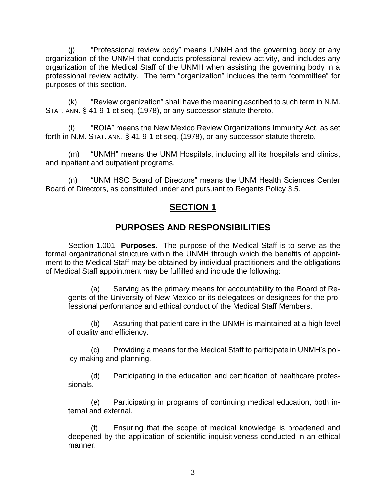(j) "Professional review body" means UNMH and the governing body or any organization of the UNMH that conducts professional review activity, and includes any organization of the Medical Staff of the UNMH when assisting the governing body in a professional review activity. The term "organization" includes the term "committee" for purposes of this section.

(k) "Review organization" shall have the meaning ascribed to such term in N.M. STAT. ANN. § 41-9-1 et seq. (1978), or any successor statute thereto.

(l) "ROIA" means the New Mexico Review Organizations Immunity Act, as set forth in N.M. STAT. ANN. § 41-9-1 et seq. (1978), or any successor statute thereto.

(m) "UNMH" means the UNM Hospitals, including all its hospitals and clinics, and inpatient and outpatient programs.

(n) "UNM HSC Board of Directors" means the UNM Health Sciences Center Board of Directors, as constituted under and pursuant to Regents Policy 3.5.

# **SECTION 1**

# **PURPOSES AND RESPONSIBILITIES**

Section 1.001 **Purposes.** The purpose of the Medical Staff is to serve as the formal organizational structure within the UNMH through which the benefits of appointment to the Medical Staff may be obtained by individual practitioners and the obligations of Medical Staff appointment may be fulfilled and include the following:

(a) Serving as the primary means for accountability to the Board of Regents of the University of New Mexico or its delegatees or designees for the professional performance and ethical conduct of the Medical Staff Members.

(b) Assuring that patient care in the UNMH is maintained at a high level of quality and efficiency.

(c) Providing a means for the Medical Staff to participate in UNMH's policy making and planning.

(d) Participating in the education and certification of healthcare professionals.

(e) Participating in programs of continuing medical education, both internal and external.

(f) Ensuring that the scope of medical knowledge is broadened and deepened by the application of scientific inquisitiveness conducted in an ethical manner.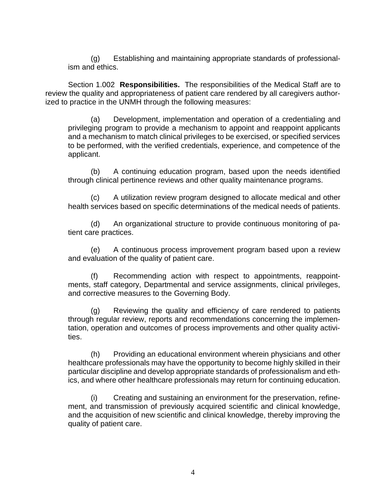(g) Establishing and maintaining appropriate standards of professionalism and ethics.

Section 1.002 **Responsibilities.** The responsibilities of the Medical Staff are to review the quality and appropriateness of patient care rendered by all caregivers authorized to practice in the UNMH through the following measures:

(a) Development, implementation and operation of a credentialing and privileging program to provide a mechanism to appoint and reappoint applicants and a mechanism to match clinical privileges to be exercised, or specified services to be performed, with the verified credentials, experience, and competence of the applicant.

(b) A continuing education program, based upon the needs identified through clinical pertinence reviews and other quality maintenance programs.

(c) A utilization review program designed to allocate medical and other health services based on specific determinations of the medical needs of patients.

(d) An organizational structure to provide continuous monitoring of patient care practices.

(e) A continuous process improvement program based upon a review and evaluation of the quality of patient care.

(f) Recommending action with respect to appointments, reappointments, staff category, Departmental and service assignments, clinical privileges, and corrective measures to the Governing Body.

(g) Reviewing the quality and efficiency of care rendered to patients through regular review, reports and recommendations concerning the implementation, operation and outcomes of process improvements and other quality activities.

(h) Providing an educational environment wherein physicians and other healthcare professionals may have the opportunity to become highly skilled in their particular discipline and develop appropriate standards of professionalism and ethics, and where other healthcare professionals may return for continuing education.

(i) Creating and sustaining an environment for the preservation, refinement, and transmission of previously acquired scientific and clinical knowledge, and the acquisition of new scientific and clinical knowledge, thereby improving the quality of patient care.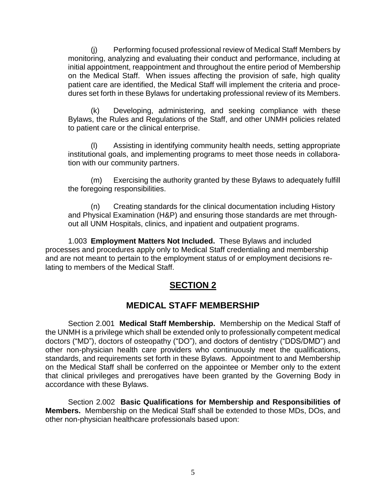(j) Performing focused professional review of Medical Staff Members by monitoring, analyzing and evaluating their conduct and performance, including at initial appointment, reappointment and throughout the entire period of Membership on the Medical Staff. When issues affecting the provision of safe, high quality patient care are identified, the Medical Staff will implement the criteria and procedures set forth in these Bylaws for undertaking professional review of its Members.

(k) Developing, administering, and seeking compliance with these Bylaws, the Rules and Regulations of the Staff, and other UNMH policies related to patient care or the clinical enterprise.

(l) Assisting in identifying community health needs, setting appropriate institutional goals, and implementing programs to meet those needs in collaboration with our community partners.

(m) Exercising the authority granted by these Bylaws to adequately fulfill the foregoing responsibilities.

(n) Creating standards for the clinical documentation including History and Physical Examination (H&P) and ensuring those standards are met throughout all UNM Hospitals, clinics, and inpatient and outpatient programs.

1.003 **Employment Matters Not Included.** These Bylaws and included processes and procedures apply only to Medical Staff credentialing and membership and are not meant to pertain to the employment status of or employment decisions relating to members of the Medical Staff.

# **SECTION 2**

# **MEDICAL STAFF MEMBERSHIP**

Section 2.001 **Medical Staff Membership.** Membership on the Medical Staff of the UNMH is a privilege which shall be extended only to professionally competent medical doctors ("MD"), doctors of osteopathy ("DO"), and doctors of dentistry ("DDS/DMD") and other non-physician health care providers who continuously meet the qualifications, standards, and requirements set forth in these Bylaws. Appointment to and Membership on the Medical Staff shall be conferred on the appointee or Member only to the extent that clinical privileges and prerogatives have been granted by the Governing Body in accordance with these Bylaws.

Section 2.002 **Basic Qualifications for Membership and Responsibilities of Members.** Membership on the Medical Staff shall be extended to those MDs, DOs, and other non-physician healthcare professionals based upon: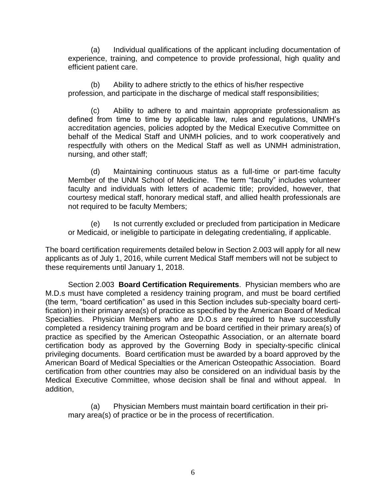(a) Individual qualifications of the applicant including documentation of experience, training, and competence to provide professional, high quality and efficient patient care.

(b) Ability to adhere strictly to the ethics of his/her respective profession, and participate in the discharge of medical staff responsibilities;

(c) Ability to adhere to and maintain appropriate professionalism as defined from time to time by applicable law, rules and regulations, UNMH's accreditation agencies, policies adopted by the Medical Executive Committee on behalf of the Medical Staff and UNMH policies, and to work cooperatively and respectfully with others on the Medical Staff as well as UNMH administration, nursing, and other staff;

(d) Maintaining continuous status as a full-time or part-time faculty Member of the UNM School of Medicine. The term "faculty" includes volunteer faculty and individuals with letters of academic title; provided, however, that courtesy medical staff, honorary medical staff, and allied health professionals are not required to be faculty Members;

(e) Is not currently excluded or precluded from participation in Medicare or Medicaid, or ineligible to participate in delegating credentialing, if applicable.

The board certification requirements detailed below in Section 2.003 will apply for all new applicants as of July 1, 2016, while current Medical Staff members will not be subject to these requirements until January 1, 2018.

Section 2.003 **Board Certification Requirements**. Physician members who are M.D.s must have completed a residency training program, and must be board certified (the term, "board certification" as used in this Section includes sub-specialty board certification) in their primary area(s) of practice as specified by the American Board of Medical Specialties. Physician Members who are D.O.s are required to have successfully completed a residency training program and be board certified in their primary area(s) of practice as specified by the American Osteopathic Association, or an alternate board certification body as approved by the Governing Body in specialty-specific clinical privileging documents. Board certification must be awarded by a board approved by the American Board of Medical Specialties or the American Osteopathic Association. Board certification from other countries may also be considered on an individual basis by the Medical Executive Committee, whose decision shall be final and without appeal. In addition,

(a) Physician Members must maintain board certification in their primary area(s) of practice or be in the process of recertification.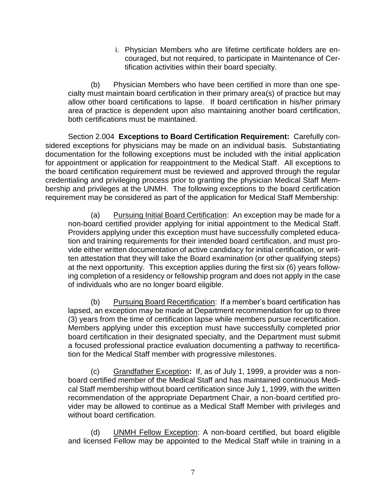i. Physician Members who are lifetime certificate holders are encouraged, but not required, to participate in Maintenance of Certification activities within their board specialty.

(b) Physician Members who have been certified in more than one specialty must maintain board certification in their primary area(s) of practice but may allow other board certifications to lapse. If board certification in his/her primary area of practice is dependent upon also maintaining another board certification, both certifications must be maintained.

Section 2.004 **Exceptions to Board Certification Requirement:** Carefully considered exceptions for physicians may be made on an individual basis. Substantiating documentation for the following exceptions must be included with the initial application for appointment or application for reappointment to the Medical Staff. All exceptions to the board certification requirement must be reviewed and approved through the regular credentialing and privileging process prior to granting the physician Medical Staff Membership and privileges at the UNMH. The following exceptions to the board certification requirement may be considered as part of the application for Medical Staff Membership:

(a) Pursuing Initial Board Certification: An exception may be made for a non-board certified provider applying for initial appointment to the Medical Staff. Providers applying under this exception must have successfully completed education and training requirements for their intended board certification, and must provide either written documentation of active candidacy for initial certification, or written attestation that they will take the Board examination (or other qualifying steps) at the next opportunity. This exception applies during the first six (6) years following completion of a residency or fellowship program and does not apply in the case of individuals who are no longer board eligible.

(b) Pursuing Board Recertification: If a member's board certification has lapsed, an exception may be made at Department recommendation for up to three (3) years from the time of certification lapse while members pursue recertification. Members applying under this exception must have successfully completed prior board certification in their designated specialty, and the Department must submit a focused professional practice evaluation documenting a pathway to recertification for the Medical Staff member with progressive milestones.

(c) Grandfather Exception**:** If, as of July 1, 1999, a provider was a nonboard certified member of the Medical Staff and has maintained continuous Medical Staff membership without board certification since July 1, 1999, with the written recommendation of the appropriate Department Chair, a non-board certified provider may be allowed to continue as a Medical Staff Member with privileges and without board certification.

(d) UNMH Fellow Exception: A non-board certified, but board eligible and licensed Fellow may be appointed to the Medical Staff while in training in a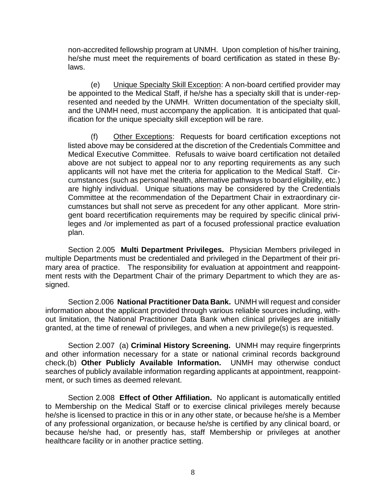non-accredited fellowship program at UNMH. Upon completion of his/her training, he/she must meet the requirements of board certification as stated in these Bylaws.

(e) Unique Specialty Skill Exception: A non-board certified provider may be appointed to the Medical Staff, if he/she has a specialty skill that is under-represented and needed by the UNMH. Written documentation of the specialty skill, and the UNMH need, must accompany the application. It is anticipated that qualification for the unique specialty skill exception will be rare.

(f) Other Exceptions: Requests for board certification exceptions not listed above may be considered at the discretion of the Credentials Committee and Medical Executive Committee. Refusals to waive board certification not detailed above are not subject to appeal nor to any reporting requirements as any such applicants will not have met the criteria for application to the Medical Staff. Circumstances (such as personal health, alternative pathways to board eligibility, etc.) are highly individual. Unique situations may be considered by the Credentials Committee at the recommendation of the Department Chair in extraordinary circumstances but shall not serve as precedent for any other applicant. More stringent board recertification requirements may be required by specific clinical privileges and /or implemented as part of a focused professional practice evaluation plan.

Section 2.005 **Multi Department Privileges.** Physician Members privileged in multiple Departments must be credentialed and privileged in the Department of their primary area of practice. The responsibility for evaluation at appointment and reappointment rests with the Department Chair of the primary Department to which they are assigned.

Section 2.006 **National Practitioner Data Bank.** UNMH will request and consider information about the applicant provided through various reliable sources including, without limitation, the National Practitioner Data Bank when clinical privileges are initially granted, at the time of renewal of privileges, and when a new privilege(s) is requested.

Section 2.007 (a) **Criminal History Screening.** UNMH may require fingerprints and other information necessary for a state or national criminal records background check.(b) **Other Publicly Available Information.** UNMH may otherwise conduct searches of publicly available information regarding applicants at appointment, reappointment, or such times as deemed relevant.

Section 2.008 **Effect of Other Affiliation.** No applicant is automatically entitled to Membership on the Medical Staff or to exercise clinical privileges merely because he/she is licensed to practice in this or in any other state, or because he/she is a Member of any professional organization, or because he/she is certified by any clinical board, or because he/she had, or presently has, staff Membership or privileges at another healthcare facility or in another practice setting.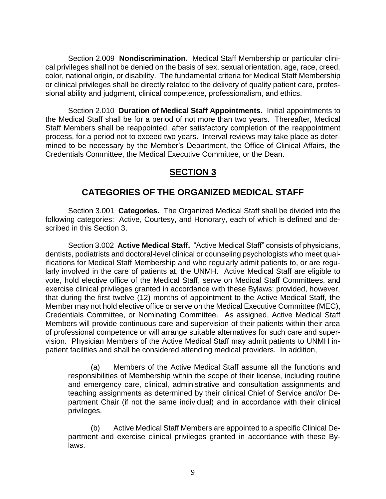Section 2.009 **Nondiscrimination.** Medical Staff Membership or particular clinical privileges shall not be denied on the basis of sex, sexual orientation, age, race, creed, color, national origin, or disability. The fundamental criteria for Medical Staff Membership or clinical privileges shall be directly related to the delivery of quality patient care, professional ability and judgment, clinical competence, professionalism, and ethics.

Section 2.010 **Duration of Medical Staff Appointments.** Initial appointments to the Medical Staff shall be for a period of not more than two years. Thereafter, Medical Staff Members shall be reappointed, after satisfactory completion of the reappointment process, for a period not to exceed two years. Interval reviews may take place as determined to be necessary by the Member's Department, the Office of Clinical Affairs, the Credentials Committee, the Medical Executive Committee, or the Dean.

# **SECTION 3**

### **CATEGORIES OF THE ORGANIZED MEDICAL STAFF**

Section 3.001 **Categories.** The Organized Medical Staff shall be divided into the following categories: Active, Courtesy, and Honorary, each of which is defined and described in this Section 3.

Section 3.002 **Active Medical Staff.** "Active Medical Staff" consists of physicians, dentists, podiatrists and doctoral-level clinical or counseling psychologists who meet qualifications for Medical Staff Membership and who regularly admit patients to, or are regularly involved in the care of patients at, the UNMH. Active Medical Staff are eligible to vote, hold elective office of the Medical Staff, serve on Medical Staff Committees, and exercise clinical privileges granted in accordance with these Bylaws; provided, however, that during the first twelve (12) months of appointment to the Active Medical Staff, the Member may not hold elective office or serve on the Medical Executive Committee (MEC), Credentials Committee, or Nominating Committee. As assigned, Active Medical Staff Members will provide continuous care and supervision of their patients within their area of professional competence or will arrange suitable alternatives for such care and supervision. Physician Members of the Active Medical Staff may admit patients to UNMH inpatient facilities and shall be considered attending medical providers. In addition,

(a) Members of the Active Medical Staff assume all the functions and responsibilities of Membership within the scope of their license, including routine and emergency care, clinical, administrative and consultation assignments and teaching assignments as determined by their clinical Chief of Service and/or Department Chair (if not the same individual) and in accordance with their clinical privileges.

(b) Active Medical Staff Members are appointed to a specific Clinical Department and exercise clinical privileges granted in accordance with these Bylaws.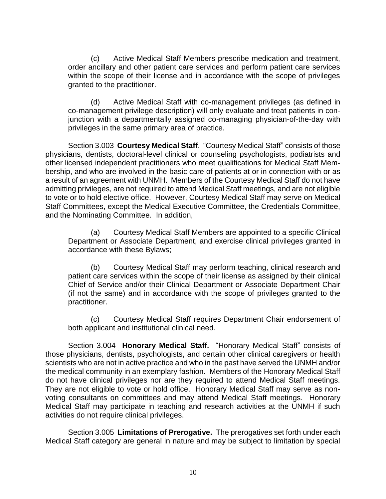(c) Active Medical Staff Members prescribe medication and treatment, order ancillary and other patient care services and perform patient care services within the scope of their license and in accordance with the scope of privileges granted to the practitioner.

(d) Active Medical Staff with co-management privileges (as defined in co-management privilege description) will only evaluate and treat patients in conjunction with a departmentally assigned co-managing physician-of-the-day with privileges in the same primary area of practice.

Section 3.003 **Courtesy Medical Staff**. "Courtesy Medical Staff" consists of those physicians, dentists, doctoral-level clinical or counseling psychologists, podiatrists and other licensed independent practitioners who meet qualifications for Medical Staff Membership, and who are involved in the basic care of patients at or in connection with or as a result of an agreement with UNMH. Members of the Courtesy Medical Staff do not have admitting privileges, are not required to attend Medical Staff meetings, and are not eligible to vote or to hold elective office. However, Courtesy Medical Staff may serve on Medical Staff Committees, except the Medical Executive Committee, the Credentials Committee, and the Nominating Committee. In addition,

(a) Courtesy Medical Staff Members are appointed to a specific Clinical Department or Associate Department, and exercise clinical privileges granted in accordance with these Bylaws;

(b) Courtesy Medical Staff may perform teaching, clinical research and patient care services within the scope of their license as assigned by their clinical Chief of Service and/or their Clinical Department or Associate Department Chair (if not the same) and in accordance with the scope of privileges granted to the practitioner.

(c) Courtesy Medical Staff requires Department Chair endorsement of both applicant and institutional clinical need.

Section 3.004 **Honorary Medical Staff.** "Honorary Medical Staff" consists of those physicians, dentists, psychologists, and certain other clinical caregivers or health scientists who are not in active practice and who in the past have served the UNMH and/or the medical community in an exemplary fashion. Members of the Honorary Medical Staff do not have clinical privileges nor are they required to attend Medical Staff meetings. They are not eligible to vote or hold office. Honorary Medical Staff may serve as nonvoting consultants on committees and may attend Medical Staff meetings. Honorary Medical Staff may participate in teaching and research activities at the UNMH if such activities do not require clinical privileges.

Section 3.005 **Limitations of Prerogative.** The prerogatives set forth under each Medical Staff category are general in nature and may be subject to limitation by special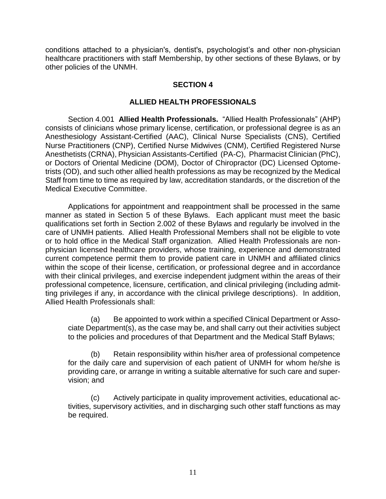conditions attached to a physician's, dentist's, psychologist's and other non-physician healthcare practitioners with staff Membership, by other sections of these Bylaws, or by other policies of the UNMH.

#### **SECTION 4**

#### **ALLIED HEALTH PROFESSIONALS**

Section 4.001 **Allied Health Professionals.** "Allied Health Professionals" (AHP) consists of clinicians whose primary license, certification, or professional degree is as an Anesthesiology Assistant-Certified (AAC), Clinical Nurse Specialists (CNS), Certified Nurse Practitioners (CNP), Certified Nurse Midwives (CNM), Certified Registered Nurse Anesthetists (CRNA), Physician Assistants-Certified (PA-C), Pharmacist Clinician (PhC), or Doctors of Oriental Medicine (DOM), Doctor of Chiropractor (DC) Licensed Optometrists (OD), and such other allied health professions as may be recognized by the Medical Staff from time to time as required by law, accreditation standards, or the discretion of the Medical Executive Committee.

Applications for appointment and reappointment shall be processed in the same manner as stated in Section 5 of these Bylaws. Each applicant must meet the basic qualifications set forth in Section 2.002 of these Bylaws and regularly be involved in the care of UNMH patients. Allied Health Professional Members shall not be eligible to vote or to hold office in the Medical Staff organization. Allied Health Professionals are nonphysician licensed healthcare providers, whose training, experience and demonstrated current competence permit them to provide patient care in UNMH and affiliated clinics within the scope of their license, certification, or professional degree and in accordance with their clinical privileges, and exercise independent judgment within the areas of their professional competence, licensure, certification, and clinical privileging (including admitting privileges if any, in accordance with the clinical privilege descriptions). In addition, Allied Health Professionals shall:

(a) Be appointed to work within a specified Clinical Department or Associate Department(s), as the case may be, and shall carry out their activities subject to the policies and procedures of that Department and the Medical Staff Bylaws;

(b) Retain responsibility within his/her area of professional competence for the daily care and supervision of each patient of UNMH for whom he/she is providing care, or arrange in writing a suitable alternative for such care and supervision; and

(c) Actively participate in quality improvement activities, educational activities, supervisory activities, and in discharging such other staff functions as may be required.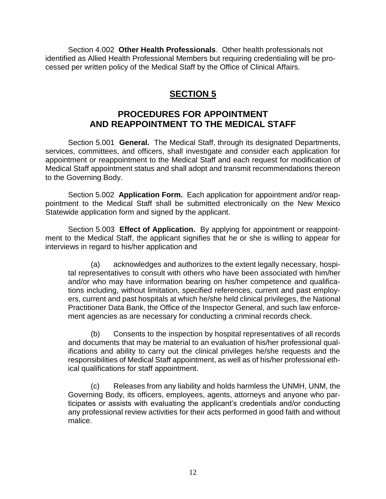Section 4.002 **Other Health Professionals**. Other health professionals not identified as Allied Health Professional Members but requiring credentialing will be processed per written policy of the Medical Staff by the Office of Clinical Affairs.

# **SECTION 5**

# **PROCEDURES FOR APPOINTMENT AND REAPPOINTMENT TO THE MEDICAL STAFF**

Section 5.001 **General.** The Medical Staff, through its designated Departments, services, committees, and officers, shall investigate and consider each application for appointment or reappointment to the Medical Staff and each request for modification of Medical Staff appointment status and shall adopt and transmit recommendations thereon to the Governing Body.

Section 5.002 **Application Form.** Each application for appointment and/or reappointment to the Medical Staff shall be submitted electronically on the New Mexico Statewide application form and signed by the applicant.

Section 5.003 **Effect of Application.** By applying for appointment or reappointment to the Medical Staff, the applicant signifies that he or she is willing to appear for interviews in regard to his/her application and

(a) acknowledges and authorizes to the extent legally necessary, hospital representatives to consult with others who have been associated with him/her and/or who may have information bearing on his/her competence and qualifications including, without limitation, specified references, current and past employers, current and past hospitals at which he/she held clinical privileges, the National Practitioner Data Bank, the Office of the Inspector General, and such law enforcement agencies as are necessary for conducting a criminal records check.

(b) Consents to the inspection by hospital representatives of all records and documents that may be material to an evaluation of his/her professional qualifications and ability to carry out the clinical privileges he/she requests and the responsibilities of Medical Staff appointment, as well as of his/her professional ethical qualifications for staff appointment.

(c) Releases from any liability and holds harmless the UNMH, UNM, the Governing Body, its officers, employees, agents, attorneys and anyone who participates or assists with evaluating the applicant's credentials and/or conducting any professional review activities for their acts performed in good faith and without malice.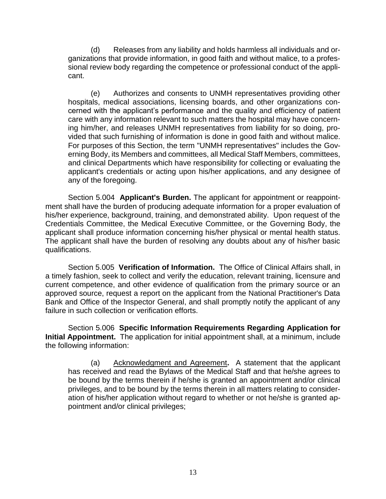(d) Releases from any liability and holds harmless all individuals and organizations that provide information, in good faith and without malice, to a professional review body regarding the competence or professional conduct of the applicant.

(e) Authorizes and consents to UNMH representatives providing other hospitals, medical associations, licensing boards, and other organizations concerned with the applicant's performance and the quality and efficiency of patient care with any information relevant to such matters the hospital may have concerning him/her, and releases UNMH representatives from liability for so doing, provided that such furnishing of information is done in good faith and without malice. For purposes of this Section, the term "UNMH representatives" includes the Governing Body, its Members and committees, all Medical Staff Members, committees, and clinical Departments which have responsibility for collecting or evaluating the applicant's credentials or acting upon his/her applications, and any designee of any of the foregoing.

Section 5.004 **Applicant's Burden.** The applicant for appointment or reappointment shall have the burden of producing adequate information for a proper evaluation of his/her experience, background, training, and demonstrated ability. Upon request of the Credentials Committee, the Medical Executive Committee, or the Governing Body, the applicant shall produce information concerning his/her physical or mental health status. The applicant shall have the burden of resolving any doubts about any of his/her basic qualifications.

Section 5.005 **Verification of Information.** The Office of Clinical Affairs shall, in a timely fashion, seek to collect and verify the education, relevant training, licensure and current competence, and other evidence of qualification from the primary source or an approved source, request a report on the applicant from the National Practitioner's Data Bank and Office of the Inspector General, and shall promptly notify the applicant of any failure in such collection or verification efforts.

Section 5.006 **Specific Information Requirements Regarding Application for Initial Appointment.** The application for initial appointment shall, at a minimum, include the following information:

(a) Acknowledgment and Agreement**.** A statement that the applicant has received and read the Bylaws of the Medical Staff and that he/she agrees to be bound by the terms therein if he/she is granted an appointment and/or clinical privileges, and to be bound by the terms therein in all matters relating to consideration of his/her application without regard to whether or not he/she is granted appointment and/or clinical privileges;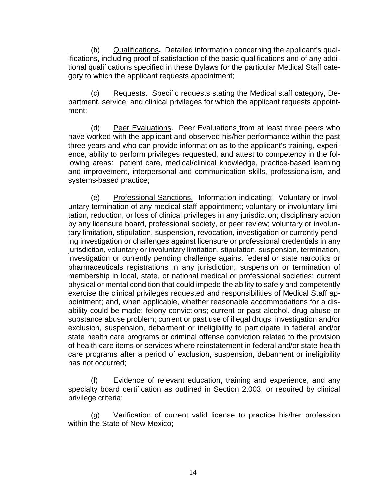(b) Qualifications**.** Detailed information concerning the applicant's qualifications, including proof of satisfaction of the basic qualifications and of any additional qualifications specified in these Bylaws for the particular Medical Staff category to which the applicant requests appointment;

(c) Requests. Specific requests stating the Medical staff category, Department, service, and clinical privileges for which the applicant requests appointment;

(d) Peer Evaluations. Peer Evaluations from at least three peers who have worked with the applicant and observed his/her performance within the past three years and who can provide information as to the applicant's training, experience, ability to perform privileges requested, and attest to competency in the following areas: patient care, medical/clinical knowledge, practice-based learning and improvement, interpersonal and communication skills, professionalism, and systems-based practice;

(e) Professional Sanctions.Information indicating: Voluntary or involuntary termination of any medical staff appointment; voluntary or involuntary limitation, reduction, or loss of clinical privileges in any jurisdiction; disciplinary action by any licensure board, professional society, or peer review; voluntary or involuntary limitation, stipulation, suspension, revocation, investigation or currently pending investigation or challenges against licensure or professional credentials in any jurisdiction, voluntary or involuntary limitation, stipulation, suspension, termination, investigation or currently pending challenge against federal or state narcotics or pharmaceuticals registrations in any jurisdiction; suspension or termination of membership in local, state, or national medical or professional societies; current physical or mental condition that could impede the ability to safely and competently exercise the clinical privileges requested and responsibilities of Medical Staff appointment; and, when applicable, whether reasonable accommodations for a disability could be made; felony convictions; current or past alcohol, drug abuse or substance abuse problem; current or past use of illegal drugs; investigation and/or exclusion, suspension, debarment or ineligibility to participate in federal and/or state health care programs or criminal offense conviction related to the provision of health care items or services where reinstatement in federal and/or state health care programs after a period of exclusion, suspension, debarment or ineligibility has not occurred;

(f) Evidence of relevant education, training and experience, and any specialty board certification as outlined in Section 2.003, or required by clinical privilege criteria;

(g) Verification of current valid license to practice his/her profession within the State of New Mexico;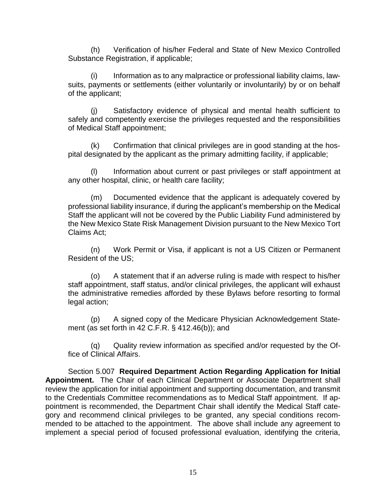(h) Verification of his/her Federal and State of New Mexico Controlled Substance Registration, if applicable;

(i) Information as to any malpractice or professional liability claims, lawsuits, payments or settlements (either voluntarily or involuntarily) by or on behalf of the applicant;

(j) Satisfactory evidence of physical and mental health sufficient to safely and competently exercise the privileges requested and the responsibilities of Medical Staff appointment;

(k) Confirmation that clinical privileges are in good standing at the hospital designated by the applicant as the primary admitting facility, if applicable;

Information about current or past privileges or staff appointment at any other hospital, clinic, or health care facility;

(m) Documented evidence that the applicant is adequately covered by professional liability insurance, if during the applicant's membership on the Medical Staff the applicant will not be covered by the Public Liability Fund administered by the New Mexico State Risk Management Division pursuant to the New Mexico Tort Claims Act;

(n) Work Permit or Visa, if applicant is not a US Citizen or Permanent Resident of the US;

(o) A statement that if an adverse ruling is made with respect to his/her staff appointment, staff status, and/or clinical privileges, the applicant will exhaust the administrative remedies afforded by these Bylaws before resorting to formal legal action;

(p) A signed copy of the Medicare Physician Acknowledgement Statement (as set forth in 42 C.F.R. § 412.46(b)); and

(q) Quality review information as specified and/or requested by the Office of Clinical Affairs.

Section 5.007 **Required Department Action Regarding Application for Initial Appointment.** The Chair of each Clinical Department or Associate Department shall review the application for initial appointment and supporting documentation, and transmit to the Credentials Committee recommendations as to Medical Staff appointment. If appointment is recommended, the Department Chair shall identify the Medical Staff category and recommend clinical privileges to be granted, any special conditions recommended to be attached to the appointment. The above shall include any agreement to implement a special period of focused professional evaluation, identifying the criteria,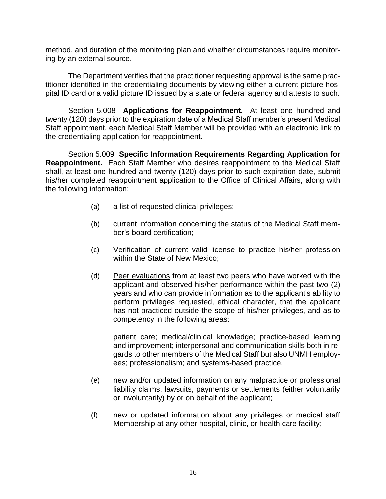method, and duration of the monitoring plan and whether circumstances require monitoring by an external source.

The Department verifies that the practitioner requesting approval is the same practitioner identified in the credentialing documents by viewing either a current picture hospital ID card or a valid picture ID issued by a state or federal agency and attests to such.

Section 5.008 **Applications for Reappointment.** At least one hundred and twenty (120) days prior to the expiration date of a Medical Staff member's present Medical Staff appointment, each Medical Staff Member will be provided with an electronic link to the credentialing application for reappointment.

Section 5.009 **Specific Information Requirements Regarding Application for Reappointment.** Each Staff Member who desires reappointment to the Medical Staff shall, at least one hundred and twenty (120) days prior to such expiration date, submit his/her completed reappointment application to the Office of Clinical Affairs, along with the following information:

- (a) a list of requested clinical privileges;
- (b) current information concerning the status of the Medical Staff member's board certification;
- (c) Verification of current valid license to practice his/her profession within the State of New Mexico;
- (d) Peer evaluations from at least two peers who have worked with the applicant and observed his/her performance within the past two (2) years and who can provide information as to the applicant's ability to perform privileges requested, ethical character, that the applicant has not practiced outside the scope of his/her privileges, and as to competency in the following areas:

patient care; medical/clinical knowledge; practice-based learning and improvement; interpersonal and communication skills both in regards to other members of the Medical Staff but also UNMH employees; professionalism; and systems-based practice.

- (e) new and/or updated information on any malpractice or professional liability claims, lawsuits, payments or settlements (either voluntarily or involuntarily) by or on behalf of the applicant;
- (f) new or updated information about any privileges or medical staff Membership at any other hospital, clinic, or health care facility;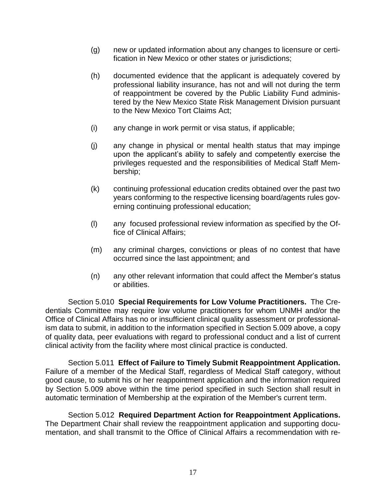- (g) new or updated information about any changes to licensure or certification in New Mexico or other states or jurisdictions;
- (h) documented evidence that the applicant is adequately covered by professional liability insurance, has not and will not during the term of reappointment be covered by the Public Liability Fund administered by the New Mexico State Risk Management Division pursuant to the New Mexico Tort Claims Act;
- (i) any change in work permit or visa status, if applicable;
- (j) any change in physical or mental health status that may impinge upon the applicant's ability to safely and competently exercise the privileges requested and the responsibilities of Medical Staff Membership;
- (k) continuing professional education credits obtained over the past two years conforming to the respective licensing board/agents rules governing continuing professional education;
- (l) any focused professional review information as specified by the Office of Clinical Affairs;
- (m) any criminal charges, convictions or pleas of no contest that have occurred since the last appointment; and
- (n) any other relevant information that could affect the Member's status or abilities.

Section 5.010 **Special Requirements for Low Volume Practitioners.** The Credentials Committee may require low volume practitioners for whom UNMH and/or the Office of Clinical Affairs has no or insufficient clinical quality assessment or professionalism data to submit, in addition to the information specified in Section 5.009 above, a copy of quality data, peer evaluations with regard to professional conduct and a list of current clinical activity from the facility where most clinical practice is conducted.

Section 5.011 **Effect of Failure to Timely Submit Reappointment Application.**  Failure of a member of the Medical Staff, regardless of Medical Staff category, without good cause, to submit his or her reappointment application and the information required by Section 5.009 above within the time period specified in such Section shall result in automatic termination of Membership at the expiration of the Member's current term.

Section 5.012 **Required Department Action for Reappointment Applications.**  The Department Chair shall review the reappointment application and supporting documentation, and shall transmit to the Office of Clinical Affairs a recommendation with re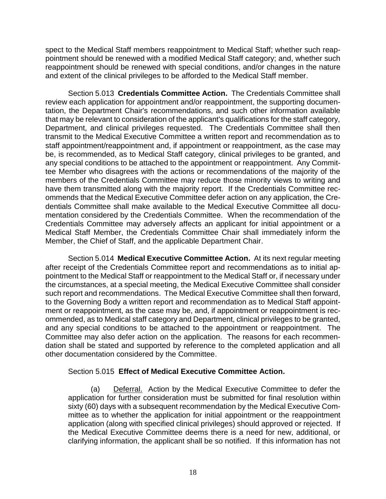spect to the Medical Staff members reappointment to Medical Staff; whether such reappointment should be renewed with a modified Medical Staff category; and, whether such reappointment should be renewed with special conditions, and/or changes in the nature and extent of the clinical privileges to be afforded to the Medical Staff member.

Section 5.013 **Credentials Committee Action.** The Credentials Committee shall review each application for appointment and/or reappointment, the supporting documentation, the Department Chair's recommendations, and such other information available that may be relevant to consideration of the applicant's qualifications for the staff category, Department, and clinical privileges requested. The Credentials Committee shall then transmit to the Medical Executive Committee a written report and recommendation as to staff appointment/reappointment and, if appointment or reappointment, as the case may be, is recommended, as to Medical Staff category, clinical privileges to be granted, and any special conditions to be attached to the appointment or reappointment. Any Committee Member who disagrees with the actions or recommendations of the majority of the members of the Credentials Committee may reduce those minority views to writing and have them transmitted along with the majority report. If the Credentials Committee recommends that the Medical Executive Committee defer action on any application, the Credentials Committee shall make available to the Medical Executive Committee all documentation considered by the Credentials Committee. When the recommendation of the Credentials Committee may adversely affects an applicant for initial appointment or a Medical Staff Member, the Credentials Committee Chair shall immediately inform the Member, the Chief of Staff, and the applicable Department Chair.

Section 5.014 **Medical Executive Committee Action.** At its next regular meeting after receipt of the Credentials Committee report and recommendations as to initial appointment to the Medical Staff or reappointment to the Medical Staff or, if necessary under the circumstances, at a special meeting, the Medical Executive Committee shall consider such report and recommendations. The Medical Executive Committee shall then forward, to the Governing Body a written report and recommendation as to Medical Staff appointment or reappointment, as the case may be, and, if appointment or reappointment is recommended, as to Medical staff category and Department, clinical privileges to be granted, and any special conditions to be attached to the appointment or reappointment. The Committee may also defer action on the application. The reasons for each recommendation shall be stated and supported by reference to the completed application and all other documentation considered by the Committee.

#### Section 5.015 **Effect of Medical Executive Committee Action.**

(a) Deferral. Action by the Medical Executive Committee to defer the application for further consideration must be submitted for final resolution within sixty (60) days with a subsequent recommendation by the Medical Executive Committee as to whether the application for initial appointment or the reappointment application (along with specified clinical privileges) should approved or rejected. If the Medical Executive Committee deems there is a need for new, additional, or clarifying information, the applicant shall be so notified. If this information has not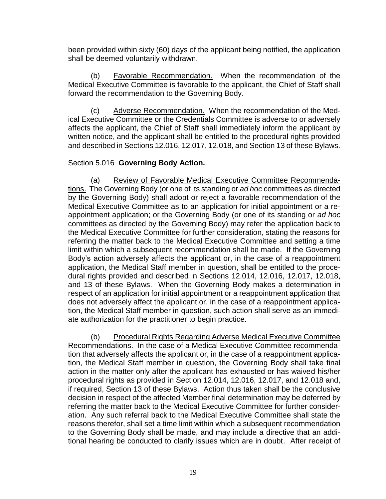been provided within sixty (60) days of the applicant being notified, the application shall be deemed voluntarily withdrawn.

(b) Favorable Recommendation. When the recommendation of the Medical Executive Committee is favorable to the applicant, the Chief of Staff shall forward the recommendation to the Governing Body.

(c) Adverse Recommendation.When the recommendation of the Medical Executive Committee or the Credentials Committee is adverse to or adversely affects the applicant, the Chief of Staff shall immediately inform the applicant by written notice, and the applicant shall be entitled to the procedural rights provided and described in Sections 12.016, 12.017, 12.018, and Section 13 of these Bylaws.

#### Section 5.016 **Governing Body Action.**

(a) Review of Favorable Medical Executive Committee Recommendations. The Governing Body (or one of its standing or *ad hoc* committees as directed by the Governing Body) shall adopt or reject a favorable recommendation of the Medical Executive Committee as to an application for initial appointment or a reappointment application; or the Governing Body (or one of its standing or *ad hoc* committees as directed by the Governing Body) may refer the application back to the Medical Executive Committee for further consideration, stating the reasons for referring the matter back to the Medical Executive Committee and setting a time limit within which a subsequent recommendation shall be made. If the Governing Body's action adversely affects the applicant or, in the case of a reappointment application, the Medical Staff member in question, shall be entitled to the procedural rights provided and described in Sections 12.014, 12.016, 12.017, 12.018, and 13 of these Bylaws. When the Governing Body makes a determination in respect of an application for initial appointment or a reappointment application that does not adversely affect the applicant or, in the case of a reappointment application, the Medical Staff member in question, such action shall serve as an immediate authorization for the practitioner to begin practice.

(b) Procedural Rights Regarding Adverse Medical Executive Committee Recommendations. In the case of a Medical Executive Committee recommendation that adversely affects the applicant or, in the case of a reappointment application, the Medical Staff member in question, the Governing Body shall take final action in the matter only after the applicant has exhausted or has waived his/her procedural rights as provided in Section 12.014, 12.016, 12.017, and 12.018 and, if required, Section 13 of these Bylaws. Action thus taken shall be the conclusive decision in respect of the affected Member final determination may be deferred by referring the matter back to the Medical Executive Committee for further consideration. Any such referral back to the Medical Executive Committee shall state the reasons therefor, shall set a time limit within which a subsequent recommendation to the Governing Body shall be made, and may include a directive that an additional hearing be conducted to clarify issues which are in doubt. After receipt of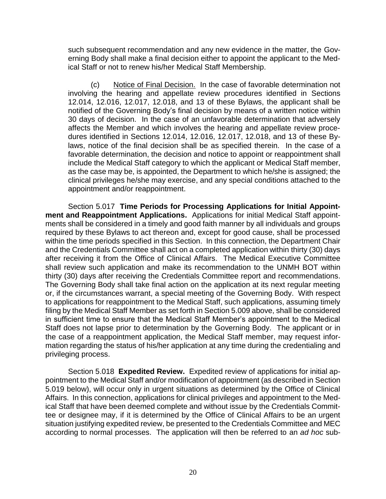such subsequent recommendation and any new evidence in the matter, the Governing Body shall make a final decision either to appoint the applicant to the Medical Staff or not to renew his/her Medical Staff Membership.

(c) Notice of Final Decision. In the case of favorable determination not involving the hearing and appellate review procedures identified in Sections 12.014, 12.016, 12.017, 12.018, and 13 of these Bylaws, the applicant shall be notified of the Governing Body's final decision by means of a written notice within 30 days of decision. In the case of an unfavorable determination that adversely affects the Member and which involves the hearing and appellate review procedures identified in Sections 12.014, 12.016, 12.017, 12.018, and 13 of these Bylaws, notice of the final decision shall be as specified therein. In the case of a favorable determination, the decision and notice to appoint or reappointment shall include the Medical Staff category to which the applicant or Medical Staff member, as the case may be, is appointed, the Department to which he/she is assigned; the clinical privileges he/she may exercise, and any special conditions attached to the appointment and/or reappointment.

Section 5.017 **Time Periods for Processing Applications for Initial Appointment and Reappointment Applications.** Applications for initial Medical Staff appointments shall be considered in a timely and good faith manner by all individuals and groups required by these Bylaws to act thereon and, except for good cause, shall be processed within the time periods specified in this Section. In this connection, the Department Chair and the Credentials Committee shall act on a completed application within thirty (30) days after receiving it from the Office of Clinical Affairs. The Medical Executive Committee shall review such application and make its recommendation to the UNMH BOT within thirty (30) days after receiving the Credentials Committee report and recommendations. The Governing Body shall take final action on the application at its next regular meeting or, if the circumstances warrant, a special meeting of the Governing Body. With respect to applications for reappointment to the Medical Staff, such applications, assuming timely filing by the Medical Staff Member as set forth in Section 5.009 above, shall be considered in sufficient time to ensure that the Medical Staff Member's appointment to the Medical Staff does not lapse prior to determination by the Governing Body. The applicant or in the case of a reappointment application, the Medical Staff member, may request information regarding the status of his/her application at any time during the credentialing and privileging process.

Section 5.018 **Expedited Review.** Expedited review of applications for initial appointment to the Medical Staff and/or modification of appointment (as described in Section 5.019 below), will occur only in urgent situations as determined by the Office of Clinical Affairs. In this connection, applications for clinical privileges and appointment to the Medical Staff that have been deemed complete and without issue by the Credentials Committee or designee may, if it is determined by the Office of Clinical Affairs to be an urgent situation justifying expedited review, be presented to the Credentials Committee and MEC according to normal processes. The application will then be referred to an *ad hoc* sub-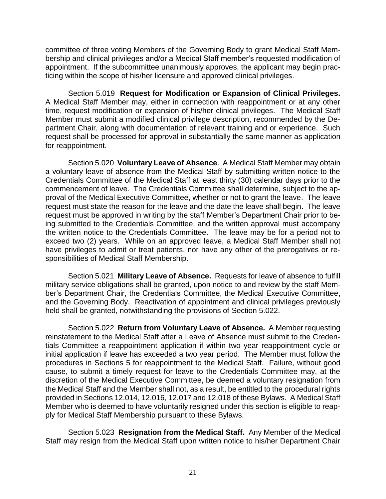committee of three voting Members of the Governing Body to grant Medical Staff Membership and clinical privileges and/or a Medical Staff member's requested modification of appointment. If the subcommittee unanimously approves, the applicant may begin practicing within the scope of his/her licensure and approved clinical privileges.

Section 5.019 **Request for Modification or Expansion of Clinical Privileges.**  A Medical Staff Member may, either in connection with reappointment or at any other time, request modification or expansion of his/her clinical privileges. The Medical Staff Member must submit a modified clinical privilege description, recommended by the Department Chair, along with documentation of relevant training and or experience. Such request shall be processed for approval in substantially the same manner as application for reappointment.

Section 5.020 **Voluntary Leave of Absence**. A Medical Staff Member may obtain a voluntary leave of absence from the Medical Staff by submitting written notice to the Credentials Committee of the Medical Staff at least thirty (30) calendar days prior to the commencement of leave. The Credentials Committee shall determine, subject to the approval of the Medical Executive Committee, whether or not to grant the leave. The leave request must state the reason for the leave and the date the leave shall begin. The leave request must be approved in writing by the staff Member's Department Chair prior to being submitted to the Credentials Committee, and the written approval must accompany the written notice to the Credentials Committee. The leave may be for a period not to exceed two (2) years. While on an approved leave, a Medical Staff Member shall not have privileges to admit or treat patients, nor have any other of the prerogatives or responsibilities of Medical Staff Membership.

Section 5.021 **Military Leave of Absence.** Requests for leave of absence to fulfill military service obligations shall be granted, upon notice to and review by the staff Member's Department Chair, the Credentials Committee, the Medical Executive Committee, and the Governing Body. Reactivation of appointment and clinical privileges previously held shall be granted, notwithstanding the provisions of Section 5.022.

Section 5.022 **Return from Voluntary Leave of Absence.** A Member requesting reinstatement to the Medical Staff after a Leave of Absence must submit to the Credentials Committee a reappointment application if within two year reappointment cycle or initial application if leave has exceeded a two year period. The Member must follow the procedures in Sections 5 for reappointment to the Medical Staff. Failure, without good cause, to submit a timely request for leave to the Credentials Committee may, at the discretion of the Medical Executive Committee, be deemed a voluntary resignation from the Medical Staff and the Member shall not, as a result, be entitled to the procedural rights provided in Sections 12.014, 12.016, 12.017 and 12.018 of these Bylaws. A Medical Staff Member who is deemed to have voluntarily resigned under this section is eligible to reapply for Medical Staff Membership pursuant to these Bylaws.

Section 5.023 **Resignation from the Medical Staff.** Any Member of the Medical Staff may resign from the Medical Staff upon written notice to his/her Department Chair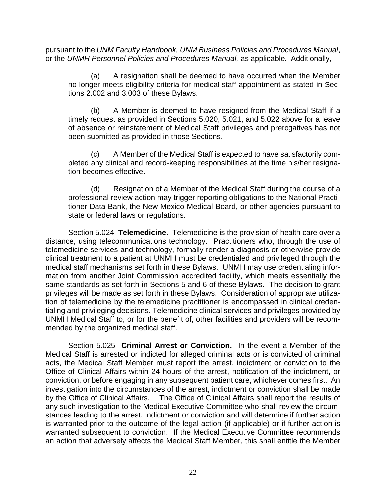pursuant to the *UNM Faculty Handbook, UNM Business Policies and Procedures Manual*, or the *UNMH Personnel Policies and Procedures Manual,* as applicable*.* Additionally,

(a) A resignation shall be deemed to have occurred when the Member no longer meets eligibility criteria for medical staff appointment as stated in Sections 2.002 and 3.003 of these Bylaws.

(b) A Member is deemed to have resigned from the Medical Staff if a timely request as provided in Sections 5.020, 5.021, and 5.022 above for a leave of absence or reinstatement of Medical Staff privileges and prerogatives has not been submitted as provided in those Sections.

(c) A Member of the Medical Staff is expected to have satisfactorily completed any clinical and record-keeping responsibilities at the time his/her resignation becomes effective.

(d) Resignation of a Member of the Medical Staff during the course of a professional review action may trigger reporting obligations to the National Practitioner Data Bank, the New Mexico Medical Board, or other agencies pursuant to state or federal laws or regulations.

Section 5.024 **Telemedicine.** Telemedicine is the provision of health care over a distance, using telecommunications technology. Practitioners who, through the use of telemedicine services and technology, formally render a diagnosis or otherwise provide clinical treatment to a patient at UNMH must be credentialed and privileged through the medical staff mechanisms set forth in these Bylaws. UNMH may use credentialing information from another Joint Commission accredited facility, which meets essentially the same standards as set forth in Sections 5 and 6 of these Bylaws. The decision to grant privileges will be made as set forth in these Bylaws. Consideration of appropriate utilization of telemedicine by the telemedicine practitioner is encompassed in clinical credentialing and privileging decisions. Telemedicine clinical services and privileges provided by UNMH Medical Staff to, or for the benefit of, other facilities and providers will be recommended by the organized medical staff.

Section 5.025 **Criminal Arrest or Conviction.** In the event a Member of the Medical Staff is arrested or indicted for alleged criminal acts or is convicted of criminal acts, the Medical Staff Member must report the arrest, indictment or conviction to the Office of Clinical Affairs within 24 hours of the arrest, notification of the indictment, or conviction, or before engaging in any subsequent patient care, whichever comes first. An investigation into the circumstances of the arrest, indictment or conviction shall be made by the Office of Clinical Affairs. The Office of Clinical Affairs shall report the results of any such investigation to the Medical Executive Committee who shall review the circumstances leading to the arrest, indictment or conviction and will determine if further action is warranted prior to the outcome of the legal action (if applicable) or if further action is warranted subsequent to conviction. If the Medical Executive Committee recommends an action that adversely affects the Medical Staff Member, this shall entitle the Member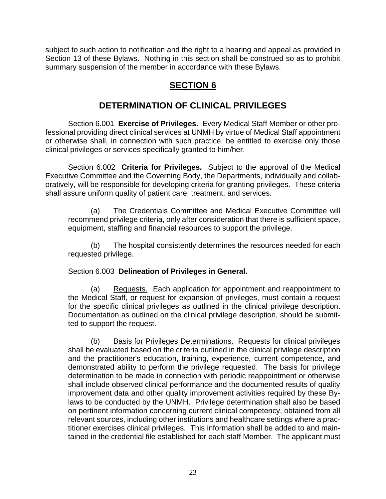subject to such action to notification and the right to a hearing and appeal as provided in Section 13 of these Bylaws. Nothing in this section shall be construed so as to prohibit summary suspension of the member in accordance with these Bylaws.

# **SECTION 6**

# **DETERMINATION OF CLINICAL PRIVILEGES**

Section 6.001 **Exercise of Privileges.** Every Medical Staff Member or other professional providing direct clinical services at UNMH by virtue of Medical Staff appointment or otherwise shall, in connection with such practice, be entitled to exercise only those clinical privileges or services specifically granted to him/her.

Section 6.002 **Criteria for Privileges.** Subject to the approval of the Medical Executive Committee and the Governing Body, the Departments, individually and collaboratively, will be responsible for developing criteria for granting privileges. These criteria shall assure uniform quality of patient care, treatment, and services.

(a) The Credentials Committee and Medical Executive Committee will recommend privilege criteria, only after consideration that there is sufficient space, equipment, staffing and financial resources to support the privilege.

(b) The hospital consistently determines the resources needed for each requested privilege.

#### Section 6.003 **Delineation of Privileges in General.**

(a) Requests.Each application for appointment and reappointment to the Medical Staff, or request for expansion of privileges, must contain a request for the specific clinical privileges as outlined in the clinical privilege description. Documentation as outlined on the clinical privilege description, should be submitted to support the request.

(b) Basis for Privileges Determinations. Requests for clinical privileges shall be evaluated based on the criteria outlined in the clinical privilege description and the practitioner's education, training, experience, current competence, and demonstrated ability to perform the privilege requested. The basis for privilege determination to be made in connection with periodic reappointment or otherwise shall include observed clinical performance and the documented results of quality improvement data and other quality improvement activities required by these Bylaws to be conducted by the UNMH. Privilege determination shall also be based on pertinent information concerning current clinical competency, obtained from all relevant sources, including other institutions and healthcare settings where a practitioner exercises clinical privileges. This information shall be added to and maintained in the credential file established for each staff Member. The applicant must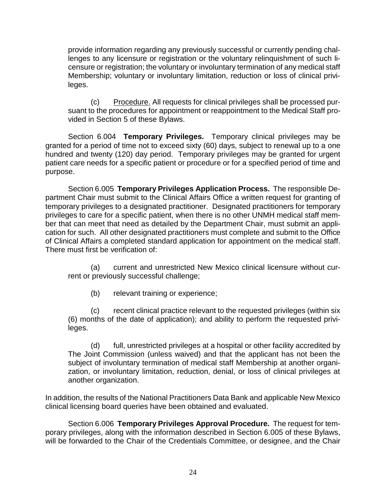provide information regarding any previously successful or currently pending challenges to any licensure or registration or the voluntary relinquishment of such licensure or registration; the voluntary or involuntary termination of any medical staff Membership; voluntary or involuntary limitation, reduction or loss of clinical privileges.

(c) Procedure. All requests for clinical privileges shall be processed pursuant to the procedures for appointment or reappointment to the Medical Staff provided in Section 5 of these Bylaws.

Section 6.004 **Temporary Privileges.** Temporary clinical privileges may be granted for a period of time not to exceed sixty (60) days, subject to renewal up to a one hundred and twenty (120) day period. Temporary privileges may be granted for urgent patient care needs for a specific patient or procedure or for a specified period of time and purpose.

Section 6.005 **Temporary Privileges Application Process.** The responsible Department Chair must submit to the Clinical Affairs Office a written request for granting of temporary privileges to a designated practitioner. Designated practitioners for temporary privileges to care for a specific patient, when there is no other UNMH medical staff member that can meet that need as detailed by the Department Chair, must submit an application for such. All other designated practitioners must complete and submit to the Office of Clinical Affairs a completed standard application for appointment on the medical staff. There must first be verification of:

(a) current and unrestricted New Mexico clinical licensure without current or previously successful challenge;

(b) relevant training or experience;

(c) recent clinical practice relevant to the requested privileges (within six (6) months of the date of application); and ability to perform the requested privileges.

(d) full, unrestricted privileges at a hospital or other facility accredited by The Joint Commission (unless waived) and that the applicant has not been the subject of involuntary termination of medical staff Membership at another organization, or involuntary limitation, reduction, denial, or loss of clinical privileges at another organization.

In addition, the results of the National Practitioners Data Bank and applicable New Mexico clinical licensing board queries have been obtained and evaluated.

Section 6.006 **Temporary Privileges Approval Procedure.** The request for temporary privileges, along with the information described in Section 6.005 of these Bylaws, will be forwarded to the Chair of the Credentials Committee, or designee, and the Chair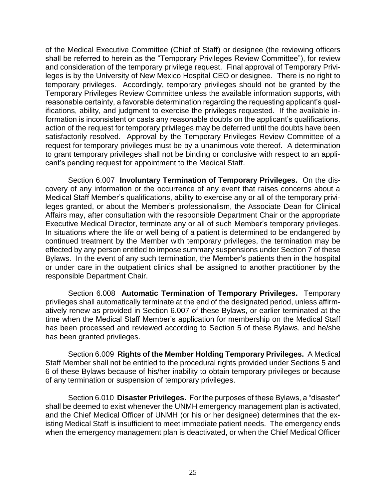of the Medical Executive Committee (Chief of Staff) or designee (the reviewing officers shall be referred to herein as the "Temporary Privileges Review Committee"), for review and consideration of the temporary privilege request. Final approval of Temporary Privileges is by the University of New Mexico Hospital CEO or designee. There is no right to temporary privileges. Accordingly, temporary privileges should not be granted by the Temporary Privileges Review Committee unless the available information supports, with reasonable certainty, a favorable determination regarding the requesting applicant's qualifications, ability, and judgment to exercise the privileges requested. If the available information is inconsistent or casts any reasonable doubts on the applicant's qualifications, action of the request for temporary privileges may be deferred until the doubts have been satisfactorily resolved. Approval by the Temporary Privileges Review Committee of a request for temporary privileges must be by a unanimous vote thereof. A determination to grant temporary privileges shall not be binding or conclusive with respect to an applicant's pending request for appointment to the Medical Staff.

Section 6.007 **Involuntary Termination of Temporary Privileges.** On the discovery of any information or the occurrence of any event that raises concerns about a Medical Staff Member's qualifications, ability to exercise any or all of the temporary privileges granted, or about the Member's professionalism, the Associate Dean for Clinical Affairs may, after consultation with the responsible Department Chair or the appropriate Executive Medical Director, terminate any or all of such Member's temporary privileges. In situations where the life or well being of a patient is determined to be endangered by continued treatment by the Member with temporary privileges, the termination may be effected by any person entitled to impose summary suspensions under Section 7 of these Bylaws. In the event of any such termination, the Member's patients then in the hospital or under care in the outpatient clinics shall be assigned to another practitioner by the responsible Department Chair.

Section 6.008 **Automatic Termination of Temporary Privileges.** Temporary privileges shall automatically terminate at the end of the designated period, unless affirmatively renew as provided in Section 6.007 of these Bylaws, or earlier terminated at the time when the Medical Staff Member's application for membership on the Medical Staff has been processed and reviewed according to Section 5 of these Bylaws, and he/she has been granted privileges.

Section 6.009 **Rights of the Member Holding Temporary Privileges.** A Medical Staff Member shall not be entitled to the procedural rights provided under Sections 5 and 6 of these Bylaws because of his/her inability to obtain temporary privileges or because of any termination or suspension of temporary privileges.

Section 6.010 **Disaster Privileges.** For the purposes of these Bylaws, a "disaster" shall be deemed to exist whenever the UNMH emergency management plan is activated, and the Chief Medical Officer of UNMH (or his or her designee) determines that the existing Medical Staff is insufficient to meet immediate patient needs. The emergency ends when the emergency management plan is deactivated, or when the Chief Medical Officer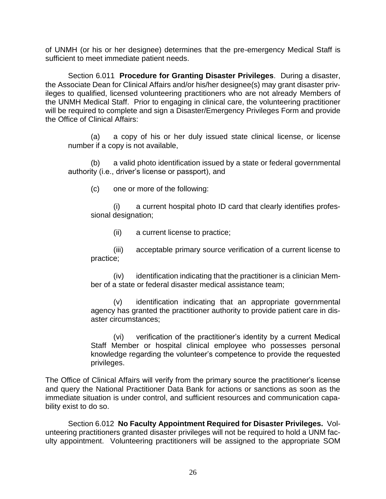of UNMH (or his or her designee) determines that the pre-emergency Medical Staff is sufficient to meet immediate patient needs.

Section 6.011 **Procedure for Granting Disaster Privileges**. During a disaster, the Associate Dean for Clinical Affairs and/or his/her designee(s) may grant disaster privileges to qualified, licensed volunteering practitioners who are not already Members of the UNMH Medical Staff. Prior to engaging in clinical care, the volunteering practitioner will be required to complete and sign a Disaster/Emergency Privileges Form and provide the Office of Clinical Affairs:

(a) a copy of his or her duly issued state clinical license, or license number if a copy is not available,

(b) a valid photo identification issued by a state or federal governmental authority (i.e., driver's license or passport), and

(c) one or more of the following:

(i) a current hospital photo ID card that clearly identifies professional designation;

(ii) a current license to practice;

(iii) acceptable primary source verification of a current license to practice;

(iv) identification indicating that the practitioner is a clinician Member of a state or federal disaster medical assistance team;

(v) identification indicating that an appropriate governmental agency has granted the practitioner authority to provide patient care in disaster circumstances;

(vi) verification of the practitioner's identity by a current Medical Staff Member or hospital clinical employee who possesses personal knowledge regarding the volunteer's competence to provide the requested privileges.

The Office of Clinical Affairs will verify from the primary source the practitioner's license and query the National Practitioner Data Bank for actions or sanctions as soon as the immediate situation is under control, and sufficient resources and communication capability exist to do so.

Section 6.012 **No Faculty Appointment Required for Disaster Privileges.** Volunteering practitioners granted disaster privileges will not be required to hold a UNM faculty appointment. Volunteering practitioners will be assigned to the appropriate SOM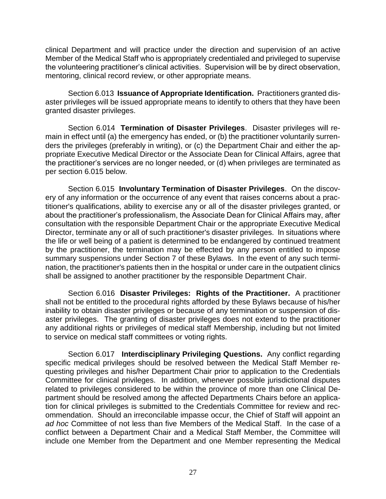clinical Department and will practice under the direction and supervision of an active Member of the Medical Staff who is appropriately credentialed and privileged to supervise the volunteering practitioner's clinical activities. Supervision will be by direct observation, mentoring, clinical record review, or other appropriate means.

Section 6.013 **Issuance of Appropriate Identification.** Practitioners granted disaster privileges will be issued appropriate means to identify to others that they have been granted disaster privileges.

Section 6.014 **Termination of Disaster Privileges**. Disaster privileges will remain in effect until (a) the emergency has ended, or (b) the practitioner voluntarily surrenders the privileges (preferably in writing), or (c) the Department Chair and either the appropriate Executive Medical Director or the Associate Dean for Clinical Affairs, agree that the practitioner's services are no longer needed, or (d) when privileges are terminated as per section 6.015 below.

Section 6.015 **Involuntary Termination of Disaster Privileges**. On the discovery of any information or the occurrence of any event that raises concerns about a practitioner's qualifications, ability to exercise any or all of the disaster privileges granted, or about the practitioner's professionalism, the Associate Dean for Clinical Affairs may, after consultation with the responsible Department Chair or the appropriate Executive Medical Director, terminate any or all of such practitioner's disaster privileges. In situations where the life or well being of a patient is determined to be endangered by continued treatment by the practitioner, the termination may be effected by any person entitled to impose summary suspensions under Section 7 of these Bylaws. In the event of any such termination, the practitioner's patients then in the hospital or under care in the outpatient clinics shall be assigned to another practitioner by the responsible Department Chair.

Section 6.016 **Disaster Privileges: Rights of the Practitioner.** A practitioner shall not be entitled to the procedural rights afforded by these Bylaws because of his/her inability to obtain disaster privileges or because of any termination or suspension of disaster privileges. The granting of disaster privileges does not extend to the practitioner any additional rights or privileges of medical staff Membership, including but not limited to service on medical staff committees or voting rights.

Section 6.017 **Interdisciplinary Privileging Questions.** Any conflict regarding specific medical privileges should be resolved between the Medical Staff Member requesting privileges and his/her Department Chair prior to application to the Credentials Committee for clinical privileges. In addition, whenever possible jurisdictional disputes related to privileges considered to be within the province of more than one Clinical Department should be resolved among the affected Departments Chairs before an application for clinical privileges is submitted to the Credentials Committee for review and recommendation. Should an irreconcilable impasse occur, the Chief of Staff will appoint an *ad hoc* Committee of not less than five Members of the Medical Staff. In the case of a conflict between a Department Chair and a Medical Staff Member, the Committee will include one Member from the Department and one Member representing the Medical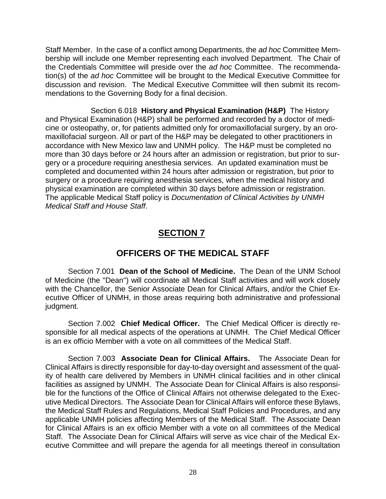Staff Member. In the case of a conflict among Departments, the *ad hoc* Committee Membership will include one Member representing each involved Department. The Chair of the Credentials Committee will preside over the *ad hoc* Committee. The recommendation(s) of the *ad hoc* Committee will be brought to the Medical Executive Committee for discussion and revision. The Medical Executive Committee will then submit its recommendations to the Governing Body for a final decision.

Section 6.018 **History and Physical Examination (H&P)** The History and Physical Examination (H&P) shall be performed and recorded by a doctor of medicine or osteopathy, or, for patients admitted only for oromaxillofacial surgery, by an oromaxillofacial surgeon. All or part of the H&P may be delegated to other practitioners in accordance with New Mexico law and UNMH policy. The H&P must be completed no more than 30 days before or 24 hours after an admission or registration, but prior to surgery or a procedure requiring anesthesia services. An updated examination must be completed and documented within 24 hours after admission or registration, but prior to surgery or a procedure requiring anesthesia services, when the medical history and physical examination are completed within 30 days before admission or registration. The applicable Medical Staff policy is *Documentation of Clinical Activities by UNMH Medical Staff and House Staff*.

# **SECTION 7**

# **OFFICERS OF THE MEDICAL STAFF**

Section 7.001 **Dean of the School of Medicine.** The Dean of the UNM School of Medicine (the "Dean") will coordinate all Medical Staff activities and will work closely with the Chancellor, the Senior Associate Dean for Clinical Affairs, and/or the Chief Executive Officer of UNMH, in those areas requiring both administrative and professional judgment.

Section 7.002 **Chief Medical Officer.** The Chief Medical Officer is directly responsible for all medical aspects of the operations at UNMH. The Chief Medical Officer is an ex officio Member with a vote on all committees of the Medical Staff.

Section 7.003 **Associate Dean for Clinical Affairs.** The Associate Dean for Clinical Affairs is directly responsible for day-to-day oversight and assessment of the quality of health care delivered by Members in UNMH clinical facilities and in other clinical facilities as assigned by UNMH. The Associate Dean for Clinical Affairs is also responsible for the functions of the Office of Clinical Affairs not otherwise delegated to the Executive Medical Directors. The Associate Dean for Clinical Affairs will enforce these Bylaws, the Medical Staff Rules and Regulations, Medical Staff Policies and Procedures, and any applicable UNMH policies affecting Members of the Medical Staff. The Associate Dean for Clinical Affairs is an ex officio Member with a vote on all committees of the Medical Staff. The Associate Dean for Clinical Affairs will serve as vice chair of the Medical Executive Committee and will prepare the agenda for all meetings thereof in consultation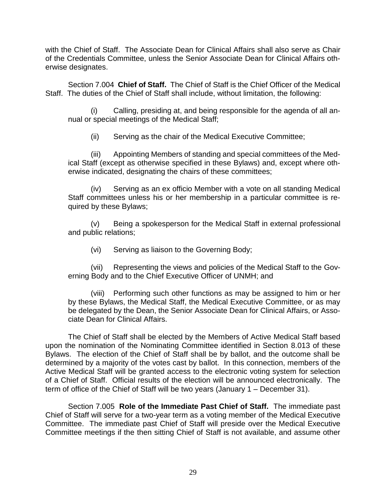with the Chief of Staff. The Associate Dean for Clinical Affairs shall also serve as Chair of the Credentials Committee, unless the Senior Associate Dean for Clinical Affairs otherwise designates.

Section 7.004 **Chief of Staff.** The Chief of Staff is the Chief Officer of the Medical Staff. The duties of the Chief of Staff shall include, without limitation, the following:

(i) Calling, presiding at, and being responsible for the agenda of all annual or special meetings of the Medical Staff;

(ii) Serving as the chair of the Medical Executive Committee;

(iii) Appointing Members of standing and special committees of the Medical Staff (except as otherwise specified in these Bylaws) and, except where otherwise indicated, designating the chairs of these committees;

(iv) Serving as an ex officio Member with a vote on all standing Medical Staff committees unless his or her membership in a particular committee is required by these Bylaws;

Being a spokesperson for the Medical Staff in external professional and public relations;

(vi) Serving as liaison to the Governing Body;

(vii) Representing the views and policies of the Medical Staff to the Governing Body and to the Chief Executive Officer of UNMH; and

(viii) Performing such other functions as may be assigned to him or her by these Bylaws, the Medical Staff, the Medical Executive Committee, or as may be delegated by the Dean, the Senior Associate Dean for Clinical Affairs, or Associate Dean for Clinical Affairs.

The Chief of Staff shall be elected by the Members of Active Medical Staff based upon the nomination of the Nominating Committee identified in Section 8.013 of these Bylaws. The election of the Chief of Staff shall be by ballot, and the outcome shall be determined by a majority of the votes cast by ballot. In this connection, members of the Active Medical Staff will be granted access to the electronic voting system for selection of a Chief of Staff. Official results of the election will be announced electronically. The term of office of the Chief of Staff will be two years (January 1 – December 31).

Section 7.005 **Role of the Immediate Past Chief of Staff.** The immediate past Chief of Staff will serve for a two-year term as a voting member of the Medical Executive Committee. The immediate past Chief of Staff will preside over the Medical Executive Committee meetings if the then sitting Chief of Staff is not available, and assume other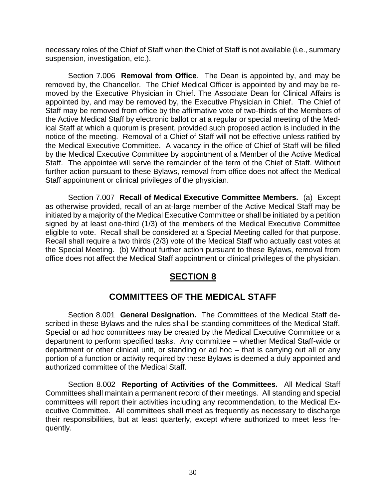necessary roles of the Chief of Staff when the Chief of Staff is not available (i.e., summary suspension, investigation, etc.).

Section 7.006 **Removal from Office**. The Dean is appointed by, and may be removed by, the Chancellor. The Chief Medical Officer is appointed by and may be removed by the Executive Physician in Chief. The Associate Dean for Clinical Affairs is appointed by, and may be removed by, the Executive Physician in Chief. The Chief of Staff may be removed from office by the affirmative vote of two-thirds of the Members of the Active Medical Staff by electronic ballot or at a regular or special meeting of the Medical Staff at which a quorum is present, provided such proposed action is included in the notice of the meeting. Removal of a Chief of Staff will not be effective unless ratified by the Medical Executive Committee. A vacancy in the office of Chief of Staff will be filled by the Medical Executive Committee by appointment of a Member of the Active Medical Staff. The appointee will serve the remainder of the term of the Chief of Staff. Without further action pursuant to these Bylaws, removal from office does not affect the Medical Staff appointment or clinical privileges of the physician.

Section 7.007 **Recall of Medical Executive Committee Members.** (a) Except as otherwise provided, recall of an at-large member of the Active Medical Staff may be initiated by a majority of the Medical Executive Committee or shall be initiated by a petition signed by at least one-third (1/3) of the members of the Medical Executive Committee eligible to vote. Recall shall be considered at a Special Meeting called for that purpose. Recall shall require a two thirds (2/3) vote of the Medical Staff who actually cast votes at the Special Meeting. (b) Without further action pursuant to these Bylaws, removal from office does not affect the Medical Staff appointment or clinical privileges of the physician.

#### **SECTION 8**

# **COMMITTEES OF THE MEDICAL STAFF**

Section 8.001 **General Designation.** The Committees of the Medical Staff described in these Bylaws and the rules shall be standing committees of the Medical Staff. Special or ad hoc committees may be created by the Medical Executive Committee or a department to perform specified tasks. Any committee – whether Medical Staff-wide or department or other clinical unit, or standing or ad hoc – that is carrying out all or any portion of a function or activity required by these Bylaws is deemed a duly appointed and authorized committee of the Medical Staff.

Section 8.002 **Reporting of Activities of the Committees.** All Medical Staff Committees shall maintain a permanent record of their meetings. All standing and special committees will report their activities including any recommendation, to the Medical Executive Committee. All committees shall meet as frequently as necessary to discharge their responsibilities, but at least quarterly, except where authorized to meet less frequently.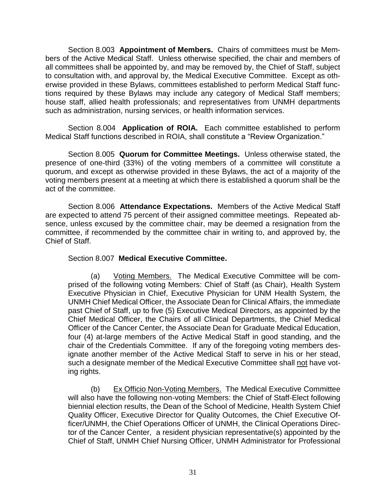Section 8.003 **Appointment of Members.** Chairs of committees must be Members of the Active Medical Staff. Unless otherwise specified, the chair and members of all committees shall be appointed by, and may be removed by, the Chief of Staff, subject to consultation with, and approval by, the Medical Executive Committee. Except as otherwise provided in these Bylaws, committees established to perform Medical Staff functions required by these Bylaws may include any category of Medical Staff members; house staff, allied health professionals; and representatives from UNMH departments such as administration, nursing services, or health information services.

Section 8.004 **Application of ROIA.** Each committee established to perform Medical Staff functions described in ROIA, shall constitute a "Review Organization."

Section 8.005 **Quorum for Committee Meetings.** Unless otherwise stated, the presence of one-third (33%) of the voting members of a committee will constitute a quorum, and except as otherwise provided in these Bylaws, the act of a majority of the voting members present at a meeting at which there is established a quorum shall be the act of the committee.

Section 8.006 **Attendance Expectations.** Members of the Active Medical Staff are expected to attend 75 percent of their assigned committee meetings. Repeated absence, unless excused by the committee chair, may be deemed a resignation from the committee, if recommended by the committee chair in writing to, and approved by, the Chief of Staff.

### Section 8.007 **Medical Executive Committee.**

(a) Voting Members. The Medical Executive Committee will be comprised of the following voting Members: Chief of Staff (as Chair), Health System Executive Physician in Chief, Executive Physician for UNM Health System, the UNMH Chief Medical Officer, the Associate Dean for Clinical Affairs, the immediate past Chief of Staff, up to five (5) Executive Medical Directors, as appointed by the Chief Medical Officer, the Chairs of all Clinical Departments, the Chief Medical Officer of the Cancer Center, the Associate Dean for Graduate Medical Education, four (4) at-large members of the Active Medical Staff in good standing, and the chair of the Credentials Committee. If any of the foregoing voting members designate another member of the Active Medical Staff to serve in his or her stead, such a designate member of the Medical Executive Committee shall not have voting rights.

(b) Ex Officio Non-Voting Members. The Medical Executive Committee will also have the following non-voting Members: the Chief of Staff-Elect following biennial election results, the Dean of the School of Medicine, Health System Chief Quality Officer, Executive Director for Quality Outcomes, the Chief Executive Officer/UNMH, the Chief Operations Officer of UNMH, the Clinical Operations Director of the Cancer Center, a resident physician representative(s) appointed by the Chief of Staff, UNMH Chief Nursing Officer, UNMH Administrator for Professional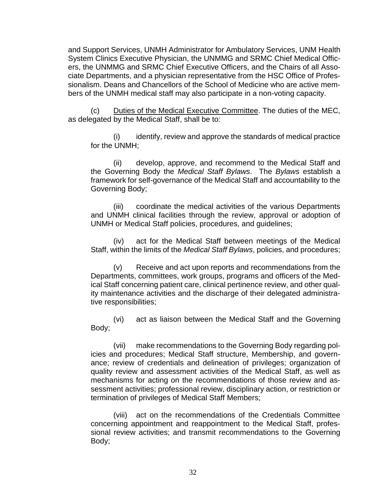and Support Services, UNMH Administrator for Ambulatory Services, UNM Health System Clinics Executive Physician, the UNMMG and SRMC Chief Medical Officers, the UNMMG and SRMC Chief Executive Officers, and the Chairs of all Associate Departments, and a physician representative from the HSC Office of Professionalism. Deans and Chancellors of the School of Medicine who are active members of the UNMH medical staff may also participate in a non-voting capacity.

(c) Duties of the Medical Executive Committee. The duties of the MEC, as delegated by the Medical Staff, shall be to:

(i) identify, review and approve the standards of medical practice for the UNMH;

(ii) develop, approve, and recommend to the Medical Staff and the Governing Body the *Medical Staff Bylaws*. The *Bylaws* establish a framework for self-governance of the Medical Staff and accountability to the Governing Body;

(iii) coordinate the medical activities of the various Departments and UNMH clinical facilities through the review, approval or adoption of UNMH or Medical Staff policies, procedures, and guidelines;

(iv) act for the Medical Staff between meetings of the Medical Staff, within the limits of the *Medical Staff Bylaws*, policies, and procedures;

(v) Receive and act upon reports and recommendations from the Departments, committees, work groups, programs and officers of the Medical Staff concerning patient care, clinical pertinence review, and other quality maintenance activities and the discharge of their delegated administrative responsibilities;

(vi) act as liaison between the Medical Staff and the Governing Body;

(vii) make recommendations to the Governing Body regarding policies and procedures; Medical Staff structure, Membership, and governance; review of credentials and delineation of privileges; organization of quality review and assessment activities of the Medical Staff, as well as mechanisms for acting on the recommendations of those review and assessment activities; professional review, disciplinary action, or restriction or termination of privileges of Medical Staff Members;

(viii) act on the recommendations of the Credentials Committee concerning appointment and reappointment to the Medical Staff, professional review activities; and transmit recommendations to the Governing Body;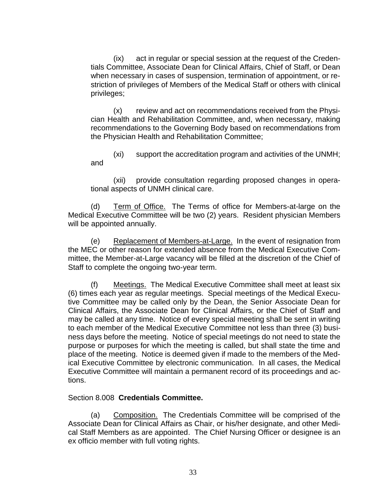(ix) act in regular or special session at the request of the Credentials Committee, Associate Dean for Clinical Affairs, Chief of Staff, or Dean when necessary in cases of suspension, termination of appointment, or restriction of privileges of Members of the Medical Staff or others with clinical privileges;

(x) review and act on recommendations received from the Physician Health and Rehabilitation Committee, and, when necessary, making recommendations to the Governing Body based on recommendations from the Physician Health and Rehabilitation Committee;

(xi) support the accreditation program and activities of the UNMH; and

(xii) provide consultation regarding proposed changes in operational aspects of UNMH clinical care.

(d) Term of Office. The Terms of office for Members-at-large on the Medical Executive Committee will be two (2) years. Resident physician Members will be appointed annually.

(e) Replacement of Members-at-Large. In the event of resignation from the MEC or other reason for extended absence from the Medical Executive Committee, the Member-at-Large vacancy will be filled at the discretion of the Chief of Staff to complete the ongoing two-year term.

(f) Meetings. The Medical Executive Committee shall meet at least six (6) times each year as regular meetings. Special meetings of the Medical Executive Committee may be called only by the Dean, the Senior Associate Dean for Clinical Affairs, the Associate Dean for Clinical Affairs, or the Chief of Staff and may be called at any time. Notice of every special meeting shall be sent in writing to each member of the Medical Executive Committee not less than three (3) business days before the meeting. Notice of special meetings do not need to state the purpose or purposes for which the meeting is called, but shall state the time and place of the meeting. Notice is deemed given if made to the members of the Medical Executive Committee by electronic communication. In all cases, the Medical Executive Committee will maintain a permanent record of its proceedings and actions.

### Section 8.008 **Credentials Committee.**

(a) Composition. The Credentials Committee will be comprised of the Associate Dean for Clinical Affairs as Chair, or his/her designate, and other Medical Staff Members as are appointed. The Chief Nursing Officer or designee is an ex officio member with full voting rights.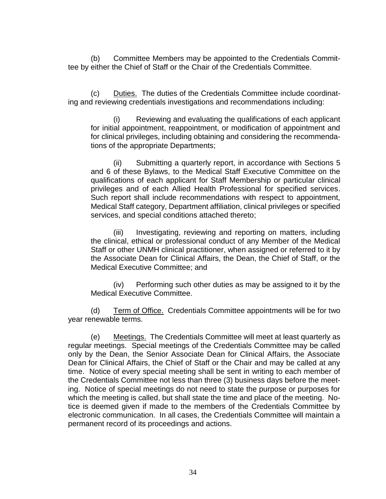(b) Committee Members may be appointed to the Credentials Committee by either the Chief of Staff or the Chair of the Credentials Committee.

(c) Duties. The duties of the Credentials Committee include coordinating and reviewing credentials investigations and recommendations including:

(i) Reviewing and evaluating the qualifications of each applicant for initial appointment, reappointment, or modification of appointment and for clinical privileges, including obtaining and considering the recommendations of the appropriate Departments;

(ii) Submitting a quarterly report, in accordance with Sections 5 and 6 of these Bylaws, to the Medical Staff Executive Committee on the qualifications of each applicant for Staff Membership or particular clinical privileges and of each Allied Health Professional for specified services. Such report shall include recommendations with respect to appointment, Medical Staff category, Department affiliation, clinical privileges or specified services, and special conditions attached thereto;

(iii) Investigating, reviewing and reporting on matters, including the clinical, ethical or professional conduct of any Member of the Medical Staff or other UNMH clinical practitioner, when assigned or referred to it by the Associate Dean for Clinical Affairs, the Dean, the Chief of Staff, or the Medical Executive Committee; and

(iv) Performing such other duties as may be assigned to it by the Medical Executive Committee.

(d) Term of Office.Credentials Committee appointments will be for two year renewable terms.

(e) Meetings.The Credentials Committee will meet at least quarterly as regular meetings. Special meetings of the Credentials Committee may be called only by the Dean, the Senior Associate Dean for Clinical Affairs, the Associate Dean for Clinical Affairs, the Chief of Staff or the Chair and may be called at any time. Notice of every special meeting shall be sent in writing to each member of the Credentials Committee not less than three (3) business days before the meeting. Notice of special meetings do not need to state the purpose or purposes for which the meeting is called, but shall state the time and place of the meeting. Notice is deemed given if made to the members of the Credentials Committee by electronic communication. In all cases, the Credentials Committee will maintain a permanent record of its proceedings and actions.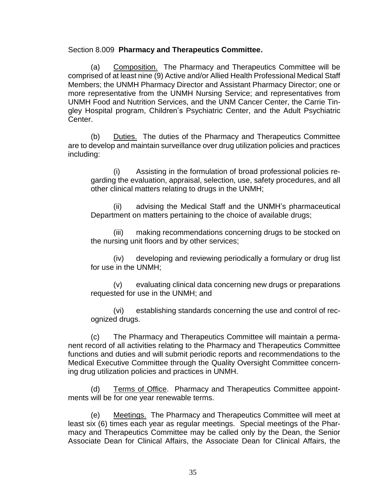### Section 8.009 **Pharmacy and Therapeutics Committee.**

(a) Composition. The Pharmacy and Therapeutics Committee will be comprised of at least nine (9) Active and/or Allied Health Professional Medical Staff Members; the UNMH Pharmacy Director and Assistant Pharmacy Director; one or more representative from the UNMH Nursing Service; and representatives from UNMH Food and Nutrition Services, and the UNM Cancer Center, the Carrie Tingley Hospital program, Children's Psychiatric Center, and the Adult Psychiatric Center.

(b) Duties. The duties of the Pharmacy and Therapeutics Committee are to develop and maintain surveillance over drug utilization policies and practices including:

(i) Assisting in the formulation of broad professional policies regarding the evaluation, appraisal, selection, use, safety procedures, and all other clinical matters relating to drugs in the UNMH;

(ii) advising the Medical Staff and the UNMH's pharmaceutical Department on matters pertaining to the choice of available drugs;

(iii) making recommendations concerning drugs to be stocked on the nursing unit floors and by other services;

(iv) developing and reviewing periodically a formulary or drug list for use in the UNMH;

(v) evaluating clinical data concerning new drugs or preparations requested for use in the UNMH; and

(vi) establishing standards concerning the use and control of recognized drugs.

(c) The Pharmacy and Therapeutics Committee will maintain a permanent record of all activities relating to the Pharmacy and Therapeutics Committee functions and duties and will submit periodic reports and recommendations to the Medical Executive Committee through the Quality Oversight Committee concerning drug utilization policies and practices in UNMH.

(d) Terms of Office.Pharmacy and Therapeutics Committee appointments will be for one year renewable terms.

(e) Meetings.The Pharmacy and Therapeutics Committee will meet at least six (6) times each year as regular meetings. Special meetings of the Pharmacy and Therapeutics Committee may be called only by the Dean, the Senior Associate Dean for Clinical Affairs, the Associate Dean for Clinical Affairs, the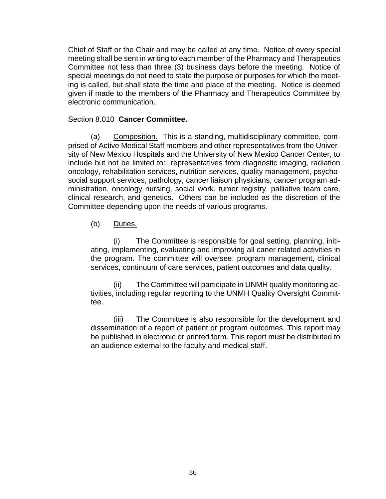Chief of Staff or the Chair and may be called at any time. Notice of every special meeting shall be sent in writing to each member of the Pharmacy and Therapeutics Committee not less than three (3) business days before the meeting. Notice of special meetings do not need to state the purpose or purposes for which the meeting is called, but shall state the time and place of the meeting. Notice is deemed given if made to the members of the Pharmacy and Therapeutics Committee by electronic communication.

### Section 8.010 **Cancer Committee.**

(a) Composition. This is a standing, multidisciplinary committee, comprised of Active Medical Staff members and other representatives from the University of New Mexico Hospitals and the University of New Mexico Cancer Center, to include but not be limited to: representatives from diagnostic imaging, radiation oncology, rehabilitation services, nutrition services, quality management, psychosocial support services, pathology, cancer liaison physicians, cancer program administration, oncology nursing, social work, tumor registry, palliative team care, clinical research, and genetics. Others can be included as the discretion of the Committee depending upon the needs of various programs.

### (b) Duties.

(i) The Committee is responsible for goal setting, planning, initiating, implementing, evaluating and improving all caner related activities in the program. The committee will oversee: program management, clinical services, continuum of care services, patient outcomes and data quality.

(ii) The Committee will participate in UNMH quality monitoring activities, including regular reporting to the UNMH Quality Oversight Committee.

(iii) The Committee is also responsible for the development and dissemination of a report of patient or program outcomes. This report may be published in electronic or printed form. This report must be distributed to an audience external to the faculty and medical staff.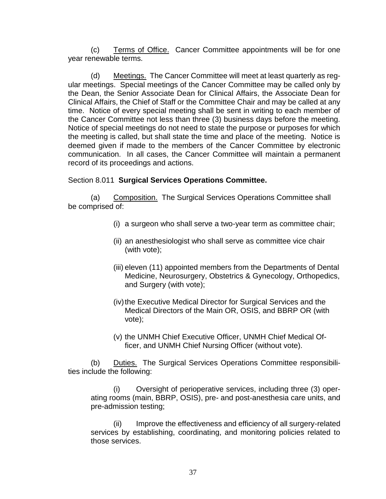(c) Terms of Office.Cancer Committee appointments will be for one year renewable terms.

(d) Meetings.The Cancer Committee will meet at least quarterly as regular meetings. Special meetings of the Cancer Committee may be called only by the Dean, the Senior Associate Dean for Clinical Affairs, the Associate Dean for Clinical Affairs, the Chief of Staff or the Committee Chair and may be called at any time. Notice of every special meeting shall be sent in writing to each member of the Cancer Committee not less than three (3) business days before the meeting. Notice of special meetings do not need to state the purpose or purposes for which the meeting is called, but shall state the time and place of the meeting. Notice is deemed given if made to the members of the Cancer Committee by electronic communication. In all cases, the Cancer Committee will maintain a permanent record of its proceedings and actions.

### Section 8.011 **Surgical Services Operations Committee.**

(a) Composition. The Surgical Services Operations Committee shall be comprised of:

- (i) a surgeon who shall serve a two-year term as committee chair;
- (ii) an anesthesiologist who shall serve as committee vice chair (with vote);
- (iii) eleven (11) appointed members from the Departments of Dental Medicine, Neurosurgery, Obstetrics & Gynecology, Orthopedics, and Surgery (with vote);
- (iv) the Executive Medical Director for Surgical Services and the Medical Directors of the Main OR, OSIS, and BBRP OR (with vote);
- (v) the UNMH Chief Executive Officer, UNMH Chief Medical Officer, and UNMH Chief Nursing Officer (without vote).

(b) Duties.The Surgical Services Operations Committee responsibilities include the following:

(i) Oversight of perioperative services, including three (3) operating rooms (main, BBRP, OSIS), pre- and post-anesthesia care units, and pre-admission testing;

Improve the effectiveness and efficiency of all surgery-related services by establishing, coordinating, and monitoring policies related to those services.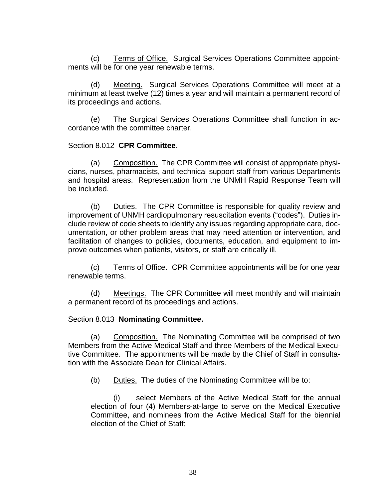(c) Terms of Office.Surgical Services Operations Committee appointments will be for one year renewable terms.

(d) Meeting.Surgical Services Operations Committee will meet at a minimum at least twelve (12) times a year and will maintain a permanent record of its proceedings and actions.

(e) The Surgical Services Operations Committee shall function in accordance with the committee charter.

### Section 8.012 **CPR Committee**.

(a) Composition. The CPR Committee will consist of appropriate physicians, nurses, pharmacists, and technical support staff from various Departments and hospital areas. Representation from the UNMH Rapid Response Team will be included.

(b) Duties.The CPR Committee is responsible for quality review and improvement of UNMH cardiopulmonary resuscitation events ("codes"). Duties include review of code sheets to identify any issues regarding appropriate care, documentation, or other problem areas that may need attention or intervention, and facilitation of changes to policies, documents, education, and equipment to improve outcomes when patients, visitors, or staff are critically ill.

(c) Terms of Office.CPR Committee appointments will be for one year renewable terms.

(d) Meetings.The CPR Committee will meet monthly and will maintain a permanent record of its proceedings and actions.

### Section 8.013 **Nominating Committee.**

(a) Composition. The Nominating Committee will be comprised of two Members from the Active Medical Staff and three Members of the Medical Executive Committee. The appointments will be made by the Chief of Staff in consultation with the Associate Dean for Clinical Affairs.

(b) Duties. The duties of the Nominating Committee will be to:

(i) select Members of the Active Medical Staff for the annual election of four (4) Members-at-large to serve on the Medical Executive Committee, and nominees from the Active Medical Staff for the biennial election of the Chief of Staff;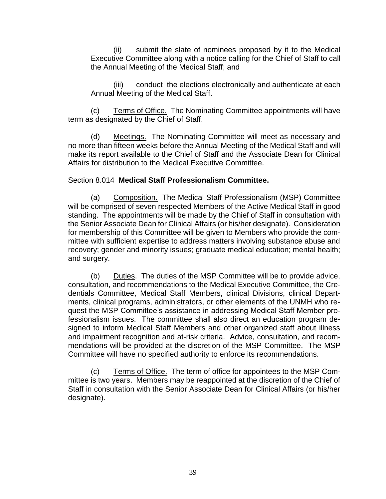(ii) submit the slate of nominees proposed by it to the Medical Executive Committee along with a notice calling for the Chief of Staff to call the Annual Meeting of the Medical Staff; and

(iii) conduct the elections electronically and authenticate at each Annual Meeting of the Medical Staff.

(c) Terms of Office.The Nominating Committee appointments will have term as designated by the Chief of Staff.

(d) Meetings.The Nominating Committee will meet as necessary and no more than fifteen weeks before the Annual Meeting of the Medical Staff and will make its report available to the Chief of Staff and the Associate Dean for Clinical Affairs for distribution to the Medical Executive Committee.

### Section 8.014 **Medical Staff Professionalism Committee.**

(a) Composition. The Medical Staff Professionalism (MSP) Committee will be comprised of seven respected Members of the Active Medical Staff in good standing. The appointments will be made by the Chief of Staff in consultation with the Senior Associate Dean for Clinical Affairs (or his/her designate). Consideration for membership of this Committee will be given to Members who provide the committee with sufficient expertise to address matters involving substance abuse and recovery; gender and minority issues; graduate medical education; mental health; and surgery.

(b) Duties. The duties of the MSP Committee will be to provide advice, consultation, and recommendations to the Medical Executive Committee, the Credentials Committee, Medical Staff Members, clinical Divisions, clinical Departments, clinical programs, administrators, or other elements of the UNMH who request the MSP Committee's assistance in addressing Medical Staff Member professionalism issues. The committee shall also direct an education program designed to inform Medical Staff Members and other organized staff about illness and impairment recognition and at-risk criteria. Advice, consultation, and recommendations will be provided at the discretion of the MSP Committee. The MSP Committee will have no specified authority to enforce its recommendations.

(c) Terms of Office.The term of office for appointees to the MSP Committee is two years. Members may be reappointed at the discretion of the Chief of Staff in consultation with the Senior Associate Dean for Clinical Affairs (or his/her designate).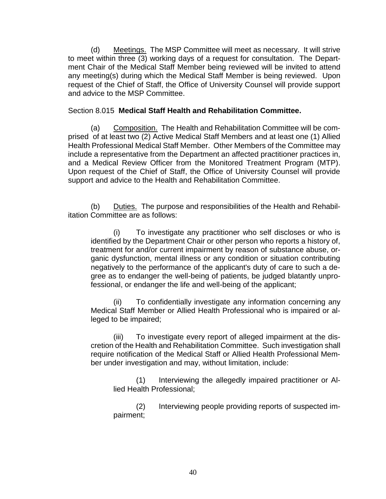(d) Meetings.The MSP Committee will meet as necessary. It will strive to meet within three (3) working days of a request for consultation. The Department Chair of the Medical Staff Member being reviewed will be invited to attend any meeting(s) during which the Medical Staff Member is being reviewed. Upon request of the Chief of Staff, the Office of University Counsel will provide support and advice to the MSP Committee.

### Section 8.015 **Medical Staff Health and Rehabilitation Committee.**

(a) Composition. The Health and Rehabilitation Committee will be comprised of at least two (2) Active Medical Staff Members and at least one (1) Allied Health Professional Medical Staff Member. Other Members of the Committee may include a representative from the Department an affected practitioner practices in, and a Medical Review Officer from the Monitored Treatment Program (MTP). Upon request of the Chief of Staff, the Office of University Counsel will provide support and advice to the Health and Rehabilitation Committee.

(b) Duties.The purpose and responsibilities of the Health and Rehabilitation Committee are as follows:

(i) To investigate any practitioner who self discloses or who is identified by the Department Chair or other person who reports a history of, treatment for and/or current impairment by reason of substance abuse, organic dysfunction, mental illness or any condition or situation contributing negatively to the performance of the applicant's duty of care to such a degree as to endanger the well-being of patients, be judged blatantly unprofessional, or endanger the life and well-being of the applicant;

(ii) To confidentially investigate any information concerning any Medical Staff Member or Allied Health Professional who is impaired or alleged to be impaired;

(iii) To investigate every report of alleged impairment at the discretion of the Health and Rehabilitation Committee. Such investigation shall require notification of the Medical Staff or Allied Health Professional Member under investigation and may, without limitation, include:

(1) Interviewing the allegedly impaired practitioner or Allied Health Professional;

(2) Interviewing people providing reports of suspected impairment;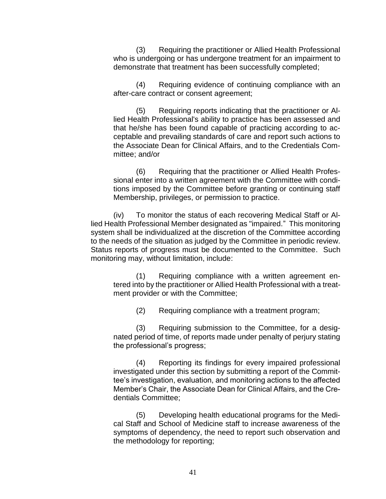(3) Requiring the practitioner or Allied Health Professional who is undergoing or has undergone treatment for an impairment to demonstrate that treatment has been successfully completed;

(4) Requiring evidence of continuing compliance with an after-care contract or consent agreement;

(5) Requiring reports indicating that the practitioner or Allied Health Professional's ability to practice has been assessed and that he/she has been found capable of practicing according to acceptable and prevailing standards of care and report such actions to the Associate Dean for Clinical Affairs, and to the Credentials Committee; and/or

(6) Requiring that the practitioner or Allied Health Professional enter into a written agreement with the Committee with conditions imposed by the Committee before granting or continuing staff Membership, privileges, or permission to practice.

(iv) To monitor the status of each recovering Medical Staff or Allied Health Professional Member designated as "impaired." This monitoring system shall be individualized at the discretion of the Committee according to the needs of the situation as judged by the Committee in periodic review. Status reports of progress must be documented to the Committee. Such monitoring may, without limitation, include:

(1) Requiring compliance with a written agreement entered into by the practitioner or Allied Health Professional with a treatment provider or with the Committee;

(2) Requiring compliance with a treatment program;

(3) Requiring submission to the Committee, for a designated period of time, of reports made under penalty of perjury stating the professional's progress;

(4) Reporting its findings for every impaired professional investigated under this section by submitting a report of the Committee's investigation, evaluation, and monitoring actions to the affected Member's Chair, the Associate Dean for Clinical Affairs, and the Credentials Committee;

(5) Developing health educational programs for the Medical Staff and School of Medicine staff to increase awareness of the symptoms of dependency, the need to report such observation and the methodology for reporting;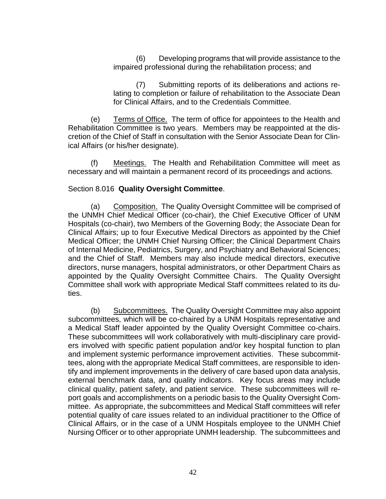(6) Developing programs that will provide assistance to the impaired professional during the rehabilitation process; and

(7) Submitting reports of its deliberations and actions relating to completion or failure of rehabilitation to the Associate Dean for Clinical Affairs, and to the Credentials Committee.

(e) Terms of Office.The term of office for appointees to the Health and Rehabilitation Committee is two years. Members may be reappointed at the discretion of the Chief of Staff in consultation with the Senior Associate Dean for Clinical Affairs (or his/her designate).

(f) Meetings.The Health and Rehabilitation Committee will meet as necessary and will maintain a permanent record of its proceedings and actions.

### Section 8.016 **Quality Oversight Committee**.

(a) Composition. The Quality Oversight Committee will be comprised of the UNMH Chief Medical Officer (co-chair), the Chief Executive Officer of UNM Hospitals (co-chair), two Members of the Governing Body; the Associate Dean for Clinical Affairs; up to four Executive Medical Directors as appointed by the Chief Medical Officer; the UNMH Chief Nursing Officer; the Clinical Department Chairs of Internal Medicine, Pediatrics, Surgery, and Psychiatry and Behavioral Sciences; and the Chief of Staff. Members may also include medical directors, executive directors, nurse managers, hospital administrators, or other Department Chairs as appointed by the Quality Oversight Committee Chairs. The Quality Oversight Committee shall work with appropriate Medical Staff committees related to its duties.

(b) Subcommittees. The Quality Oversight Committee may also appoint subcommittees, which will be co-chaired by a UNM Hospitals representative and a Medical Staff leader appointed by the Quality Oversight Committee co-chairs. These subcommittees will work collaboratively with multi-disciplinary care providers involved with specific patient population and/or key hospital function to plan and implement systemic performance improvement activities. These subcommittees, along with the appropriate Medical Staff committees, are responsible to identify and implement improvements in the delivery of care based upon data analysis, external benchmark data, and quality indicators. Key focus areas may include clinical quality, patient safety, and patient service. These subcommittees will report goals and accomplishments on a periodic basis to the Quality Oversight Committee. As appropriate, the subcommittees and Medical Staff committees will refer potential quality of care issues related to an individual practitioner to the Office of Clinical Affairs, or in the case of a UNM Hospitals employee to the UNMH Chief Nursing Officer or to other appropriate UNMH leadership. The subcommittees and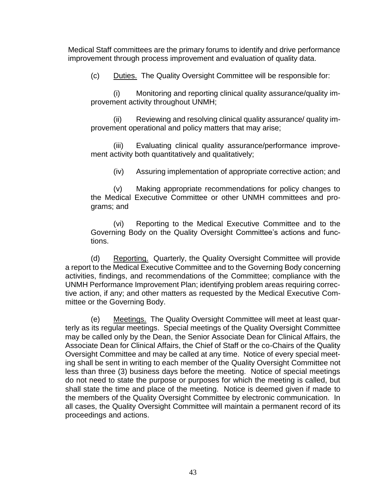Medical Staff committees are the primary forums to identify and drive performance improvement through process improvement and evaluation of quality data.

(c) Duties. The Quality Oversight Committee will be responsible for:

(i) Monitoring and reporting clinical quality assurance/quality improvement activity throughout UNMH;

(ii) Reviewing and resolving clinical quality assurance/ quality improvement operational and policy matters that may arise;

(iii) Evaluating clinical quality assurance/performance improvement activity both quantitatively and qualitatively;

(iv) Assuring implementation of appropriate corrective action; and

(v) Making appropriate recommendations for policy changes to the Medical Executive Committee or other UNMH committees and programs; and

(vi) Reporting to the Medical Executive Committee and to the Governing Body on the Quality Oversight Committee's actions and functions.

(d) Reporting. Quarterly, the Quality Oversight Committee will provide a report to the Medical Executive Committee and to the Governing Body concerning activities, findings, and recommendations of the Committee; compliance with the UNMH Performance Improvement Plan; identifying problem areas requiring corrective action, if any; and other matters as requested by the Medical Executive Committee or the Governing Body.

(e) Meetings. The Quality Oversight Committee will meet at least quarterly as its regular meetings. Special meetings of the Quality Oversight Committee may be called only by the Dean, the Senior Associate Dean for Clinical Affairs, the Associate Dean for Clinical Affairs, the Chief of Staff or the co-Chairs of the Quality Oversight Committee and may be called at any time. Notice of every special meeting shall be sent in writing to each member of the Quality Oversight Committee not less than three (3) business days before the meeting. Notice of special meetings do not need to state the purpose or purposes for which the meeting is called, but shall state the time and place of the meeting. Notice is deemed given if made to the members of the Quality Oversight Committee by electronic communication. In all cases, the Quality Oversight Committee will maintain a permanent record of its proceedings and actions.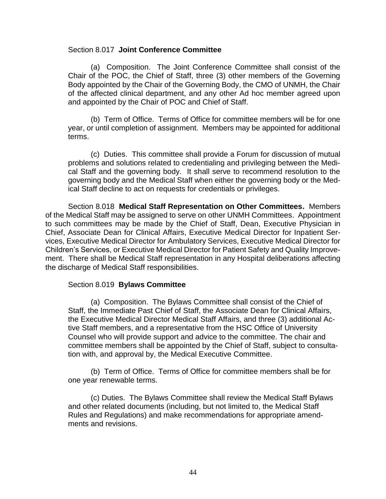#### Section 8.017 **Joint Conference Committee**

(a) Composition. The Joint Conference Committee shall consist of the Chair of the POC, the Chief of Staff, three (3) other members of the Governing Body appointed by the Chair of the Governing Body, the CMO of UNMH, the Chair of the affected clinical department, and any other Ad hoc member agreed upon and appointed by the Chair of POC and Chief of Staff.

(b) Term of Office. Terms of Office for committee members will be for one year, or until completion of assignment. Members may be appointed for additional terms.

(c) Duties. This committee shall provide a Forum for discussion of mutual problems and solutions related to credentialing and privileging between the Medical Staff and the governing body. It shall serve to recommend resolution to the governing body and the Medical Staff when either the governing body or the Medical Staff decline to act on requests for credentials or privileges.

Section 8.018 **Medical Staff Representation on Other Committees.** Members of the Medical Staff may be assigned to serve on other UNMH Committees. Appointment to such committees may be made by the Chief of Staff, Dean, Executive Physician in Chief, Associate Dean for Clinical Affairs, Executive Medical Director for Inpatient Services, Executive Medical Director for Ambulatory Services, Executive Medical Director for Children's Services, or Executive Medical Director for Patient Safety and Quality Improvement. There shall be Medical Staff representation in any Hospital deliberations affecting the discharge of Medical Staff responsibilities.

#### Section 8.019 **Bylaws Committee**

(a) Composition. The Bylaws Committee shall consist of the Chief of Staff, the Immediate Past Chief of Staff, the Associate Dean for Clinical Affairs, the Executive Medical Director Medical Staff Affairs, and three (3) additional Active Staff members, and a representative from the HSC Office of University Counsel who will provide support and advice to the committee. The chair and committee members shall be appointed by the Chief of Staff, subject to consultation with, and approval by, the Medical Executive Committee.

(b) Term of Office. Terms of Office for committee members shall be for one year renewable terms.

(c) Duties. The Bylaws Committee shall review the Medical Staff Bylaws and other related documents (including, but not limited to, the Medical Staff Rules and Regulations) and make recommendations for appropriate amendments and revisions.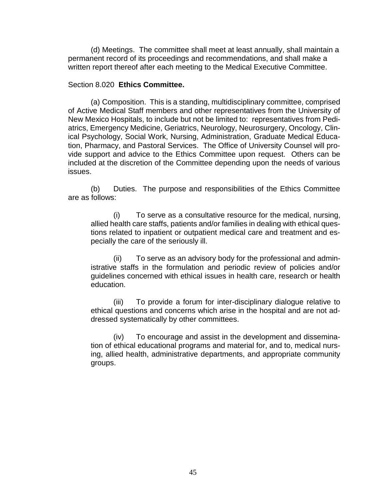(d) Meetings. The committee shall meet at least annually, shall maintain a permanent record of its proceedings and recommendations, and shall make a written report thereof after each meeting to the Medical Executive Committee.

#### Section 8.020 **Ethics Committee.**

(a) Composition. This is a standing, multidisciplinary committee, comprised of Active Medical Staff members and other representatives from the University of New Mexico Hospitals, to include but not be limited to: representatives from Pediatrics, Emergency Medicine, Geriatrics, Neurology, Neurosurgery, Oncology, Clinical Psychology, Social Work, Nursing, Administration, Graduate Medical Education, Pharmacy, and Pastoral Services. The Office of University Counsel will provide support and advice to the Ethics Committee upon request. Others can be included at the discretion of the Committee depending upon the needs of various issues.

(b) Duties. The purpose and responsibilities of the Ethics Committee are as follows:

(i) To serve as a consultative resource for the medical, nursing, allied health care staffs, patients and/or families in dealing with ethical questions related to inpatient or outpatient medical care and treatment and especially the care of the seriously ill.

(ii) To serve as an advisory body for the professional and administrative staffs in the formulation and periodic review of policies and/or guidelines concerned with ethical issues in health care, research or health education.

(iii) To provide a forum for inter-disciplinary dialogue relative to ethical questions and concerns which arise in the hospital and are not addressed systematically by other committees.

(iv) To encourage and assist in the development and dissemination of ethical educational programs and material for, and to, medical nursing, allied health, administrative departments, and appropriate community groups.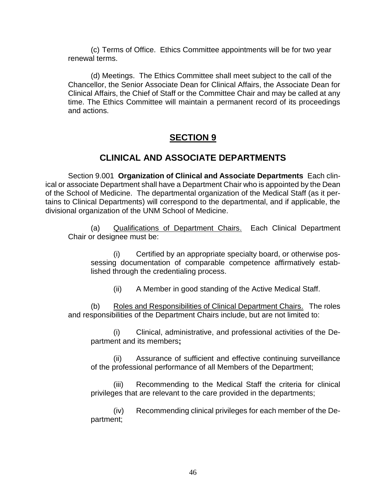(c) Terms of Office. Ethics Committee appointments will be for two year renewal terms.

(d) Meetings.The Ethics Committee shall meet subject to the call of the Chancellor, the Senior Associate Dean for Clinical Affairs, the Associate Dean for Clinical Affairs, the Chief of Staff or the Committee Chair and may be called at any time. The Ethics Committee will maintain a permanent record of its proceedings and actions.

# **SECTION 9**

# **CLINICAL AND ASSOCIATE DEPARTMENTS**

Section 9.001 **Organization of Clinical and Associate Departments** Each clinical or associate Department shall have a Department Chair who is appointed by the Dean of the School of Medicine. The departmental organization of the Medical Staff (as it pertains to Clinical Departments) will correspond to the departmental, and if applicable, the divisional organization of the UNM School of Medicine.

(a) Qualifications of Department Chairs. Each Clinical Department Chair or designee must be:

(i) Certified by an appropriate specialty board, or otherwise possessing documentation of comparable competence affirmatively established through the credentialing process.

(ii) A Member in good standing of the Active Medical Staff.

(b) Roles and Responsibilities of Clinical Department Chairs. The roles and responsibilities of the Department Chairs include, but are not limited to:

(i) Clinical, administrative, and professional activities of the Department and its members**;**

(ii) Assurance of sufficient and effective continuing surveillance of the professional performance of all Members of the Department;

(iii) Recommending to the Medical Staff the criteria for clinical privileges that are relevant to the care provided in the departments;

(iv) Recommending clinical privileges for each member of the Department;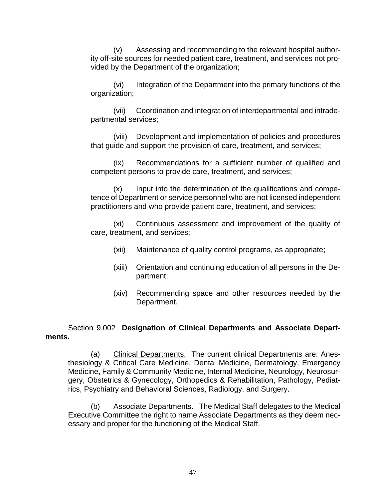(v) Assessing and recommending to the relevant hospital authority off-site sources for needed patient care, treatment, and services not provided by the Department of the organization;

(vi) Integration of the Department into the primary functions of the organization;

(vii) Coordination and integration of interdepartmental and intradepartmental services;

(viii) Development and implementation of policies and procedures that guide and support the provision of care, treatment, and services;

(ix) Recommendations for a sufficient number of qualified and competent persons to provide care, treatment, and services;

(x) Input into the determination of the qualifications and competence of Department or service personnel who are not licensed independent practitioners and who provide patient care, treatment, and services;

(xi) Continuous assessment and improvement of the quality of care, treatment, and services;

- (xii) Maintenance of quality control programs, as appropriate;
- (xiii) Orientation and continuing education of all persons in the Department;
- (xiv) Recommending space and other resources needed by the Department.

### Section 9.002 **Designation of Clinical Departments and Associate Departments.**

(a) Clinical Departments. The current clinical Departments are: Anesthesiology & Critical Care Medicine, Dental Medicine, Dermatology, Emergency Medicine, Family & Community Medicine, Internal Medicine, Neurology, Neurosurgery, Obstetrics & Gynecology, Orthopedics & Rehabilitation, Pathology, Pediatrics, Psychiatry and Behavioral Sciences, Radiology, and Surgery.

(b) Associate Departments. The Medical Staff delegates to the Medical Executive Committee the right to name Associate Departments as they deem necessary and proper for the functioning of the Medical Staff.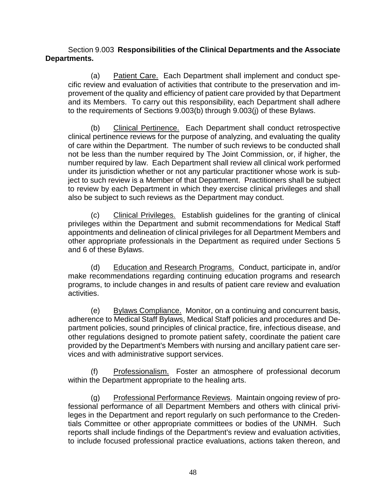### Section 9.003 **Responsibilities of the Clinical Departments and the Associate Departments.**

(a) Patient Care. Each Department shall implement and conduct specific review and evaluation of activities that contribute to the preservation and improvement of the quality and efficiency of patient care provided by that Department and its Members. To carry out this responsibility, each Department shall adhere to the requirements of Sections 9.003(b) through 9.003(j) of these Bylaws.

(b) Clinical Pertinence. Each Department shall conduct retrospective clinical pertinence reviews for the purpose of analyzing, and evaluating the quality of care within the Department. The number of such reviews to be conducted shall not be less than the number required by The Joint Commission, or, if higher, the number required by law. Each Department shall review all clinical work performed under its jurisdiction whether or not any particular practitioner whose work is subject to such review is a Member of that Department. Practitioners shall be subject to review by each Department in which they exercise clinical privileges and shall also be subject to such reviews as the Department may conduct.

(c) Clinical Privileges. Establish guidelines for the granting of clinical privileges within the Department and submit recommendations for Medical Staff appointments and delineation of clinical privileges for all Department Members and other appropriate professionals in the Department as required under Sections 5 and 6 of these Bylaws.

(d) Education and Research Programs. Conduct, participate in, and/or make recommendations regarding continuing education programs and research programs, to include changes in and results of patient care review and evaluation activities.

(e) Bylaws Compliance. Monitor, on a continuing and concurrent basis, adherence to Medical Staff Bylaws, Medical Staff policies and procedures and Department policies, sound principles of clinical practice, fire, infectious disease, and other regulations designed to promote patient safety, coordinate the patient care provided by the Department's Members with nursing and ancillary patient care services and with administrative support services.

(f) Professionalism. Foster an atmosphere of professional decorum within the Department appropriate to the healing arts.

(g) Professional Performance Reviews. Maintain ongoing review of professional performance of all Department Members and others with clinical privileges in the Department and report regularly on such performance to the Credentials Committee or other appropriate committees or bodies of the UNMH. Such reports shall include findings of the Department's review and evaluation activities, to include focused professional practice evaluations, actions taken thereon, and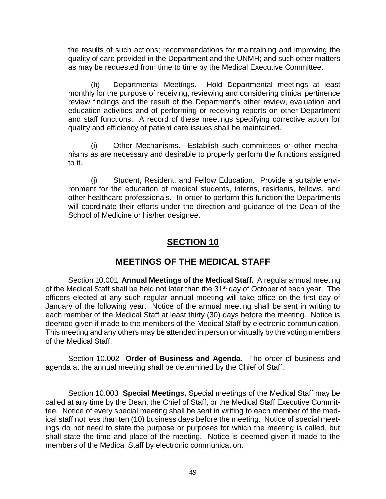the results of such actions; recommendations for maintaining and improving the quality of care provided in the Department and the UNMH; and such other matters as may be requested from time to time by the Medical Executive Committee.

(h) Departmental Meetings. Hold Departmental meetings at least monthly for the purpose of receiving, reviewing and considering clinical pertinence review findings and the result of the Department's other review, evaluation and education activities and of performing or receiving reports on other Department and staff functions. A record of these meetings specifying corrective action for quality and efficiency of patient care issues shall be maintained.

(i) Other Mechanisms. Establish such committees or other mechanisms as are necessary and desirable to properly perform the functions assigned to it.

(j) Student, Resident, and Fellow Education. Provide a suitable environment for the education of medical students, interns, residents, fellows, and other healthcare professionals. In order to perform this function the Departments will coordinate their efforts under the direction and guidance of the Dean of the School of Medicine or his/her designee.

# **SECTION 10**

# **MEETINGS OF THE MEDICAL STAFF**

Section 10.001 **Annual Meetings of the Medical Staff.** A regular annual meeting of the Medical Staff shall be held not later than the 31<sup>st</sup> day of October of each year. The officers elected at any such regular annual meeting will take office on the first day of January of the following year. Notice of the annual meeting shall be sent in writing to each member of the Medical Staff at least thirty (30) days before the meeting. Notice is deemed given if made to the members of the Medical Staff by electronic communication. This meeting and any others may be attended in person or virtually by the voting members of the Medical Staff.

Section 10.002 **Order of Business and Agenda.** The order of business and agenda at the annual meeting shall be determined by the Chief of Staff.

Section 10.003 **Special Meetings.** Special meetings of the Medical Staff may be called at any time by the Dean, the Chief of Staff, or the Medical Staff Executive Committee. Notice of every special meeting shall be sent in writing to each member of the medical staff not less than ten (10) business days before the meeting. Notice of special meetings do not need to state the purpose or purposes for which the meeting is called, but shall state the time and place of the meeting. Notice is deemed given if made to the members of the Medical Staff by electronic communication.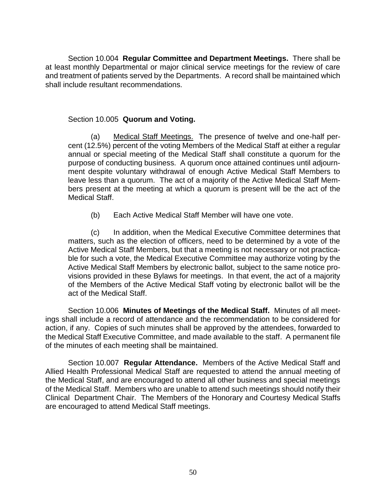Section 10.004 **Regular Committee and Department Meetings.** There shall be at least monthly Departmental or major clinical service meetings for the review of care and treatment of patients served by the Departments. A record shall be maintained which shall include resultant recommendations.

# Section 10.005 **Quorum and Voting.**

(a) Medical Staff Meetings. The presence of twelve and one-half percent (12.5%) percent of the voting Members of the Medical Staff at either a regular annual or special meeting of the Medical Staff shall constitute a quorum for the purpose of conducting business. A quorum once attained continues until adjournment despite voluntary withdrawal of enough Active Medical Staff Members to leave less than a quorum. The act of a majority of the Active Medical Staff Members present at the meeting at which a quorum is present will be the act of the Medical Staff.

(b) Each Active Medical Staff Member will have one vote.

(c) In addition, when the Medical Executive Committee determines that matters, such as the election of officers, need to be determined by a vote of the Active Medical Staff Members, but that a meeting is not necessary or not practicable for such a vote, the Medical Executive Committee may authorize voting by the Active Medical Staff Members by electronic ballot, subject to the same notice provisions provided in these Bylaws for meetings. In that event, the act of a majority of the Members of the Active Medical Staff voting by electronic ballot will be the act of the Medical Staff.

Section 10.006 **Minutes of Meetings of the Medical Staff.** Minutes of all meetings shall include a record of attendance and the recommendation to be considered for action, if any. Copies of such minutes shall be approved by the attendees, forwarded to the Medical Staff Executive Committee, and made available to the staff. A permanent file of the minutes of each meeting shall be maintained.

Section 10.007 **Regular Attendance.** Members of the Active Medical Staff and Allied Health Professional Medical Staff are requested to attend the annual meeting of the Medical Staff, and are encouraged to attend all other business and special meetings of the Medical Staff. Members who are unable to attend such meetings should notify their Clinical Department Chair. The Members of the Honorary and Courtesy Medical Staffs are encouraged to attend Medical Staff meetings.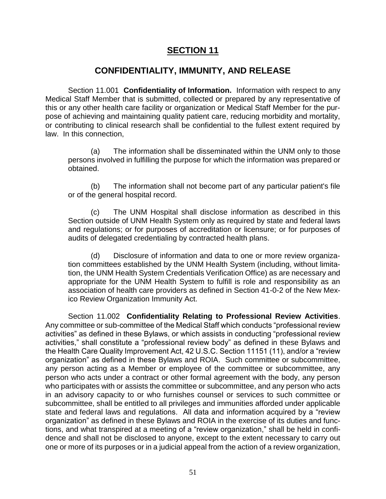# **SECTION 11**

# **CONFIDENTIALITY, IMMUNITY, AND RELEASE**

Section 11.001 **Confidentiality of Information.** Information with respect to any Medical Staff Member that is submitted, collected or prepared by any representative of this or any other health care facility or organization or Medical Staff Member for the purpose of achieving and maintaining quality patient care, reducing morbidity and mortality, or contributing to clinical research shall be confidential to the fullest extent required by law. In this connection,

(a) The information shall be disseminated within the UNM only to those persons involved in fulfilling the purpose for which the information was prepared or obtained.

(b) The information shall not become part of any particular patient's file or of the general hospital record.

(c) The UNM Hospital shall disclose information as described in this Section outside of UNM Health System only as required by state and federal laws and regulations; or for purposes of accreditation or licensure; or for purposes of audits of delegated credentialing by contracted health plans.

(d) Disclosure of information and data to one or more review organization committees established by the UNM Health System (including, without limitation, the UNM Health System Credentials Verification Office) as are necessary and appropriate for the UNM Health System to fulfill is role and responsibility as an association of health care providers as defined in Section 41-0-2 of the New Mexico Review Organization Immunity Act.

Section 11.002 **Confidentiality Relating to Professional Review Activities**. Any committee or sub-committee of the Medical Staff which conducts "professional review activities" as defined in these Bylaws, or which assists in conducting "professional review activities," shall constitute a "professional review body" as defined in these Bylaws and the Health Care Quality Improvement Act, 42 U.S.C. Section 11151 (11), and/or a "review organization" as defined in these Bylaws and ROIA. Such committee or subcommittee, any person acting as a Member or employee of the committee or subcommittee, any person who acts under a contract or other formal agreement with the body, any person who participates with or assists the committee or subcommittee, and any person who acts in an advisory capacity to or who furnishes counsel or services to such committee or subcommittee, shall be entitled to all privileges and immunities afforded under applicable state and federal laws and regulations. All data and information acquired by a "review organization" as defined in these Bylaws and ROIA in the exercise of its duties and functions, and what transpired at a meeting of a "review organization," shall be held in confidence and shall not be disclosed to anyone, except to the extent necessary to carry out one or more of its purposes or in a judicial appeal from the action of a review organization,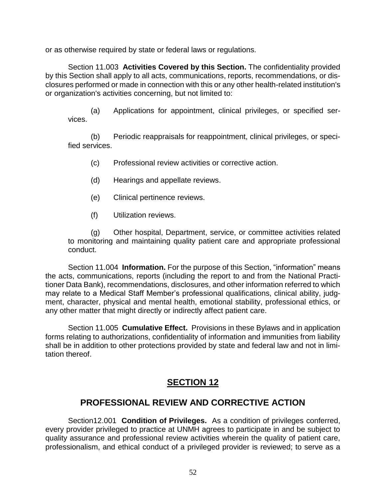or as otherwise required by state or federal laws or regulations.

Section 11.003 **Activities Covered by this Section.** The confidentiality provided by this Section shall apply to all acts, communications, reports, recommendations, or disclosures performed or made in connection with this or any other health-related institution's or organization's activities concerning, but not limited to:

(a) Applications for appointment, clinical privileges, or specified services.

(b) Periodic reappraisals for reappointment, clinical privileges, or specified services.

- (c) Professional review activities or corrective action.
- (d) Hearings and appellate reviews.
- (e) Clinical pertinence reviews.
- (f) Utilization reviews.

(g) Other hospital, Department, service, or committee activities related to monitoring and maintaining quality patient care and appropriate professional conduct.

Section 11.004 **Information.** For the purpose of this Section, "information" means the acts, communications, reports (including the report to and from the National Practitioner Data Bank), recommendations, disclosures, and other information referred to which may relate to a Medical Staff Member's professional qualifications, clinical ability, judgment, character, physical and mental health, emotional stability, professional ethics, or any other matter that might directly or indirectly affect patient care.

Section 11.005 **Cumulative Effect.** Provisions in these Bylaws and in application forms relating to authorizations, confidentiality of information and immunities from liability shall be in addition to other protections provided by state and federal law and not in limitation thereof.

# **SECTION 12**

# **PROFESSIONAL REVIEW AND CORRECTIVE ACTION**

Section12.001 **Condition of Privileges.** As a condition of privileges conferred, every provider privileged to practice at UNMH agrees to participate in and be subject to quality assurance and professional review activities wherein the quality of patient care, professionalism, and ethical conduct of a privileged provider is reviewed; to serve as a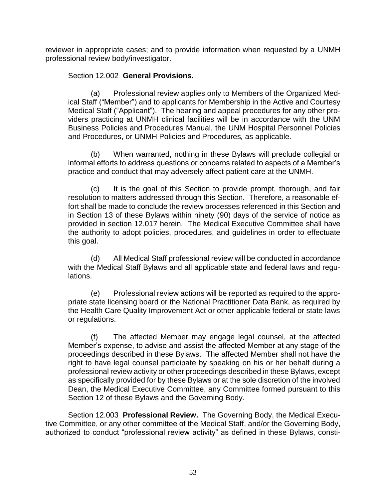reviewer in appropriate cases; and to provide information when requested by a UNMH professional review body/investigator.

## Section 12.002 **General Provisions.**

(a) Professional review applies only to Members of the Organized Medical Staff ("Member") and to applicants for Membership in the Active and Courtesy Medical Staff ("Applicant"). The hearing and appeal procedures for any other providers practicing at UNMH clinical facilities will be in accordance with the UNM Business Policies and Procedures Manual, the UNM Hospital Personnel Policies and Procedures, or UNMH Policies and Procedures*,* as applicable.

(b) When warranted, nothing in these Bylaws will preclude collegial or informal efforts to address questions or concerns related to aspects of a Member's practice and conduct that may adversely affect patient care at the UNMH.

(c) It is the goal of this Section to provide prompt, thorough, and fair resolution to matters addressed through this Section. Therefore, a reasonable effort shall be made to conclude the review processes referenced in this Section and in Section 13 of these Bylaws within ninety (90) days of the service of notice as provided in section 12.017 herein. The Medical Executive Committee shall have the authority to adopt policies, procedures, and guidelines in order to effectuate this goal.

(d) All Medical Staff professional review will be conducted in accordance with the Medical Staff Bylaws and all applicable state and federal laws and regulations.

(e) Professional review actions will be reported as required to the appropriate state licensing board or the National Practitioner Data Bank, as required by the Health Care Quality Improvement Act or other applicable federal or state laws or regulations.

(f) The affected Member may engage legal counsel, at the affected Member's expense, to advise and assist the affected Member at any stage of the proceedings described in these Bylaws. The affected Member shall not have the right to have legal counsel participate by speaking on his or her behalf during a professional review activity or other proceedings described in these Bylaws, except as specifically provided for by these Bylaws or at the sole discretion of the involved Dean, the Medical Executive Committee, any Committee formed pursuant to this Section 12 of these Bylaws and the Governing Body.

Section 12.003 **Professional Review.** The Governing Body, the Medical Executive Committee, or any other committee of the Medical Staff, and/or the Governing Body, authorized to conduct "professional review activity" as defined in these Bylaws, consti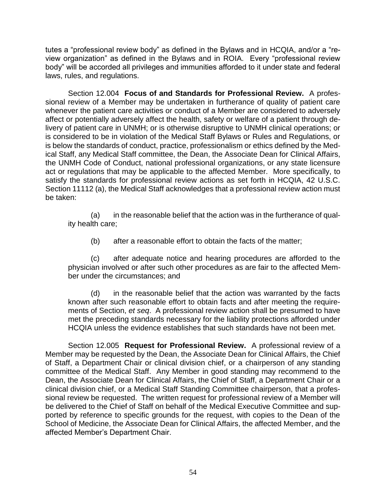tutes a "professional review body" as defined in the Bylaws and in HCQIA, and/or a "review organization" as defined in the Bylaws and in ROIA. Every "professional review body" will be accorded all privileges and immunities afforded to it under state and federal laws, rules, and regulations.

Section 12.004 **Focus of and Standards for Professional Review.** A professional review of a Member may be undertaken in furtherance of quality of patient care whenever the patient care activities or conduct of a Member are considered to adversely affect or potentially adversely affect the health, safety or welfare of a patient through delivery of patient care in UNMH; or is otherwise disruptive to UNMH clinical operations; or is considered to be in violation of the Medical Staff Bylaws or Rules and Regulations, or is below the standards of conduct, practice, professionalism or ethics defined by the Medical Staff, any Medical Staff committee, the Dean, the Associate Dean for Clinical Affairs, the UNMH Code of Conduct, national professional organizations, or any state licensure act or regulations that may be applicable to the affected Member. More specifically, to satisfy the standards for professional review actions as set forth in HCQIA, 42 U.S.C. Section 11112 (a), the Medical Staff acknowledges that a professional review action must be taken:

(a) in the reasonable belief that the action was in the furtherance of quality health care;

(b) after a reasonable effort to obtain the facts of the matter;

(c) after adequate notice and hearing procedures are afforded to the physician involved or after such other procedures as are fair to the affected Member under the circumstances; and

(d) in the reasonable belief that the action was warranted by the facts known after such reasonable effort to obtain facts and after meeting the requirements of Section, *et seq*. A professional review action shall be presumed to have met the preceding standards necessary for the liability protections afforded under HCQIA unless the evidence establishes that such standards have not been met.

Section 12.005 **Request for Professional Review.** A professional review of a Member may be requested by the Dean, the Associate Dean for Clinical Affairs, the Chief of Staff, a Department Chair or clinical division chief, or a chairperson of any standing committee of the Medical Staff. Any Member in good standing may recommend to the Dean, the Associate Dean for Clinical Affairs, the Chief of Staff, a Department Chair or a clinical division chief, or a Medical Staff Standing Committee chairperson, that a professional review be requested. The written request for professional review of a Member will be delivered to the Chief of Staff on behalf of the Medical Executive Committee and supported by reference to specific grounds for the request, with copies to the Dean of the School of Medicine, the Associate Dean for Clinical Affairs, the affected Member, and the affected Member's Department Chair.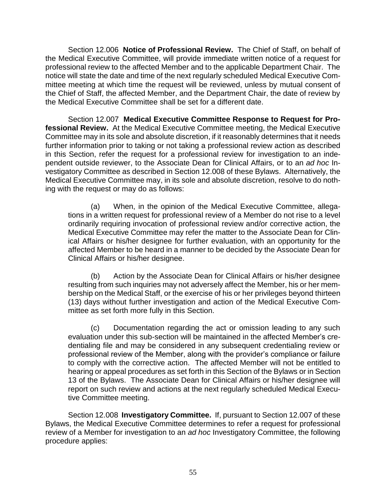Section 12.006 **Notice of Professional Review.** The Chief of Staff, on behalf of the Medical Executive Committee, will provide immediate written notice of a request for professional review to the affected Member and to the applicable Department Chair. The notice will state the date and time of the next regularly scheduled Medical Executive Committee meeting at which time the request will be reviewed, unless by mutual consent of the Chief of Staff, the affected Member, and the Department Chair, the date of review by the Medical Executive Committee shall be set for a different date.

Section 12.007 **Medical Executive Committee Response to Request for Professional Review.** At the Medical Executive Committee meeting, the Medical Executive Committee may in its sole and absolute discretion, if it reasonably determines that it needs further information prior to taking or not taking a professional review action as described in this Section, refer the request for a professional review for investigation to an independent outside reviewer, to the Associate Dean for Clinical Affairs, or to an *ad hoc* Investigatory Committee as described in Section 12.008 of these Bylaws. Alternatively, the Medical Executive Committee may, in its sole and absolute discretion, resolve to do nothing with the request or may do as follows:

(a) When, in the opinion of the Medical Executive Committee, allegations in a written request for professional review of a Member do not rise to a level ordinarily requiring invocation of professional review and/or corrective action, the Medical Executive Committee may refer the matter to the Associate Dean for Clinical Affairs or his/her designee for further evaluation, with an opportunity for the affected Member to be heard in a manner to be decided by the Associate Dean for Clinical Affairs or his/her designee.

(b) Action by the Associate Dean for Clinical Affairs or his/her designee resulting from such inquiries may not adversely affect the Member, his or her membership on the Medical Staff, or the exercise of his or her privileges beyond thirteen (13) days without further investigation and action of the Medical Executive Committee as set forth more fully in this Section.

(c) Documentation regarding the act or omission leading to any such evaluation under this sub-section will be maintained in the affected Member's credentialing file and may be considered in any subsequent credentialing review or professional review of the Member, along with the provider's compliance or failure to comply with the corrective action.The affected Member will not be entitled to hearing or appeal procedures as set forth in this Section of the Bylaws or in Section 13 of the Bylaws. The Associate Dean for Clinical Affairs or his/her designee will report on such review and actions at the next regularly scheduled Medical Executive Committee meeting.

Section 12.008 **Investigatory Committee.** If, pursuant to Section 12.007 of these Bylaws, the Medical Executive Committee determines to refer a request for professional review of a Member for investigation to an *ad hoc* Investigatory Committee, the following procedure applies: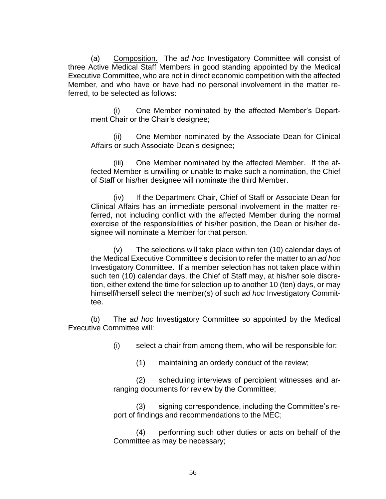(a) Composition. The *ad hoc* Investigatory Committee will consist of three Active Medical Staff Members in good standing appointed by the Medical Executive Committee, who are not in direct economic competition with the affected Member, and who have or have had no personal involvement in the matter referred, to be selected as follows:

One Member nominated by the affected Member's Department Chair or the Chair's designee;

(ii) One Member nominated by the Associate Dean for Clinical Affairs or such Associate Dean's designee;

(iii) One Member nominated by the affected Member*.* If the affected Member is unwilling or unable to make such a nomination, the Chief of Staff or his/her designee will nominate the third Member.

(iv) If the Department Chair, Chief of Staff or Associate Dean for Clinical Affairs has an immediate personal involvement in the matter referred, not including conflict with the affected Member during the normal exercise of the responsibilities of his/her position, the Dean or his/her designee will nominate a Member for that person.

(v) The selections will take place within ten (10) calendar days of the Medical Executive Committee's decision to refer the matter to an *ad hoc*  Investigatory Committee. If a member selection has not taken place within such ten (10) calendar days, the Chief of Staff may, at his/her sole discretion, either extend the time for selection up to another 10 (ten) days, or may himself/herself select the member(s) of such *ad hoc* Investigatory Committee.

(b) The *ad hoc* Investigatory Committee so appointed by the Medical Executive Committee will:

(i) select a chair from among them, who will be responsible for:

(1) maintaining an orderly conduct of the review;

(2) scheduling interviews of percipient witnesses and arranging documents for review by the Committee;

(3) signing correspondence, including the Committee's report of findings and recommendations to the MEC;

(4) performing such other duties or acts on behalf of the Committee as may be necessary;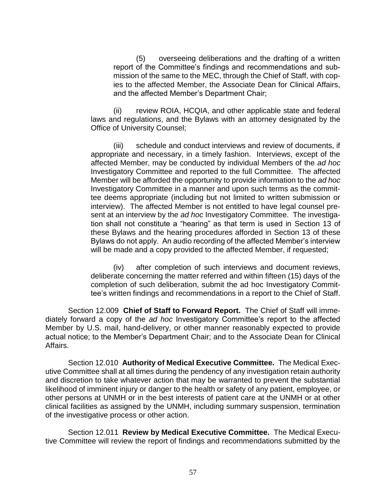(5) overseeing deliberations and the drafting of a written report of the Committee's findings and recommendations and submission of the same to the MEC, through the Chief of Staff, with copies to the affected Member, the Associate Dean for Clinical Affairs, and the affected Member's Department Chair;

(ii) review ROIA, HCQIA, and other applicable state and federal laws and regulations, and the Bylaws with an attorney designated by the Office of University Counsel;

(iii) schedule and conduct interviews and review of documents, if appropriate and necessary, in a timely fashion. Interviews, except of the affected Member, may be conducted by individual Members of the *ad hoc* Investigatory Committee and reported to the full Committee.The affected Member will be afforded the opportunity to provide information to the *ad hoc*  Investigatory Committee in a manner and upon such terms as the committee deems appropriate (including but not limited to written submission or interview). The affected Member is not entitled to have legal counsel present at an interview by the *ad hoc* Investigatory Committee. The investigation shall not constitute a "hearing" as that term is used in Section 13 of these Bylaws and the hearing procedures afforded in Section 13 of these Bylaws do not apply. An audio recording of the affected Member's interview will be made and a copy provided to the affected Member, if requested;

(iv) after completion of such interviews and document reviews, deliberate concerning the matter referred and within fifteen (15) days of the completion of such deliberation, submit the ad hoc Investigatory Committee's written findings and recommendations in a report to the Chief of Staff.

Section 12.009 **Chief of Staff to Forward Report.** The Chief of Staff will immediately forward a copy of the *ad hoc* Investigatory Committee's report to the affected Member by U.S. mail, hand-delivery, or other manner reasonably expected to provide actual notice; to the Member's Department Chair; and to the Associate Dean for Clinical Affairs.

Section 12.010 **Authority of Medical Executive Committee.** The Medical Executive Committee shall at all times during the pendency of any investigation retain authority and discretion to take whatever action that may be warranted to prevent the substantial likelihood of imminent injury or danger to the health or safety of any patient, employee, or other persons at UNMH or in the best interests of patient care at the UNMH or at other clinical facilities as assigned by the UNMH, including summary suspension, termination of the investigative process or other action.

Section 12.011 **Review by Medical Executive Committee.** The Medical Executive Committee will review the report of findings and recommendations submitted by the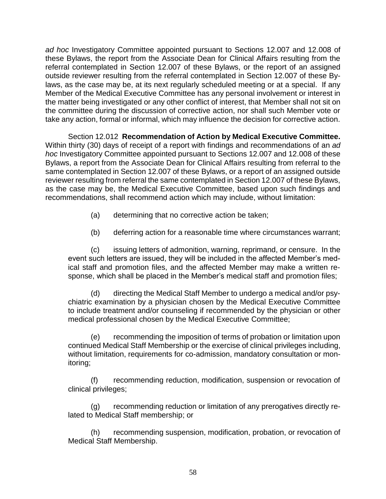*ad hoc* Investigatory Committee appointed pursuant to Sections 12.007 and 12.008 of these Bylaws, the report from the Associate Dean for Clinical Affairs resulting from the referral contemplated in Section 12.007 of these Bylaws, or the report of an assigned outside reviewer resulting from the referral contemplated in Section 12.007 of these Bylaws, as the case may be, at its next regularly scheduled meeting or at a special. If any Member of the Medical Executive Committee has any personal involvement or interest in the matter being investigated or any other conflict of interest, that Member shall not sit on the committee during the discussion of corrective action, nor shall such Member vote or take any action, formal or informal, which may influence the decision for corrective action.

Section 12.012 **Recommendation of Action by Medical Executive Committee.**  Within thirty (30) days of receipt of a report with findings and recommendations of an *ad hoc* Investigatory Committee appointed pursuant to Sections 12.007 and 12.008 of these Bylaws, a report from the Associate Dean for Clinical Affairs resulting from referral to the same contemplated in Section 12.007 of these Bylaws, or a report of an assigned outside reviewer resulting from referral the same contemplated in Section 12.007 of these Bylaws, as the case may be, the Medical Executive Committee, based upon such findings and recommendations, shall recommend action which may include, without limitation:

- (a) determining that no corrective action be taken;
- (b) deferring action for a reasonable time where circumstances warrant;

(c) issuing letters of admonition, warning, reprimand, or censure. In the event such letters are issued, they will be included in the affected Member's medical staff and promotion files, and the affected Member may make a written response, which shall be placed in the Member's medical staff and promotion files;

(d) directing the Medical Staff Member to undergo a medical and/or psychiatric examination by a physician chosen by the Medical Executive Committee to include treatment and/or counseling if recommended by the physician or other medical professional chosen by the Medical Executive Committee;

(e) recommending the imposition of terms of probation or limitation upon continued Medical Staff Membership or the exercise of clinical privileges including, without limitation, requirements for co-admission, mandatory consultation or monitoring;

(f) recommending reduction, modification, suspension or revocation of clinical privileges;

(g) recommending reduction or limitation of any prerogatives directly related to Medical Staff membership; or

(h) recommending suspension, modification, probation, or revocation of Medical Staff Membership.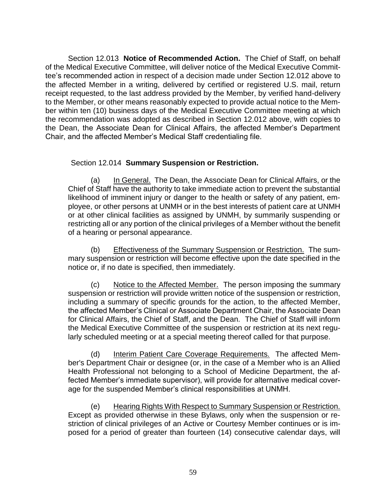Section 12.013 **Notice of Recommended Action.** The Chief of Staff, on behalf of the Medical Executive Committee, will deliver notice of the Medical Executive Committee's recommended action in respect of a decision made under Section 12.012 above to the affected Member in a writing, delivered by certified or registered U.S. mail, return receipt requested, to the last address provided by the Member, by verified hand-delivery to the Member, or other means reasonably expected to provide actual notice to the Member within ten (10) business days of the Medical Executive Committee meeting at which the recommendation was adopted as described in Section 12.012 above, with copies to the Dean, the Associate Dean for Clinical Affairs, the affected Member's Department Chair, and the affected Member's Medical Staff credentialing file.

### Section 12.014 **Summary Suspension or Restriction.**

(a) In General. The Dean, the Associate Dean for Clinical Affairs, or the Chief of Staff have the authority to take immediate action to prevent the substantial likelihood of imminent injury or danger to the health or safety of any patient, employee, or other persons at UNMH or in the best interests of patient care at UNMH or at other clinical facilities as assigned by UNMH, by summarily suspending or restricting all or any portion of the clinical privileges of a Member without the benefit of a hearing or personal appearance.

(b) Effectiveness of the Summary Suspension or Restriction. The summary suspension or restriction will become effective upon the date specified in the notice or, if no date is specified, then immediately.

(c) Notice to the Affected Member. The person imposing the summary suspension or restriction will provide written notice of the suspension or restriction, including a summary of specific grounds for the action, to the affected Member, the affected Member's Clinical or Associate Department Chair, the Associate Dean for Clinical Affairs, the Chief of Staff, and the Dean*.* The Chief of Staff will inform the Medical Executive Committee of the suspension or restriction at its next regularly scheduled meeting or at a special meeting thereof called for that purpose.

(d) Interim Patient Care Coverage Requirements. The affected Member's Department Chair or designee (or, in the case of a Member who is an Allied Health Professional not belonging to a School of Medicine Department, the affected Member's immediate supervisor), will provide for alternative medical coverage for the suspended Member's clinical responsibilities at UNMH.

(e) Hearing Rights With Respect to Summary Suspension or Restriction. Except as provided otherwise in these Bylaws, only when the suspension or restriction of clinical privileges of an Active or Courtesy Member continues or is imposed for a period of greater than fourteen (14) consecutive calendar days, will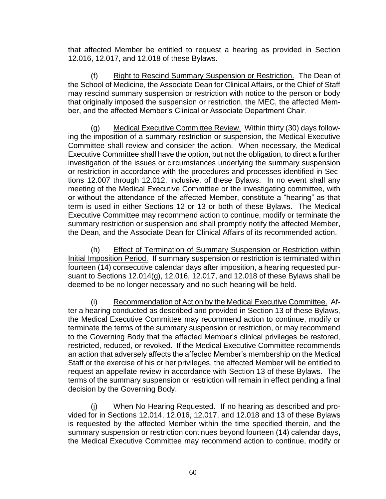that affected Member be entitled to request a hearing as provided in Section 12.016, 12.017, and 12.018 of these Bylaws.

(f) Right to Rescind Summary Suspension or Restriction. The Dean of the School of Medicine, the Associate Dean for Clinical Affairs, or the Chief of Staff may rescind summary suspension or restriction with notice to the person or body that originally imposed the suspension or restriction, the MEC, the affected Member, and the affected Member's Clinical or Associate Department Chair.

(g) Medical Executive Committee Review. Within thirty (30) days following the imposition of a summary restriction or suspension, the Medical Executive Committee shall review and consider the action. When necessary, the Medical Executive Committee shall have the option, but not the obligation, to direct a further investigation of the issues or circumstances underlying the summary suspension or restriction in accordance with the procedures and processes identified in Sections 12.007 through 12.012, inclusive, of these Bylaws. In no event shall any meeting of the Medical Executive Committee or the investigating committee, with or without the attendance of the affected Member, constitute a "hearing" as that term is used in either Sections 12 or 13 or both of these Bylaws. The Medical Executive Committee may recommend action to continue, modify or terminate the summary restriction or suspension and shall promptly notify the affected Member, the Dean, and the Associate Dean for Clinical Affairs of its recommended action.

(h) Effect of Termination of Summary Suspension or Restriction within Initial Imposition Period. If summary suspension or restriction is terminated within fourteen (14) consecutive calendar days after imposition, a hearing requested pursuant to Sections 12.014(g), 12.016, 12.017, and 12.018 of these Bylaws shall be deemed to be no longer necessary and no such hearing will be held.

(i) Recommendation of Action by the Medical Executive Committee. After a hearing conducted as described and provided in Section 13 of these Bylaws, the Medical Executive Committee may recommend action to continue, modify or terminate the terms of the summary suspension or restriction, or may recommend to the Governing Body that the affected Member's clinical privileges be restored, restricted, reduced, or revoked. If the Medical Executive Committee recommends an action that adversely affects the affected Member's membership on the Medical Staff or the exercise of his or her privileges, the affected Member will be entitled to request an appellate review in accordance with Section 13 of these Bylaws. The terms of the summary suspension or restriction will remain in effect pending a final decision by the Governing Body.

(j) When No Hearing Requested. If no hearing as described and provided for in Sections 12.014, 12.016, 12.017, and 12.018 and 13 of these Bylaws is requested by the affected Member within the time specified therein, and the summary suspension or restriction continues beyond fourteen (14) calendar days**,** the Medical Executive Committee may recommend action to continue, modify or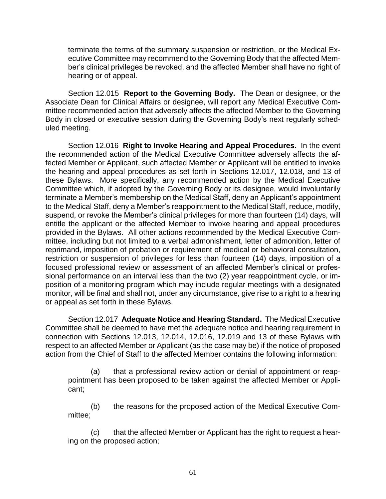terminate the terms of the summary suspension or restriction, or the Medical Executive Committee may recommend to the Governing Body that the affected Member's clinical privileges be revoked, and the affected Member shall have no right of hearing or of appeal.

Section 12.015 **Report to the Governing Body.** The Dean or designee, or the Associate Dean for Clinical Affairs or designee, will report any Medical Executive Committee recommended action that adversely affects the affected Member to the Governing Body in closed or executive session during the Governing Body's next regularly scheduled meeting.

Section 12.016 **Right to Invoke Hearing and Appeal Procedures.** In the event the recommended action of the Medical Executive Committee adversely affects the affected Member or Applicant, such affected Member or Applicant will be entitled to invoke the hearing and appeal procedures as set forth in Sections 12.017, 12.018, and 13 of these Bylaws. More specifically, any recommended action by the Medical Executive Committee which, if adopted by the Governing Body or its designee, would involuntarily terminate a Member's membership on the Medical Staff, deny an Applicant's appointment to the Medical Staff, deny a Member's reappointment to the Medical Staff, reduce, modify, suspend, or revoke the Member's clinical privileges for more than fourteen (14) days, will entitle the applicant or the affected Member to invoke hearing and appeal procedures provided in the Bylaws. All other actions recommended by the Medical Executive Committee, including but not limited to a verbal admonishment, letter of admonition, letter of reprimand, imposition of probation or requirement of medical or behavioral consultation, restriction or suspension of privileges for less than fourteen (14) days, imposition of a focused professional review or assessment of an affected Member's clinical or professional performance on an interval less than the two (2) year reappointment cycle, or imposition of a monitoring program which may include regular meetings with a designated monitor, will be final and shall not, under any circumstance, give rise to a right to a hearing or appeal as set forth in these Bylaws.

Section 12.017 **Adequate Notice and Hearing Standard.** The Medical Executive Committee shall be deemed to have met the adequate notice and hearing requirement in connection with Sections 12.013, 12.014, 12.016, 12.019 and 13 of these Bylaws with respect to an affected Member or Applicant (as the case may be) if the notice of proposed action from the Chief of Staff to the affected Member contains the following information:

(a) that a professional review action or denial of appointment or reappointment has been proposed to be taken against the affected Member or Applicant;

(b) the reasons for the proposed action of the Medical Executive Committee;

(c) that the affected Member or Applicant has the right to request a hearing on the proposed action;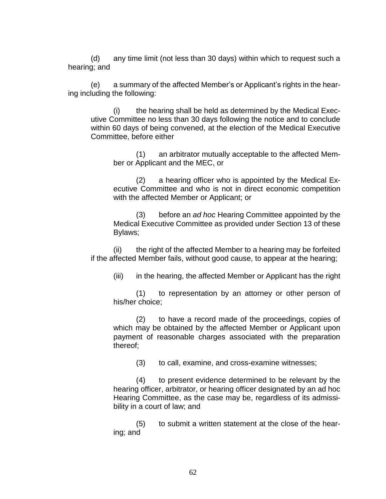(d) any time limit (not less than 30 days) within which to request such a hearing; and

(e) a summary of the affected Member's or Applicant's rights in the hearing including the following:

(i) the hearing shall be held as determined by the Medical Executive Committee no less than 30 days following the notice and to conclude within 60 days of being convened, at the election of the Medical Executive Committee, before either

(1) an arbitrator mutually acceptable to the affected Member or Applicant and the MEC, or

(2) a hearing officer who is appointed by the Medical Executive Committee and who is not in direct economic competition with the affected Member or Applicant; or

(3) before an *ad hoc* Hearing Committee appointed by the Medical Executive Committee as provided under Section 13 of these Bylaws;

(ii) the right of the affected Member to a hearing may be forfeited if the affected Member fails, without good cause, to appear at the hearing;

(iii) in the hearing, the affected Member or Applicant has the right

(1) to representation by an attorney or other person of his/her choice;

(2) to have a record made of the proceedings, copies of which may be obtained by the affected Member or Applicant upon payment of reasonable charges associated with the preparation thereof;

(3) to call, examine, and cross-examine witnesses;

(4) to present evidence determined to be relevant by the hearing officer, arbitrator, or hearing officer designated by an ad hoc Hearing Committee, as the case may be, regardless of its admissibility in a court of law; and

(5) to submit a written statement at the close of the hearing; and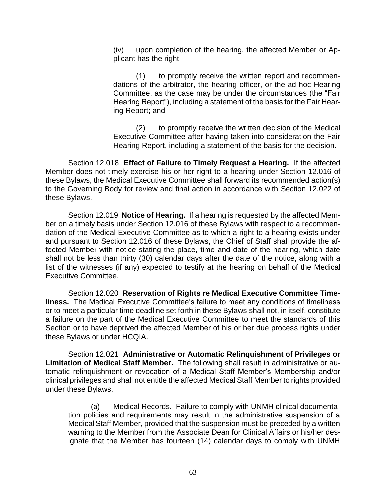(iv) upon completion of the hearing, the affected Member or Applicant has the right

(1) to promptly receive the written report and recommendations of the arbitrator, the hearing officer, or the ad hoc Hearing Committee, as the case may be under the circumstances (the "Fair Hearing Report"), including a statement of the basis for the Fair Hearing Report; and

(2) to promptly receive the written decision of the Medical Executive Committee after having taken into consideration the Fair Hearing Report, including a statement of the basis for the decision.

Section 12.018 **Effect of Failure to Timely Request a Hearing.** If the affected Member does not timely exercise his or her right to a hearing under Section 12.016 of these Bylaws, the Medical Executive Committee shall forward its recommended action(s) to the Governing Body for review and final action in accordance with Section 12.022 of these Bylaws.

Section 12.019 **Notice of Hearing.** If a hearing is requested by the affected Member on a timely basis under Section 12.016 of these Bylaws with respect to a recommendation of the Medical Executive Committee as to which a right to a hearing exists under and pursuant to Section 12.016 of these Bylaws, the Chief of Staff shall provide the affected Member with notice stating the place, time and date of the hearing, which date shall not be less than thirty (30) calendar days after the date of the notice, along with a list of the witnesses (if any) expected to testify at the hearing on behalf of the Medical Executive Committee.

Section 12.020 **Reservation of Rights re Medical Executive Committee Timeliness.** The Medical Executive Committee's failure to meet any conditions of timeliness or to meet a particular time deadline set forth in these Bylaws shall not, in itself, constitute a failure on the part of the Medical Executive Committee to meet the standards of this Section or to have deprived the affected Member of his or her due process rights under these Bylaws or under HCQIA.

Section 12.021 **Administrative or Automatic Relinquishment of Privileges or Limitation of Medical Staff Member.** The following shall result in administrative or automatic relinquishment or revocation of a Medical Staff Member's Membership and/or clinical privileges and shall not entitle the affected Medical Staff Member to rights provided under these Bylaws.

(a) Medical Records. Failure to comply with UNMH clinical documentation policies and requirements may result in the administrative suspension of a Medical Staff Member, provided that the suspension must be preceded by a written warning to the Member from the Associate Dean for Clinical Affairs or his/her designate that the Member has fourteen (14) calendar days to comply with UNMH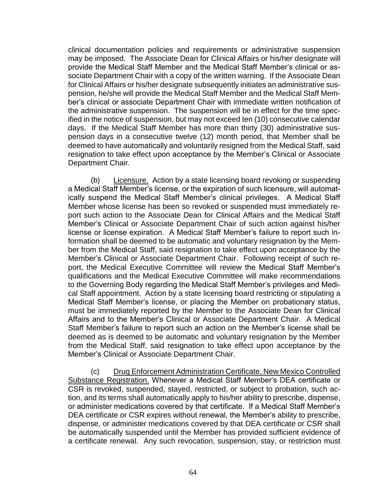clinical documentation policies and requirements or administrative suspension may be imposed. The Associate Dean for Clinical Affairs or his/her designate will provide the Medical Staff Member and the Medical Staff Member's clinical or associate Department Chair with a copy of the written warning. If the Associate Dean for Clinical Affairs or his/her designate subsequently initiates an administrative suspension, he/she will provide the Medical Staff Member and the Medical Staff Member's clinical or associate Department Chair with immediate written notification of the administrative suspension. The suspension will be in effect for the time specified in the notice of suspension, but may not exceed ten (10) consecutive calendar days. If the Medical Staff Member has more than thirty (30) administrative suspension days in a consecutive twelve (12) month period, that Member shall be deemed to have automatically and voluntarily resigned from the Medical Staff, said resignation to take effect upon acceptance by the Member's Clinical or Associate Department Chair.

(b) Licensure.Action by a state licensing board revoking or suspending a Medical Staff Member's license, or the expiration of such licensure, will automatically suspend the Medical Staff Member's clinical privileges. A Medical Staff Member whose license has been so revoked or suspended must immediately report such action to the Associate Dean for Clinical Affairs and the Medical Staff Member's Clinical or Associate Department Chair of such action against his/her license or license expiration. A Medical Staff Member's failure to report such information shall be deemed to be automatic and voluntary resignation by the Member from the Medical Staff, said resignation to take effect upon acceptance by the Member's Clinical or Associate Department Chair. Following receipt of such report, the Medical Executive Committee will review the Medical Staff Member's qualifications and the Medical Executive Committee will make recommendations to the Governing Body regarding the Medical Staff Member's privileges and Medical Staff appointment. Action by a state licensing board restricting or stipulating a Medical Staff Member's license, or placing the Member on probationary status, must be immediately reported by the Member to the Associate Dean for Clinical Affairs and to the Member's Clinical or Associate Department Chair. A Medical Staff Member's failure to report such an action on the Member's license shall be deemed as is deemed to be automatic and voluntary resignation by the Member from the Medical Staff, said resignation to take effect upon acceptance by the Member's Clinical or Associate Department Chair.

(c) Drug Enforcement Administration Certificate, New Mexico Controlled Substance Registration. Whenever a Medical Staff Member's DEA certificate or CSR is revoked, suspended, stayed, restricted, or subject to probation, such action, and its terms shall automatically apply to his/her ability to prescribe, dispense, or administer medications covered by that certificate. If a Medical Staff Member's DEA certificate or CSR expires without renewal, the Member's ability to prescribe, dispense, or administer medications covered by that DEA certificate or CSR shall be automatically suspended until the Member has provided sufficient evidence of a certificate renewal. Any such revocation, suspension, stay, or restriction must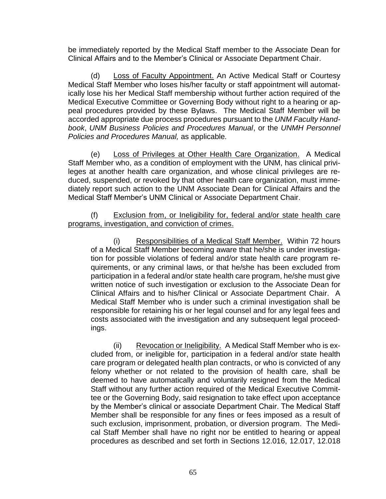be immediately reported by the Medical Staff member to the Associate Dean for Clinical Affairs and to the Member's Clinical or Associate Department Chair.

(d) Loss of Faculty Appointment. An Active Medical Staff or Courtesy Medical Staff Member who loses his/her faculty or staff appointment will automatically lose his her Medical Staff membership without further action required of the Medical Executive Committee or Governing Body without right to a hearing or appeal procedures provided by these Bylaws. The Medical Staff Member will be accorded appropriate due process procedures pursuant to the *UNM Faculty Handbook*, *UNM Business Policies and Procedures Manual*, or the *UNMH Personnel Policies and Procedures Manual,* as applicable*.*

(e) Loss of Privileges at Other Health Care Organization. A Medical Staff Member who, as a condition of employment with the UNM, has clinical privileges at another health care organization, and whose clinical privileges are reduced, suspended, or revoked by that other health care organization, must immediately report such action to the UNM Associate Dean for Clinical Affairs and the Medical Staff Member's UNM Clinical or Associate Department Chair.

(f) Exclusion from, or Ineligibility for, federal and/or state health care programs, investigation, and conviction of crimes.

(i) Responsibilities of a Medical Staff Member.Within 72 hours of a Medical Staff Member becoming aware that he/she is under investigation for possible violations of federal and/or state health care program requirements, or any criminal laws, or that he/she has been excluded from participation in a federal and/or state health care program, he/she must give written notice of such investigation or exclusion to the Associate Dean for Clinical Affairs and to his/her Clinical or Associate Department Chair. A Medical Staff Member who is under such a criminal investigation shall be responsible for retaining his or her legal counsel and for any legal fees and costs associated with the investigation and any subsequent legal proceedings.

(ii) Revocation or Ineligibility. A Medical Staff Member who is excluded from, or ineligible for, participation in a federal and/or state health care program or delegated health plan contracts, or who is convicted of any felony whether or not related to the provision of health care, shall be deemed to have automatically and voluntarily resigned from the Medical Staff without any further action required of the Medical Executive Committee or the Governing Body, said resignation to take effect upon acceptance by the Member's clinical or associate Department Chair. The Medical Staff Member shall be responsible for any fines or fees imposed as a result of such exclusion, imprisonment, probation, or diversion program. The Medical Staff Member shall have no right nor be entitled to hearing or appeal procedures as described and set forth in Sections 12.016, 12.017, 12.018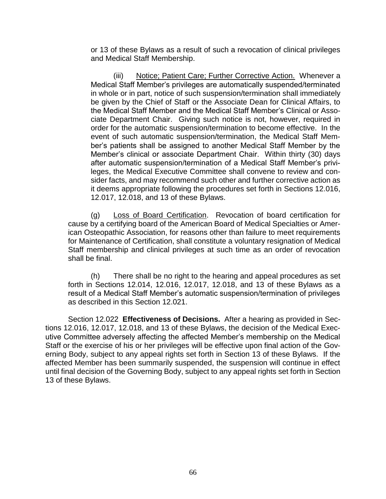or 13 of these Bylaws as a result of such a revocation of clinical privileges and Medical Staff Membership.

(iii) Notice; Patient Care; Further Corrective Action. Whenever a Medical Staff Member's privileges are automatically suspended/terminated in whole or in part, notice of such suspension/termination shall immediately be given by the Chief of Staff or the Associate Dean for Clinical Affairs, to the Medical Staff Member and the Medical Staff Member's Clinical or Associate Department Chair. Giving such notice is not, however, required in order for the automatic suspension/termination to become effective. In the event of such automatic suspension/termination, the Medical Staff Member's patients shall be assigned to another Medical Staff Member by the Member's clinical or associate Department Chair. Within thirty (30) days after automatic suspension/termination of a Medical Staff Member's privileges, the Medical Executive Committee shall convene to review and consider facts, and may recommend such other and further corrective action as it deems appropriate following the procedures set forth in Sections 12.016, 12.017, 12.018, and 13 of these Bylaws.

(g) Loss of Board Certification. Revocation of board certification for cause by a certifying board of the American Board of Medical Specialties or American Osteopathic Association, for reasons other than failure to meet requirements for Maintenance of Certification, shall constitute a voluntary resignation of Medical Staff membership and clinical privileges at such time as an order of revocation shall be final.

(h) There shall be no right to the hearing and appeal procedures as set forth in Sections 12.014, 12.016, 12.017, 12.018, and 13 of these Bylaws as a result of a Medical Staff Member's automatic suspension/termination of privileges as described in this Section 12.021.

Section 12.022 **Effectiveness of Decisions.** After a hearing as provided in Sections 12.016, 12.017, 12.018, and 13 of these Bylaws, the decision of the Medical Executive Committee adversely affecting the affected Member's membership on the Medical Staff or the exercise of his or her privileges will be effective upon final action of the Governing Body, subject to any appeal rights set forth in Section 13 of these Bylaws. If the affected Member has been summarily suspended, the suspension will continue in effect until final decision of the Governing Body, subject to any appeal rights set forth in Section 13 of these Bylaws.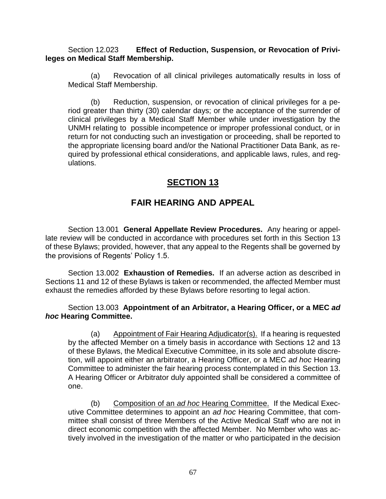Section 12.023 **Effect of Reduction, Suspension, or Revocation of Privileges on Medical Staff Membership.**

(a) Revocation of all clinical privileges automatically results in loss of Medical Staff Membership.

(b) Reduction, suspension, or revocation of clinical privileges for a period greater than thirty (30) calendar days; or the acceptance of the surrender of clinical privileges by a Medical Staff Member while under investigation by the UNMH relating to possible incompetence or improper professional conduct, or in return for not conducting such an investigation or proceeding, shall be reported to the appropriate licensing board and/or the National Practitioner Data Bank, as required by professional ethical considerations, and applicable laws, rules, and regulations.

## **SECTION 13**

# **FAIR HEARING AND APPEAL**

Section 13.001 **General Appellate Review Procedures.** Any hearing or appellate review will be conducted in accordance with procedures set forth in this Section 13 of these Bylaws; provided, however, that any appeal to the Regents shall be governed by the provisions of Regents' Policy 1.5.

Section 13.002 **Exhaustion of Remedies.** If an adverse action as described in Sections 11 and 12 of these Bylaws is taken or recommended, the affected Member must exhaust the remedies afforded by these Bylaws before resorting to legal action.

Section 13.003 **Appointment of an Arbitrator, a Hearing Officer, or a MEC** *ad hoc* **Hearing Committee.** 

(a) Appointment of Fair Hearing Adjudicator(s). If a hearing is requested by the affected Member on a timely basis in accordance with Sections 12 and 13 of these Bylaws, the Medical Executive Committee, in its sole and absolute discretion, will appoint either an arbitrator, a Hearing Officer, or a MEC *ad hoc* Hearing Committee to administer the fair hearing process contemplated in this Section 13. A Hearing Officer or Arbitrator duly appointed shall be considered a committee of one.

(b) Composition of an *ad hoc* Hearing Committee. If the Medical Executive Committee determines to appoint an *ad hoc* Hearing Committee, that committee shall consist of three Members of the Active Medical Staff who are not in direct economic competition with the affected Member. No Member who was actively involved in the investigation of the matter or who participated in the decision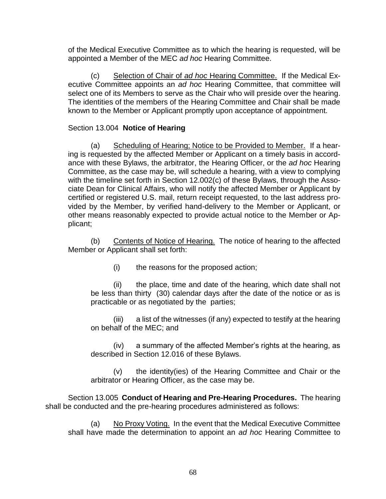of the Medical Executive Committee as to which the hearing is requested, will be appointed a Member of the MEC *ad hoc* Hearing Committee.

(c) Selection of Chair of *ad hoc* Hearing Committee. If the Medical Executive Committee appoints an *ad hoc* Hearing Committee, that committee will select one of its Members to serve as the Chair who will preside over the hearing. The identities of the members of the Hearing Committee and Chair shall be made known to the Member or Applicant promptly upon acceptance of appointment.

#### Section 13.004 **Notice of Hearing**

(a) Scheduling of Hearing; Notice to be Provided to Member. If a hearing is requested by the affected Member or Applicant on a timely basis in accordance with these Bylaws, the arbitrator, the Hearing Officer, or the *ad hoc* Hearing Committee, as the case may be, will schedule a hearing, with a view to complying with the timeline set forth in Section 12.002(c) of these Bylaws, through the Associate Dean for Clinical Affairs, who will notify the affected Member or Applicant by certified or registered U.S. mail, return receipt requested, to the last address provided by the Member, by verified hand-delivery to the Member or Applicant, or other means reasonably expected to provide actual notice to the Member or Applicant;

(b) Contents of Notice of Hearing. The notice of hearing to the affected Member or Applicant shall set forth:

(i) the reasons for the proposed action;

(ii) the place, time and date of the hearing, which date shall not be less than thirty (30) calendar days after the date of the notice or as is practicable or as negotiated by the parties;

(iii) a list of the witnesses (if any) expected to testify at the hearing on behalf of the MEC; and

(iv) a summary of the affected Member's rights at the hearing, as described in Section 12.016 of these Bylaws.

(v) the identity(ies) of the Hearing Committee and Chair or the arbitrator or Hearing Officer, as the case may be.

Section 13.005 **Conduct of Hearing and Pre-Hearing Procedures.** The hearing shall be conducted and the pre-hearing procedures administered as follows:

(a) No Proxy Voting. In the event that the Medical Executive Committee shall have made the determination to appoint an *ad hoc* Hearing Committee to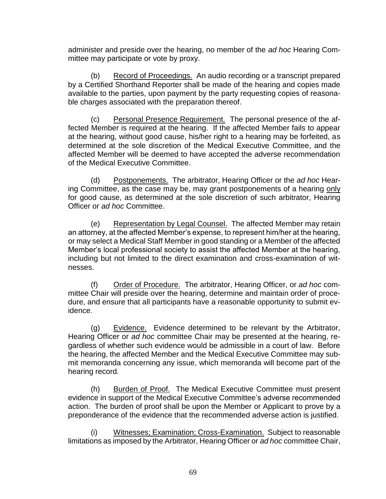administer and preside over the hearing, no member of the *ad hoc* Hearing Committee may participate or vote by proxy.

(b) Record of Proceedings. An audio recording or a transcript prepared by a Certified Shorthand Reporter shall be made of the hearing and copies made available to the parties, upon payment by the party requesting copies of reasonable charges associated with the preparation thereof.

(c) Personal Presence Requirement. The personal presence of the affected Member is required at the hearing. If the affected Member fails to appear at the hearing, without good cause, his/her right to a hearing may be forfeited, as determined at the sole discretion of the Medical Executive Committee, and the affected Member will be deemed to have accepted the adverse recommendation of the Medical Executive Committee.

(d) Postponements. The arbitrator, Hearing Officer or the *ad hoc* Hearing Committee, as the case may be, may grant postponements of a hearing only for good cause, as determined at the sole discretion of such arbitrator, Hearing Officer or *ad hoc* Committee.

(e) Representation by Legal Counsel. The affected Member may retain an attorney, at the affected Member's expense, to represent him/her at the hearing, or may select a Medical Staff Member in good standing or a Member of the affected Member's local professional society to assist the affected Member at the hearing, including but not limited to the direct examination and cross-examination of witnesses.

(f) Order of Procedure. The arbitrator, Hearing Officer, or *ad hoc* committee Chair will preside over the hearing, determine and maintain order of procedure, and ensure that all participants have a reasonable opportunity to submit evidence.

(g) Evidence. Evidence determined to be relevant by the Arbitrator, Hearing Officer or *ad hoc* committee Chair may be presented at the hearing, regardless of whether such evidence would be admissible in a court of law. Before the hearing, the affected Member and the Medical Executive Committee may submit memoranda concerning any issue, which memoranda will become part of the hearing record.

(h) Burden of Proof. The Medical Executive Committee must present evidence in support of the Medical Executive Committee's adverse recommended action. The burden of proof shall be upon the Member or Applicant to prove by a preponderance of the evidence that the recommended adverse action is justified.

(i) Witnesses; Examination; Cross-Examination. Subject to reasonable limitations as imposed by the Arbitrator, Hearing Officer or *ad hoc* committee Chair,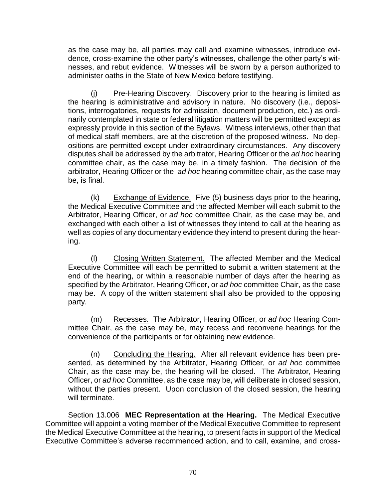as the case may be, all parties may call and examine witnesses, introduce evidence, cross-examine the other party's witnesses, challenge the other party's witnesses, and rebut evidence. Witnesses will be sworn by a person authorized to administer oaths in the State of New Mexico before testifying.

(j) Pre-Hearing Discovery.Discovery prior to the hearing is limited as the hearing is administrative and advisory in nature. No discovery (i.e., depositions, interrogatories, requests for admission, document production, etc.) as ordinarily contemplated in state or federal litigation matters will be permitted except as expressly provide in this section of the Bylaws. Witness interviews, other than that of medical staff members, are at the discretion of the proposed witness. No depositions are permitted except under extraordinary circumstances. Any discovery disputes shall be addressed by the arbitrator, Hearing Officer or the *ad hoc* hearing committee chair, as the case may be, in a timely fashion. The decision of the arbitrator, Hearing Officer or the *ad hoc* hearing committee chair, as the case may be, is final.

(k) Exchange of Evidence.Five (5) business days prior to the hearing, the Medical Executive Committee and the affected Member will each submit to the Arbitrator, Hearing Officer, or *ad hoc* committee Chair, as the case may be, and exchanged with each other a list of witnesses they intend to call at the hearing as well as copies of any documentary evidence they intend to present during the hearing.

(l) Closing Written Statement. The affected Member and the Medical Executive Committee will each be permitted to submit a written statement at the end of the hearing, or within a reasonable number of days after the hearing as specified by the Arbitrator, Hearing Officer, or *ad hoc* committee Chair, as the case may be. A copy of the written statement shall also be provided to the opposing party.

(m) Recesses. The Arbitrator, Hearing Officer, or *ad hoc* Hearing Committee Chair, as the case may be, may recess and reconvene hearings for the convenience of the participants or for obtaining new evidence.

(n) Concluding the Hearing. After all relevant evidence has been presented, as determined by the Arbitrator, Hearing Officer, or *ad hoc* committee Chair, as the case may be, the hearing will be closed. The Arbitrator, Hearing Officer, or *ad hoc* Committee, as the case may be, will deliberate in closed session, without the parties present. Upon conclusion of the closed session, the hearing will terminate.

Section 13.006 **MEC Representation at the Hearing.** The Medical Executive Committee will appoint a voting member of the Medical Executive Committee to represent the Medical Executive Committee at the hearing, to present facts in support of the Medical Executive Committee's adverse recommended action, and to call, examine, and cross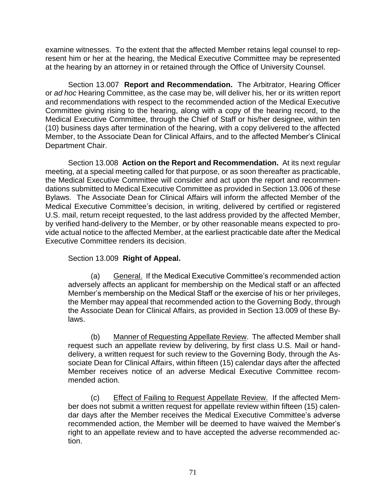examine witnesses. To the extent that the affected Member retains legal counsel to represent him or her at the hearing, the Medical Executive Committee may be represented at the hearing by an attorney in or retained through the Office of University Counsel.

Section 13.007 **Report and Recommendation.** The Arbitrator, Hearing Officer or *ad hoc* Hearing Committee, as the case may be, will deliver his, her or its written report and recommendations with respect to the recommended action of the Medical Executive Committee giving rising to the hearing, along with a copy of the hearing record, to the Medical Executive Committee, through the Chief of Staff or his/her designee, within ten (10) business days after termination of the hearing, with a copy delivered to the affected Member, to the Associate Dean for Clinical Affairs, and to the affected Member's Clinical Department Chair.

Section 13.008 **Action on the Report and Recommendation.** At its next regular meeting, at a special meeting called for that purpose, or as soon thereafter as practicable, the Medical Executive Committee will consider and act upon the report and recommendations submitted to Medical Executive Committee as provided in Section 13.006 of these Bylaws. The Associate Dean for Clinical Affairs will inform the affected Member of the Medical Executive Committee's decision, in writing, delivered by certified or registered U.S. mail, return receipt requested, to the last address provided by the affected Member, by verified hand-delivery to the Member, or by other reasonable means expected to provide actual notice to the affected Member, at the earliest practicable date after the Medical Executive Committee renders its decision.

### Section 13.009 **Right of Appeal.**

(a) General. If the Medical Executive Committee's recommended action adversely affects an applicant for membership on the Medical staff or an affected Member's membership on the Medical Staff or the exercise of his or her privileges, the Member may appeal that recommended action to the Governing Body, through the Associate Dean for Clinical Affairs, as provided in Section 13.009 of these Bylaws.

(b) Manner of Requesting Appellate Review. The affected Member shall request such an appellate review by delivering, by first class U.S. Mail or handdelivery, a written request for such review to the Governing Body, through the Associate Dean for Clinical Affairs, within fifteen (15) calendar days after the affected Member receives notice of an adverse Medical Executive Committee recommended action.

(c) Effect of Failing to Request Appellate Review. If the affected Member does not submit a written request for appellate review within fifteen (15) calendar days after the Member receives the Medical Executive Committee's adverse recommended action, the Member will be deemed to have waived the Member's right to an appellate review and to have accepted the adverse recommended action.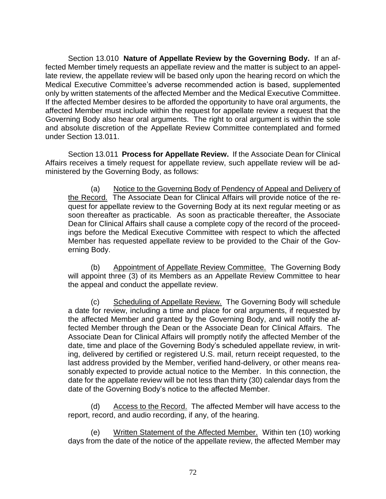Section 13.010 **Nature of Appellate Review by the Governing Body.** If an affected Member timely requests an appellate review and the matter is subject to an appellate review, the appellate review will be based only upon the hearing record on which the Medical Executive Committee's adverse recommended action is based, supplemented only by written statements of the affected Member and the Medical Executive Committee. If the affected Member desires to be afforded the opportunity to have oral arguments, the affected Member must include within the request for appellate review a request that the Governing Body also hear oral arguments. The right to oral argument is within the sole and absolute discretion of the Appellate Review Committee contemplated and formed under Section 13.011.

Section 13.011 **Process for Appellate Review.** If the Associate Dean for Clinical Affairs receives a timely request for appellate review, such appellate review will be administered by the Governing Body, as follows:

(a) Notice to the Governing Body of Pendency of Appeal and Delivery of the Record. The Associate Dean for Clinical Affairs will provide notice of the request for appellate review to the Governing Body at its next regular meeting or as soon thereafter as practicable. As soon as practicable thereafter, the Associate Dean for Clinical Affairs shall cause a complete copy of the record of the proceedings before the Medical Executive Committee with respect to which the affected Member has requested appellate review to be provided to the Chair of the Governing Body.

(b) Appointment of Appellate Review Committee. The Governing Body will appoint three (3) of its Members as an Appellate Review Committee to hear the appeal and conduct the appellate review.

(c) Scheduling of Appellate Review. The Governing Body will schedule a date for review, including a time and place for oral arguments, if requested by the affected Member and granted by the Governing Body, and will notify the affected Member through the Dean or the Associate Dean for Clinical Affairs. The Associate Dean for Clinical Affairs will promptly notify the affected Member of the date, time and place of the Governing Body's scheduled appellate review, in writing, delivered by certified or registered U.S. mail, return receipt requested, to the last address provided by the Member, verified hand-delivery, or other means reasonably expected to provide actual notice to the Member. In this connection, the date for the appellate review will be not less than thirty (30) calendar days from the date of the Governing Body's notice to the affected Member.

(d) Access to the Record. The affected Member will have access to the report, record, and audio recording, if any, of the hearing.

(e) Written Statement of the Affected Member. Within ten (10) working days from the date of the notice of the appellate review, the affected Member may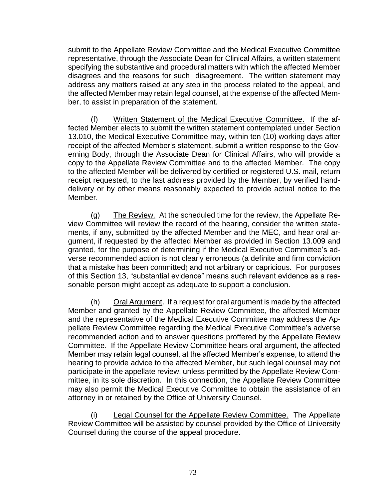submit to the Appellate Review Committee and the Medical Executive Committee representative, through the Associate Dean for Clinical Affairs, a written statement specifying the substantive and procedural matters with which the affected Member disagrees and the reasons for such disagreement. The written statement may address any matters raised at any step in the process related to the appeal, and the affected Member may retain legal counsel, at the expense of the affected Member, to assist in preparation of the statement.

(f) Written Statement of the Medical Executive Committee. If the affected Member elects to submit the written statement contemplated under Section 13.010, the Medical Executive Committee may, within ten (10) working days after receipt of the affected Member's statement, submit a written response to the Governing Body, through the Associate Dean for Clinical Affairs, who will provide a copy to the Appellate Review Committee and to the affected Member. The copy to the affected Member will be delivered by certified or registered U.S. mail, return receipt requested, to the last address provided by the Member, by verified handdelivery or by other means reasonably expected to provide actual notice to the Member.

(g) The Review. At the scheduled time for the review, the Appellate Review Committee will review the record of the hearing, consider the written statements, if any, submitted by the affected Member and the MEC, and hear oral argument, if requested by the affected Member as provided in Section 13.009 and granted, for the purpose of determining if the Medical Executive Committee's adverse recommended action is not clearly erroneous (a definite and firm conviction that a mistake has been committed) and not arbitrary or capricious. For purposes of this Section 13, "substantial evidence" means such relevant evidence as a reasonable person might accept as adequate to support a conclusion.

(h) Oral Argument. If a request for oral argument is made by the affected Member and granted by the Appellate Review Committee, the affected Member and the representative of the Medical Executive Committee may address the Appellate Review Committee regarding the Medical Executive Committee's adverse recommended action and to answer questions proffered by the Appellate Review Committee. If the Appellate Review Committee hears oral argument, the affected Member may retain legal counsel, at the affected Member's expense, to attend the hearing to provide advice to the affected Member, but such legal counsel may not participate in the appellate review, unless permitted by the Appellate Review Committee, in its sole discretion. In this connection, the Appellate Review Committee may also permit the Medical Executive Committee to obtain the assistance of an attorney in or retained by the Office of University Counsel.

(i) Legal Counsel for the Appellate Review Committee. The Appellate Review Committee will be assisted by counsel provided by the Office of University Counsel during the course of the appeal procedure.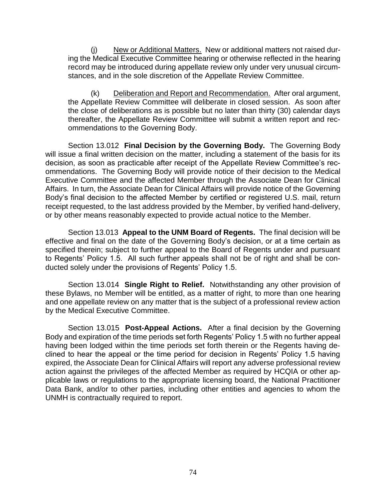(j) New or Additional Matters. New or additional matters not raised during the Medical Executive Committee hearing or otherwise reflected in the hearing record may be introduced during appellate review only under very unusual circumstances, and in the sole discretion of the Appellate Review Committee.

(k) Deliberation and Report and Recommendation. After oral argument, the Appellate Review Committee will deliberate in closed session. As soon after the close of deliberations as is possible but no later than thirty (30) calendar days thereafter, the Appellate Review Committee will submit a written report and recommendations to the Governing Body.

Section 13.012 **Final Decision by the Governing Body.** The Governing Body will issue a final written decision on the matter, including a statement of the basis for its decision, as soon as practicable after receipt of the Appellate Review Committee's recommendations. The Governing Body will provide notice of their decision to the Medical Executive Committee and the affected Member through the Associate Dean for Clinical Affairs. In turn, the Associate Dean for Clinical Affairs will provide notice of the Governing Body's final decision to the affected Member by certified or registered U.S. mail, return receipt requested, to the last address provided by the Member, by verified hand-delivery, or by other means reasonably expected to provide actual notice to the Member.

Section 13.013 **Appeal to the UNM Board of Regents.** The final decision will be effective and final on the date of the Governing Body's decision, or at a time certain as specified therein; subject to further appeal to the Board of Regents under and pursuant to Regents' Policy 1.5. All such further appeals shall not be of right and shall be conducted solely under the provisions of Regents' Policy 1.5.

Section 13.014 **Single Right to Relief.** Notwithstanding any other provision of these Bylaws, no Member will be entitled, as a matter of right, to more than one hearing and one appellate review on any matter that is the subject of a professional review action by the Medical Executive Committee.

Section 13.015 **Post-Appeal Actions.** After a final decision by the Governing Body and expiration of the time periods set forth Regents' Policy 1.5 with no further appeal having been lodged within the time periods set forth therein or the Regents having declined to hear the appeal or the time period for decision in Regents' Policy 1.5 having expired, the Associate Dean for Clinical Affairs will report any adverse professional review action against the privileges of the affected Member as required by HCQIA or other applicable laws or regulations to the appropriate licensing board, the National Practitioner Data Bank, and/or to other parties, including other entities and agencies to whom the UNMH is contractually required to report.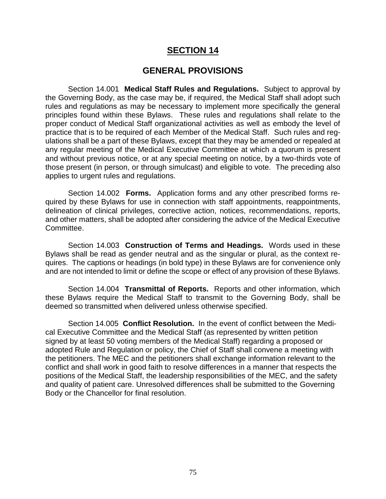## **SECTION 14**

### **GENERAL PROVISIONS**

Section 14.001 **Medical Staff Rules and Regulations.** Subject to approval by the Governing Body, as the case may be, if required, the Medical Staff shall adopt such rules and regulations as may be necessary to implement more specifically the general principles found within these Bylaws. These rules and regulations shall relate to the proper conduct of Medical Staff organizational activities as well as embody the level of practice that is to be required of each Member of the Medical Staff. Such rules and regulations shall be a part of these Bylaws, except that they may be amended or repealed at any regular meeting of the Medical Executive Committee at which a quorum is present and without previous notice, or at any special meeting on notice, by a two-thirds vote of those present (in person, or through simulcast) and eligible to vote. The preceding also applies to urgent rules and regulations.

Section 14.002 **Forms.** Application forms and any other prescribed forms required by these Bylaws for use in connection with staff appointments, reappointments, delineation of clinical privileges, corrective action, notices, recommendations, reports, and other matters, shall be adopted after considering the advice of the Medical Executive Committee.

Section 14.003 **Construction of Terms and Headings.** Words used in these Bylaws shall be read as gender neutral and as the singular or plural, as the context requires. The captions or headings (in bold type) in these Bylaws are for convenience only and are not intended to limit or define the scope or effect of any provision of these Bylaws.

Section 14.004 **Transmittal of Reports.** Reports and other information, which these Bylaws require the Medical Staff to transmit to the Governing Body, shall be deemed so transmitted when delivered unless otherwise specified.

Section 14.005 **Conflict Resolution.** In the event of conflict between the Medical Executive Committee and the Medical Staff (as represented by written petition signed by at least 50 voting members of the Medical Staff) regarding a proposed or adopted Rule and Regulation or policy, the Chief of Staff shall convene a meeting with the petitioners. The MEC and the petitioners shall exchange information relevant to the conflict and shall work in good faith to resolve differences in a manner that respects the positions of the Medical Staff, the leadership responsibilities of the MEC, and the safety and quality of patient care. Unresolved differences shall be submitted to the Governing Body or the Chancellor for final resolution.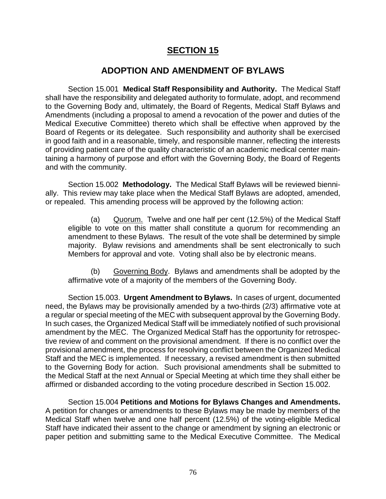## **SECTION 15**

## **ADOPTION AND AMENDMENT OF BYLAWS**

Section 15.001 **Medical Staff Responsibility and Authority.** The Medical Staff shall have the responsibility and delegated authority to formulate, adopt, and recommend to the Governing Body and, ultimately, the Board of Regents, Medical Staff Bylaws and Amendments (including a proposal to amend a revocation of the power and duties of the Medical Executive Committee) thereto which shall be effective when approved by the Board of Regents or its delegatee. Such responsibility and authority shall be exercised in good faith and in a reasonable, timely, and responsible manner, reflecting the interests of providing patient care of the quality characteristic of an academic medical center maintaining a harmony of purpose and effort with the Governing Body, the Board of Regents and with the community.

Section 15.002 **Methodology.** The Medical Staff Bylaws will be reviewed biennially. This review may take place when the Medical Staff Bylaws are adopted, amended, or repealed. This amending process will be approved by the following action:

(a) Quorum.Twelve and one half per cent (12.5%) of the Medical Staff eligible to vote on this matter shall constitute a quorum for recommending an amendment to these Bylaws. The result of the vote shall be determined by simple majority. Bylaw revisions and amendments shall be sent electronically to such Members for approval and vote. Voting shall also be by electronic means.

(b) Governing Body. Bylaws and amendments shall be adopted by the affirmative vote of a majority of the members of the Governing Body.

Section 15.003. **Urgent Amendment to Bylaws.** In cases of urgent, documented need, the Bylaws may be provisionally amended by a two-thirds (2/3) affirmative vote at a regular or special meeting of the MEC with subsequent approval by the Governing Body. In such cases, the Organized Medical Staff will be immediately notified of such provisional amendment by the MEC. The Organized Medical Staff has the opportunity for retrospective review of and comment on the provisional amendment. If there is no conflict over the provisional amendment, the process for resolving conflict between the Organized Medical Staff and the MEC is implemented. If necessary, a revised amendment is then submitted to the Governing Body for action. Such provisional amendments shall be submitted to the Medical Staff at the next Annual or Special Meeting at which time they shall either be affirmed or disbanded according to the voting procedure described in Section 15.002.

Section 15.004 **Petitions and Motions for Bylaws Changes and Amendments.** A petition for changes or amendments to these Bylaws may be made by members of the Medical Staff when twelve and one half percent (12.5%) of the voting-eligible Medical Staff have indicated their assent to the change or amendment by signing an electronic or paper petition and submitting same to the Medical Executive Committee. The Medical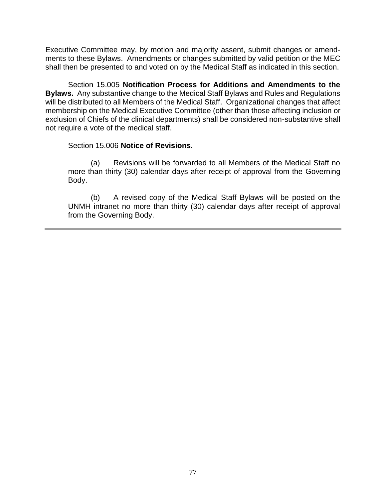Executive Committee may, by motion and majority assent, submit changes or amendments to these Bylaws. Amendments or changes submitted by valid petition or the MEC shall then be presented to and voted on by the Medical Staff as indicated in this section.

Section 15.005 **Notification Process for Additions and Amendments to the Bylaws.** Any substantive change to the Medical Staff Bylaws and Rules and Regulations will be distributed to all Members of the Medical Staff. Organizational changes that affect membership on the Medical Executive Committee (other than those affecting inclusion or exclusion of Chiefs of the clinical departments) shall be considered non-substantive shall not require a vote of the medical staff.

#### Section 15.006 **Notice of Revisions.**

(a) Revisions will be forwarded to all Members of the Medical Staff no more than thirty (30) calendar days after receipt of approval from the Governing Body.

(b) A revised copy of the Medical Staff Bylaws will be posted on the UNMH intranet no more than thirty (30) calendar days after receipt of approval from the Governing Body.